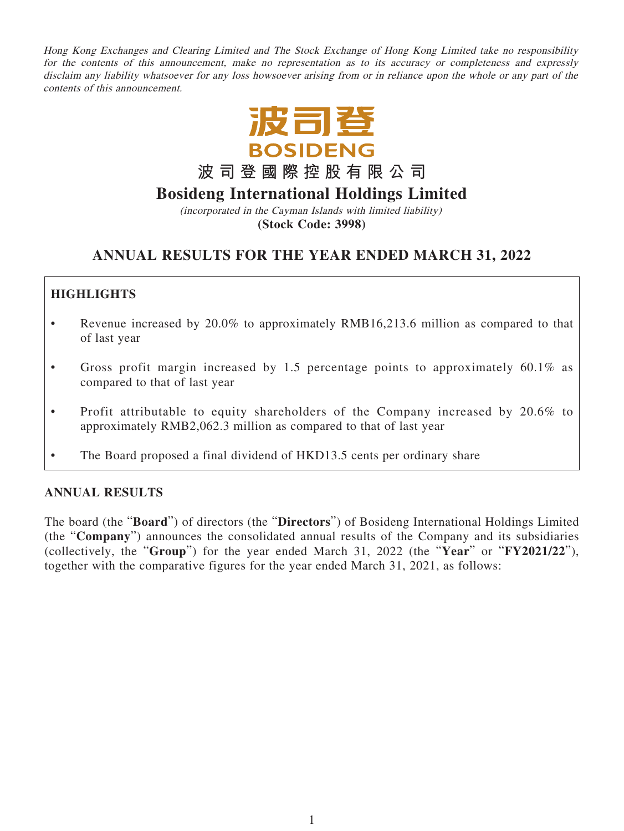Hong Kong Exchanges and Clearing Limited and The Stock Exchange of Hong Kong Limited take no responsibility for the contents of this announcement, make no representation as to its accuracy or completeness and expressly disclaim any liability whatsoever for any loss howsoever arising from or in reliance upon the whole or any part of the contents of this announcement.



**波司登國際控股有限公司**

# **Bosideng International Holdings Limited**

(incorporated in the Cayman Islands with limited liability) **(Stock Code: 3998)**

# **ANNUAL RESULTS FOR THE YEAR ENDED MARCH 31, 2022**

# **HIGHLIGHTS**

- Revenue increased by 20.0% to approximately RMB16,213.6 million as compared to that of last year
- Gross profit margin increased by 1.5 percentage points to approximately  $60.1\%$  as compared to that of last year
- Profit attributable to equity shareholders of the Company increased by 20.6% to approximately RMB2,062.3 million as compared to that of last year
- The Board proposed a final dividend of HKD13.5 cents per ordinary share

# **ANNUAL RESULTS**

The board (the "**Board**") of directors (the "**Directors**") of Bosideng International Holdings Limited (the "**Company**") announces the consolidated annual results of the Company and its subsidiaries (collectively, the "**Group**") for the year ended March 31, 2022 (the "**Year**" or "**FY2021/22**"), together with the comparative figures for the year ended March 31, 2021, as follows: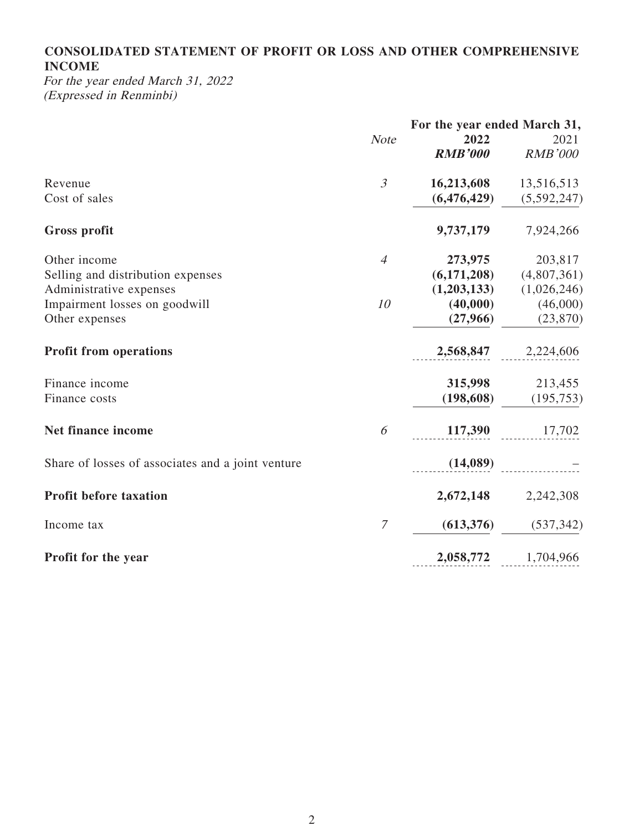# **CONSOLIDATED STATEMENT OF PROFIT OR LOSS AND OTHER COMPREHENSIVE INCOME**

For the year ended March 31, 2022 (Expressed in Renminbi)

|                                                   |                | For the year ended March 31, |                |  |
|---------------------------------------------------|----------------|------------------------------|----------------|--|
|                                                   | <b>Note</b>    | 2022                         | 2021           |  |
|                                                   |                | <b>RMB'000</b>               | <b>RMB'000</b> |  |
| Revenue                                           | $\mathfrak{Z}$ | 16,213,608                   | 13,516,513     |  |
| Cost of sales                                     |                | (6, 476, 429)                | (5,592,247)    |  |
| <b>Gross profit</b>                               |                | 9,737,179                    | 7,924,266      |  |
| Other income                                      | $\overline{4}$ | 273,975                      | 203,817        |  |
| Selling and distribution expenses                 |                | (6,171,208)                  | (4,807,361)    |  |
| Administrative expenses                           |                | (1,203,133)                  | (1,026,246)    |  |
| Impairment losses on goodwill                     | 10             | (40,000)                     | (46,000)       |  |
| Other expenses                                    |                | (27,966)                     | (23, 870)      |  |
| <b>Profit from operations</b>                     |                | 2,568,847                    | 2,224,606      |  |
| Finance income                                    |                | 315,998                      | 213,455        |  |
| Finance costs                                     |                | (198, 608)                   | (195, 753)     |  |
| Net finance income                                | 6              | 117,390                      | 17,702         |  |
| Share of losses of associates and a joint venture |                | (14,089)                     |                |  |
| <b>Profit before taxation</b>                     |                | 2,672,148                    | 2,242,308      |  |
| Income tax                                        | 7              | (613, 376)                   | (537, 342)     |  |
| Profit for the year                               |                | 2,058,772                    | 1,704,966      |  |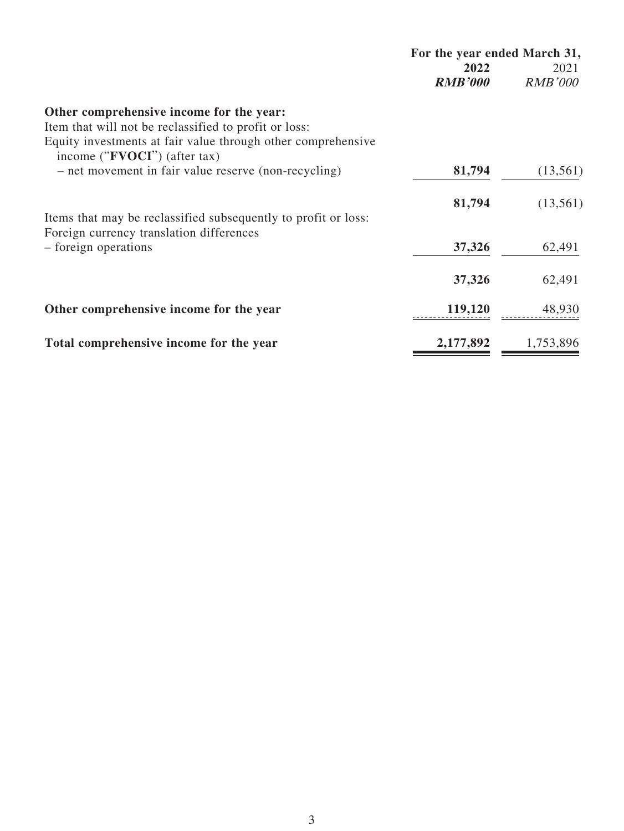|                                                                                                                                                                   | For the year ended March 31, |                |  |
|-------------------------------------------------------------------------------------------------------------------------------------------------------------------|------------------------------|----------------|--|
|                                                                                                                                                                   | 2022                         | 2021           |  |
|                                                                                                                                                                   | <b>RMB'000</b>               | <b>RMB'000</b> |  |
| Other comprehensive income for the year:<br>Item that will not be reclassified to profit or loss:<br>Equity investments at fair value through other comprehensive |                              |                |  |
| income (" <b>FVOCI</b> ") (after tax)                                                                                                                             |                              |                |  |
| - net movement in fair value reserve (non-recycling)                                                                                                              | 81,794                       | (13,561)       |  |
|                                                                                                                                                                   | 81,794                       | (13,561)       |  |
| Items that may be reclassified subsequently to profit or loss:                                                                                                    |                              |                |  |
| Foreign currency translation differences                                                                                                                          |                              |                |  |
| - foreign operations                                                                                                                                              | 37,326                       | 62,491         |  |
|                                                                                                                                                                   | 37,326                       | 62,491         |  |
| Other comprehensive income for the year                                                                                                                           | 119,120                      | 48,930         |  |
|                                                                                                                                                                   |                              |                |  |
| Total comprehensive income for the year                                                                                                                           | 2,177,892                    | 1,753,896      |  |
|                                                                                                                                                                   |                              |                |  |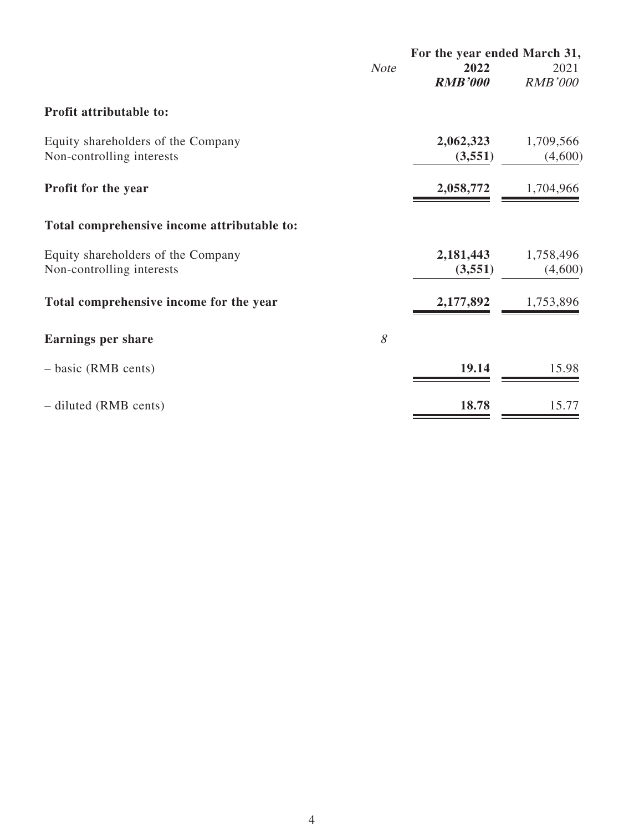|                                             |             | For the year ended March 31, |                |  |
|---------------------------------------------|-------------|------------------------------|----------------|--|
|                                             | <b>Note</b> | 2022                         | 2021           |  |
|                                             |             | <b>RMB'000</b>               | <b>RMB'000</b> |  |
| <b>Profit attributable to:</b>              |             |                              |                |  |
| Equity shareholders of the Company          |             | 2,062,323                    | 1,709,566      |  |
| Non-controlling interests                   |             | (3,551)                      | (4,600)        |  |
| Profit for the year                         |             | 2,058,772                    | 1,704,966      |  |
| Total comprehensive income attributable to: |             |                              |                |  |
| Equity shareholders of the Company          |             | 2,181,443                    | 1,758,496      |  |
| Non-controlling interests                   |             | (3,551)                      | (4,600)        |  |
| Total comprehensive income for the year     |             | 2,177,892                    | 1,753,896      |  |
| <b>Earnings per share</b>                   | 8           |                              |                |  |
| $-$ basic (RMB cents)                       |             | 19.14                        | 15.98          |  |
| - diluted (RMB cents)                       |             | 18.78                        | 15.77          |  |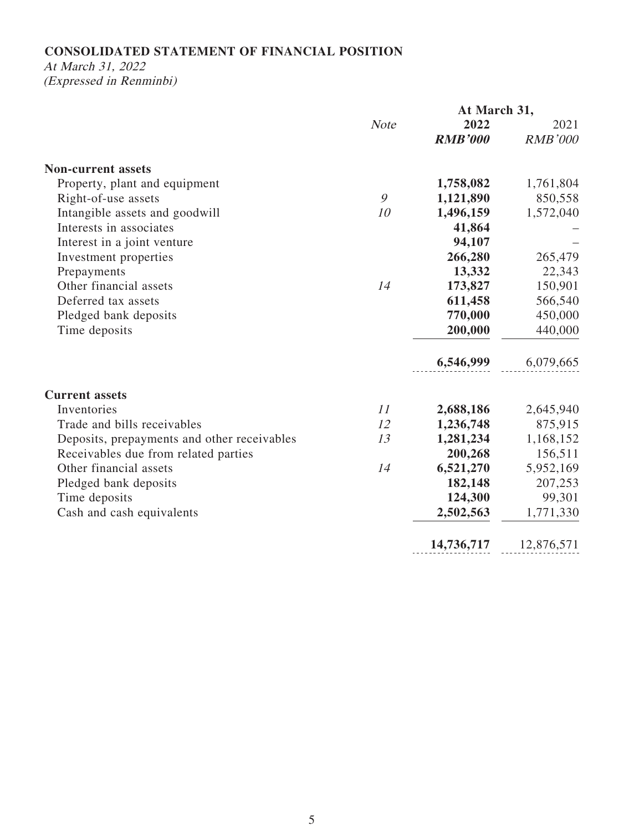# **CONSOLIDATED STATEMENT OF FINANCIAL POSITION**

# At March 31, 2022

(Expressed in Renminbi)

|                                             |             | At March 31,   |                |
|---------------------------------------------|-------------|----------------|----------------|
|                                             | <b>Note</b> | 2022           | 2021           |
|                                             |             | <b>RMB'000</b> | <b>RMB'000</b> |
| <b>Non-current assets</b>                   |             |                |                |
| Property, plant and equipment               |             | 1,758,082      | 1,761,804      |
| Right-of-use assets                         | 9           | 1,121,890      | 850,558        |
| Intangible assets and goodwill              | 10          | 1,496,159      | 1,572,040      |
| Interests in associates                     |             | 41,864         |                |
| Interest in a joint venture                 |             | 94,107         |                |
| Investment properties                       |             | 266,280        | 265,479        |
| Prepayments                                 |             | 13,332         | 22,343         |
| Other financial assets                      | 14          | 173,827        | 150,901        |
| Deferred tax assets                         |             | 611,458        | 566,540        |
| Pledged bank deposits                       |             | 770,000        | 450,000        |
| Time deposits                               |             | 200,000        | 440,000        |
|                                             |             | 6,546,999      | 6,079,665      |
| <b>Current assets</b>                       |             |                |                |
| Inventories                                 | 11          | 2,688,186      | 2,645,940      |
| Trade and bills receivables                 | 12          | 1,236,748      | 875,915        |
| Deposits, prepayments and other receivables | 13          | 1,281,234      | 1,168,152      |
| Receivables due from related parties        |             | 200,268        | 156,511        |
| Other financial assets                      | 14          | 6,521,270      | 5,952,169      |
| Pledged bank deposits                       |             | 182,148        | 207,253        |
| Time deposits                               |             | 124,300        | 99,301         |
| Cash and cash equivalents                   |             | 2,502,563      | 1,771,330      |
|                                             |             | 14,736,717     | 12,876,571     |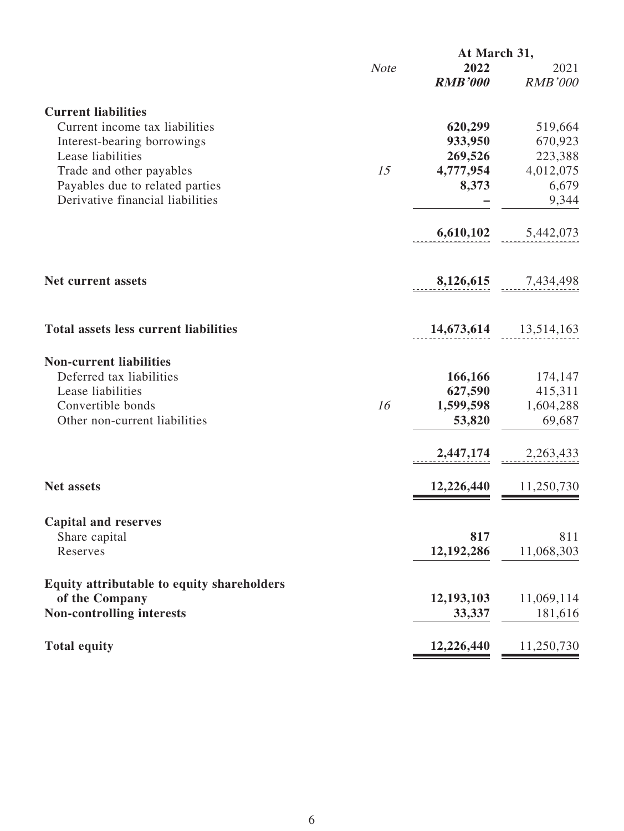|                                                              |             | At March 31,           |                        |
|--------------------------------------------------------------|-------------|------------------------|------------------------|
|                                                              | <b>Note</b> | 2022<br><b>RMB'000</b> | 2021<br><b>RMB'000</b> |
|                                                              |             |                        |                        |
| <b>Current liabilities</b><br>Current income tax liabilities |             |                        |                        |
|                                                              |             | 620,299<br>933,950     | 519,664<br>670,923     |
| Interest-bearing borrowings<br>Lease liabilities             |             | 269,526                | 223,388                |
| Trade and other payables                                     | 15          | 4,777,954              | 4,012,075              |
| Payables due to related parties                              |             | 8,373                  | 6,679                  |
| Derivative financial liabilities                             |             |                        | 9,344                  |
|                                                              |             | 6,610,102              | 5,442,073              |
|                                                              |             |                        |                        |
| <b>Net current assets</b>                                    |             |                        | 8,126,615 7,434,498    |
|                                                              |             |                        |                        |
| <b>Total assets less current liabilities</b>                 |             | 14,673,614             | 13,514,163             |
| <b>Non-current liabilities</b>                               |             |                        |                        |
| Deferred tax liabilities                                     |             | 166,166                | 174,147                |
| Lease liabilities                                            |             | 627,590                | 415,311                |
| Convertible bonds                                            | 16          | 1,599,598              | 1,604,288              |
| Other non-current liabilities                                |             | 53,820                 | 69,687                 |
|                                                              |             | 2,447,174              | 2,263,433              |
| <b>Net assets</b>                                            |             | 12,226,440             | 11,250,730             |
|                                                              |             |                        |                        |
| <b>Capital and reserves</b>                                  |             |                        |                        |
| Share capital                                                |             | 817                    | 811                    |
| Reserves                                                     |             | 12,192,286             | 11,068,303             |
| Equity attributable to equity shareholders                   |             |                        |                        |
| of the Company                                               |             | 12,193,103             | 11,069,114             |
| <b>Non-controlling interests</b>                             |             | 33,337                 | 181,616                |
| <b>Total equity</b>                                          |             | 12,226,440             | 11,250,730             |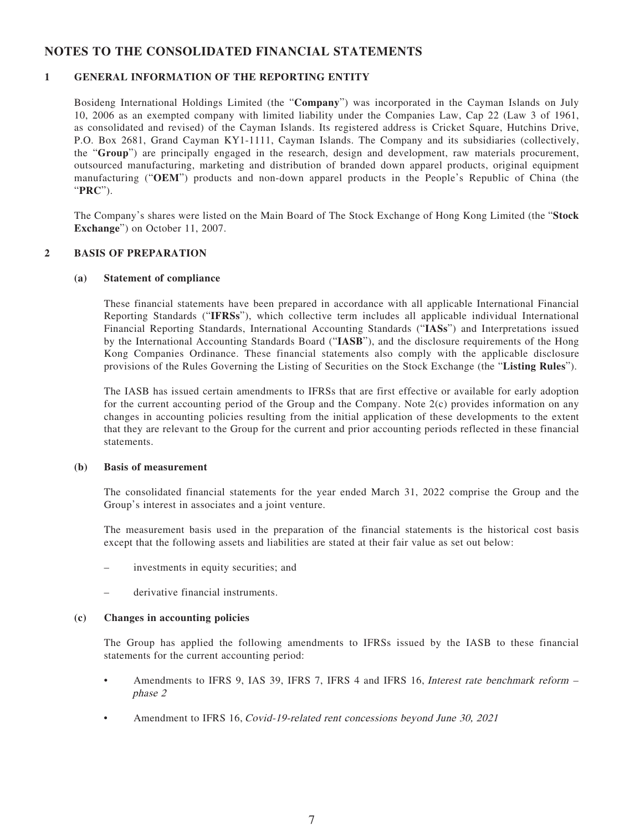### **NOTES TO THE CONSOLIDATED FINANCIAL STATEMENTS**

### **1 GENERAL INFORMATION OF THE REPORTING ENTITY**

Bosideng International Holdings Limited (the "**Company**") was incorporated in the Cayman Islands on July 10, 2006 as an exempted company with limited liability under the Companies Law, Cap 22 (Law 3 of 1961, as consolidated and revised) of the Cayman Islands. Its registered address is Cricket Square, Hutchins Drive, P.O. Box 2681, Grand Cayman KY1-1111, Cayman Islands. The Company and its subsidiaries (collectively, the "**Group**") are principally engaged in the research, design and development, raw materials procurement, outsourced manufacturing, marketing and distribution of branded down apparel products, original equipment manufacturing ("**OEM**") products and non-down apparel products in the People's Republic of China (the "**PRC**").

The Company's shares were listed on the Main Board of The Stock Exchange of Hong Kong Limited (the "**Stock Exchange**") on October 11, 2007.

### **2 BASIS OF PREPARATION**

#### **(a) Statement of compliance**

These financial statements have been prepared in accordance with all applicable International Financial Reporting Standards ("**IFRSs**"), which collective term includes all applicable individual International Financial Reporting Standards, International Accounting Standards ("**IASs**") and Interpretations issued by the International Accounting Standards Board ("**IASB**"), and the disclosure requirements of the Hong Kong Companies Ordinance. These financial statements also comply with the applicable disclosure provisions of the Rules Governing the Listing of Securities on the Stock Exchange (the "**Listing Rules**").

The IASB has issued certain amendments to IFRSs that are first effective or available for early adoption for the current accounting period of the Group and the Company. Note 2(c) provides information on any changes in accounting policies resulting from the initial application of these developments to the extent that they are relevant to the Group for the current and prior accounting periods reflected in these financial statements.

#### **(b) Basis of measurement**

The consolidated financial statements for the year ended March 31, 2022 comprise the Group and the Group's interest in associates and a joint venture.

The measurement basis used in the preparation of the financial statements is the historical cost basis except that the following assets and liabilities are stated at their fair value as set out below:

- investments in equity securities; and
- derivative financial instruments.

#### **(c) Changes in accounting policies**

The Group has applied the following amendments to IFRSs issued by the IASB to these financial statements for the current accounting period:

- Amendments to IFRS 9, IAS 39, IFRS 7, IFRS 4 and IFRS 16, Interest rate benchmark reform phase 2
- Amendment to IFRS 16, Covid-19-related rent concessions beyond June 30, 2021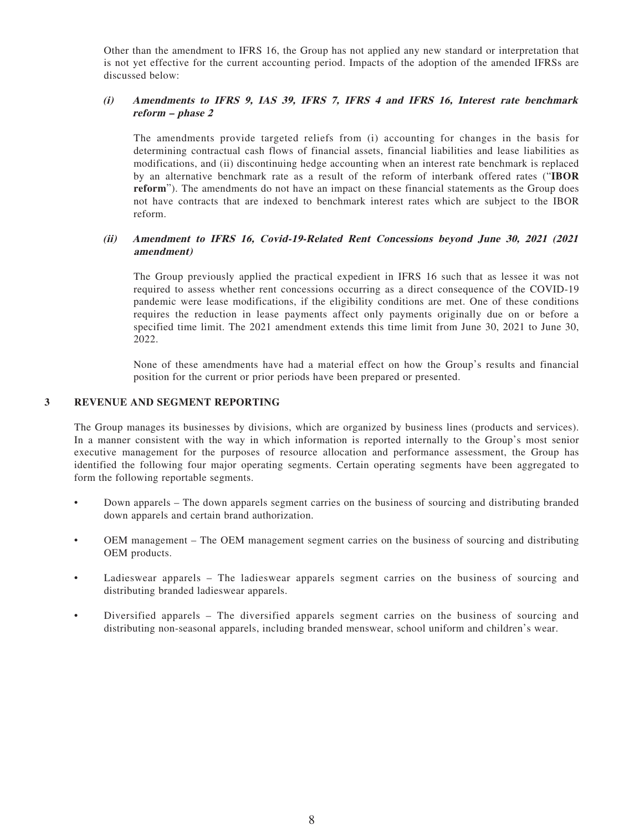Other than the amendment to IFRS 16, the Group has not applied any new standard or interpretation that is not yet effective for the current accounting period. Impacts of the adoption of the amended IFRSs are discussed below:

#### **(i) Amendments to IFRS 9, IAS 39, IFRS 7, IFRS 4 and IFRS 16, Interest rate benchmark reform – phase 2**

The amendments provide targeted reliefs from (i) accounting for changes in the basis for determining contractual cash flows of financial assets, financial liabilities and lease liabilities as modifications, and (ii) discontinuing hedge accounting when an interest rate benchmark is replaced by an alternative benchmark rate as a result of the reform of interbank offered rates ("**IBOR reform**"). The amendments do not have an impact on these financial statements as the Group does not have contracts that are indexed to benchmark interest rates which are subject to the IBOR reform.

### **(ii) Amendment to IFRS 16, Covid-19-Related Rent Concessions beyond June 30, 2021 (2021 amendment)**

The Group previously applied the practical expedient in IFRS 16 such that as lessee it was not required to assess whether rent concessions occurring as a direct consequence of the COVID-19 pandemic were lease modifications, if the eligibility conditions are met. One of these conditions requires the reduction in lease payments affect only payments originally due on or before a specified time limit. The 2021 amendment extends this time limit from June 30, 2021 to June 30, 2022.

None of these amendments have had a material effect on how the Group's results and financial position for the current or prior periods have been prepared or presented.

#### **3 REVENUE AND SEGMENT REPORTING**

The Group manages its businesses by divisions, which are organized by business lines (products and services). In a manner consistent with the way in which information is reported internally to the Group's most senior executive management for the purposes of resource allocation and performance assessment, the Group has identified the following four major operating segments. Certain operating segments have been aggregated to form the following reportable segments.

- Down apparels The down apparels segment carries on the business of sourcing and distributing branded down apparels and certain brand authorization.
- OEM management The OEM management segment carries on the business of sourcing and distributing OEM products.
- Ladieswear apparels The ladieswear apparels segment carries on the business of sourcing and distributing branded ladieswear apparels.
- Diversified apparels The diversified apparels segment carries on the business of sourcing and distributing non-seasonal apparels, including branded menswear, school uniform and children's wear.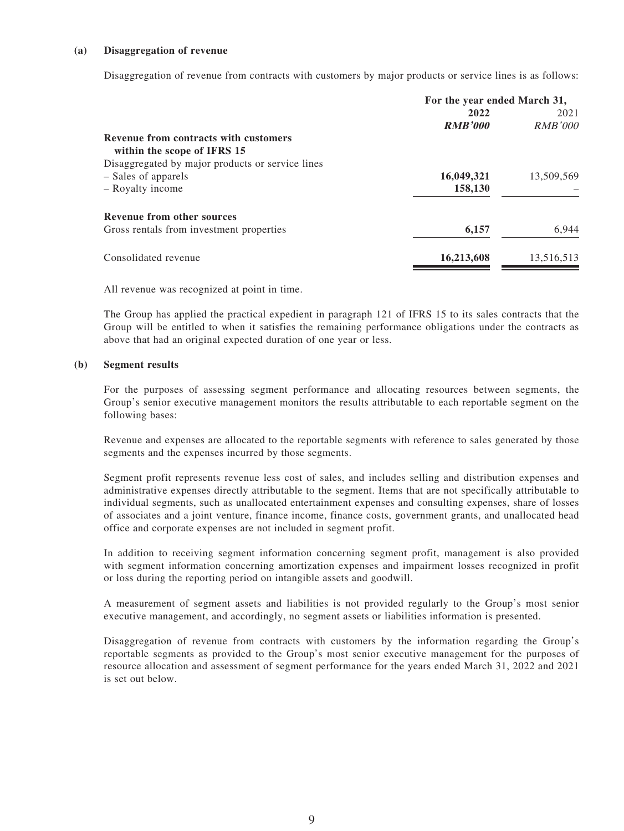#### **(a) Disaggregation of revenue**

Disaggregation of revenue from contracts with customers by major products or service lines is as follows:

|                                                  | For the year ended March 31, |                |  |
|--------------------------------------------------|------------------------------|----------------|--|
|                                                  | 2022                         | 2021           |  |
|                                                  | <b>RMB'000</b>               | <b>RMB'000</b> |  |
| Revenue from contracts with customers            |                              |                |  |
| within the scope of IFRS 15                      |                              |                |  |
| Disaggregated by major products or service lines |                              |                |  |
| - Sales of apparels                              | 16,049,321                   | 13,509,569     |  |
| - Royalty income                                 | 158,130                      |                |  |
| <b>Revenue from other sources</b>                |                              |                |  |
| Gross rentals from investment properties         | 6,157                        | 6.944          |  |
| Consolidated revenue                             | 16,213,608                   | 13,516,513     |  |
|                                                  |                              |                |  |

All revenue was recognized at point in time.

The Group has applied the practical expedient in paragraph 121 of IFRS 15 to its sales contracts that the Group will be entitled to when it satisfies the remaining performance obligations under the contracts as above that had an original expected duration of one year or less.

#### **(b) Segment results**

For the purposes of assessing segment performance and allocating resources between segments, the Group's senior executive management monitors the results attributable to each reportable segment on the following bases:

Revenue and expenses are allocated to the reportable segments with reference to sales generated by those segments and the expenses incurred by those segments.

Segment profit represents revenue less cost of sales, and includes selling and distribution expenses and administrative expenses directly attributable to the segment. Items that are not specifically attributable to individual segments, such as unallocated entertainment expenses and consulting expenses, share of losses of associates and a joint venture, finance income, finance costs, government grants, and unallocated head office and corporate expenses are not included in segment profit.

In addition to receiving segment information concerning segment profit, management is also provided with segment information concerning amortization expenses and impairment losses recognized in profit or loss during the reporting period on intangible assets and goodwill.

A measurement of segment assets and liabilities is not provided regularly to the Group's most senior executive management, and accordingly, no segment assets or liabilities information is presented.

Disaggregation of revenue from contracts with customers by the information regarding the Group's reportable segments as provided to the Group's most senior executive management for the purposes of resource allocation and assessment of segment performance for the years ended March 31, 2022 and 2021 is set out below.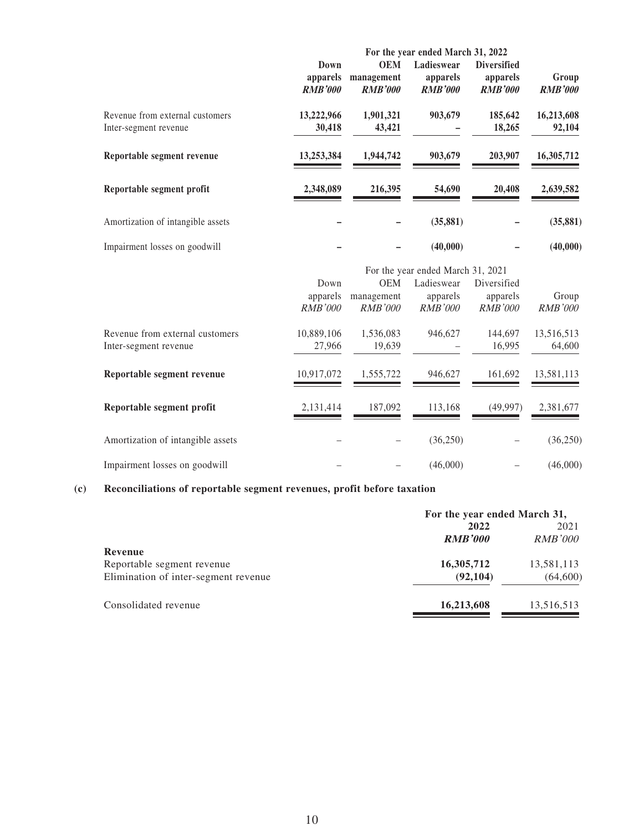|                                   | For the year ended March 31, 2022 |                |                |                    |                |
|-----------------------------------|-----------------------------------|----------------|----------------|--------------------|----------------|
|                                   | Down                              | <b>OEM</b>     | Ladieswear     | <b>Diversified</b> |                |
|                                   | apparels                          | management     | apparels       | apparels           | Group          |
|                                   | <b>RMB'000</b>                    | <b>RMB'000</b> | <b>RMB'000</b> | <b>RMB'000</b>     | <b>RMB'000</b> |
| Revenue from external customers   | 13,222,966                        | 1,901,321      | 903,679        | 185,642            | 16,213,608     |
| Inter-segment revenue             | 30,418                            | 43,421         |                | 18,265             | 92,104         |
|                                   |                                   |                |                |                    |                |
| Reportable segment revenue        | 13,253,384                        | 1,944,742      | 903,679        | 203,907            | 16,305,712     |
| Reportable segment profit         | 2,348,089                         | 216,395        | 54,690         | 20,408             | 2,639,582      |
|                                   |                                   |                |                |                    |                |
| Amortization of intangible assets |                                   |                | (35, 881)      |                    | (35, 881)      |
|                                   |                                   |                |                |                    |                |
| Impairment losses on goodwill     |                                   |                | (40,000)       |                    | (40,000)       |
|                                   |                                   |                |                |                    |                |

|                                   |                |                | For the year ended March 31, 2021 |                |                |
|-----------------------------------|----------------|----------------|-----------------------------------|----------------|----------------|
|                                   | Down           | <b>OEM</b>     | Ladieswear                        | Diversified    |                |
|                                   | apparels       | management     | apparels                          | apparels       | Group          |
|                                   | <i>RMB'000</i> | <i>RMB'000</i> | <i>RMB'000</i>                    | <i>RMB'000</i> | <i>RMB'000</i> |
| Revenue from external customers   | 10,889,106     | 1,536,083      | 946,627                           | 144,697        | 13,516,513     |
| Inter-segment revenue             | 27,966         | 19,639         |                                   | 16,995         | 64,600         |
| Reportable segment revenue        | 10,917,072     | 1,555,722      | 946.627                           | 161.692        | 13,581,113     |
| Reportable segment profit         | 2,131,414      | 187,092        | 113.168                           | (49, 997)      | 2,381,677      |
| Amortization of intangible assets |                |                | (36,250)                          |                | (36, 250)      |
| Impairment losses on goodwill     |                |                | (46,000)                          |                | (46,000)       |

# **(c) Reconciliations of reportable segment revenues, profit before taxation**

| For the year ended March 31, |                |  |
|------------------------------|----------------|--|
| 2022                         |                |  |
| <b>RMB'000</b>               | <i>RMB'000</i> |  |
|                              |                |  |
| 16,305,712                   | 13,581,113     |  |
| (92, 104)                    | (64, 600)      |  |
| 16,213,608                   | 13,516,513     |  |
|                              |                |  |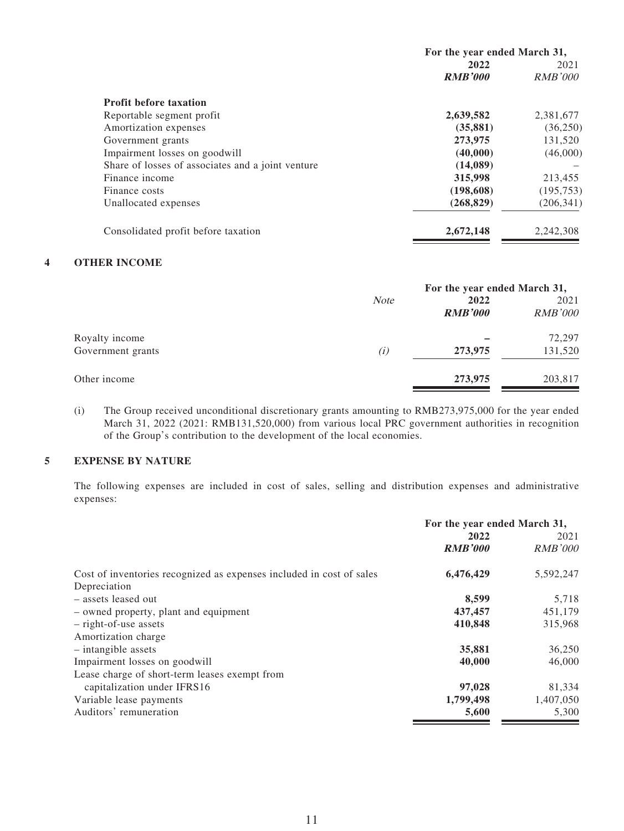|                                                   | For the year ended March 31, |                |  |
|---------------------------------------------------|------------------------------|----------------|--|
|                                                   | 2022                         | 2021           |  |
|                                                   | <b>RMB'000</b>               | <i>RMB'000</i> |  |
| <b>Profit before taxation</b>                     |                              |                |  |
| Reportable segment profit                         | 2,639,582                    | 2,381,677      |  |
| Amortization expenses                             | (35, 881)                    | (36, 250)      |  |
| Government grants                                 | 273,975                      | 131,520        |  |
| Impairment losses on goodwill                     | (40,000)                     | (46,000)       |  |
| Share of losses of associates and a joint venture | (14,089)                     |                |  |
| Finance income                                    | 315,998                      | 213,455        |  |
| Finance costs                                     | (198,608)                    | (195, 753)     |  |
| Unallocated expenses                              | (268, 829)                   | (206, 341)     |  |
| Consolidated profit before taxation               | 2,672,148                    | 2,242,308      |  |

### **4 OTHER INCOME**

|                   | For the year ended March 31, |                |                |
|-------------------|------------------------------|----------------|----------------|
|                   | <b>Note</b>                  | 2022           | 2021           |
|                   |                              | <b>RMB'000</b> | <b>RMB'000</b> |
| Royalty income    |                              |                | 72,297         |
| Government grants | (i)                          | 273,975        | 131,520        |
| Other income      |                              | 273,975        | 203,817        |

(i) The Group received unconditional discretionary grants amounting to RMB273,975,000 for the year ended March 31, 2022 (2021: RMB131,520,000) from various local PRC government authorities in recognition of the Group's contribution to the development of the local economies.

### **5 EXPENSE BY NATURE**

The following expenses are included in cost of sales, selling and distribution expenses and administrative expenses:

|                                                                      | For the year ended March 31, |                |  |
|----------------------------------------------------------------------|------------------------------|----------------|--|
|                                                                      | 2022                         | 2021           |  |
|                                                                      | <b>RMB'000</b>               | <b>RMB'000</b> |  |
| Cost of inventories recognized as expenses included in cost of sales | 6,476,429                    | 5,592,247      |  |
| Depreciation                                                         |                              |                |  |
| - assets leased out                                                  | 8,599                        | 5,718          |  |
| - owned property, plant and equipment                                | 437,457                      | 451,179        |  |
| - right-of-use assets                                                | 410,848                      | 315,968        |  |
| Amortization charge                                                  |                              |                |  |
| $-$ intangible assets                                                | 35,881                       | 36,250         |  |
| Impairment losses on goodwill                                        | 40,000                       | 46,000         |  |
| Lease charge of short-term leases exempt from                        |                              |                |  |
| capitalization under IFRS16                                          | 97,028                       | 81,334         |  |
| Variable lease payments                                              | 1,799,498                    | 1,407,050      |  |
| Auditors' remuneration                                               | 5,600                        | 5,300          |  |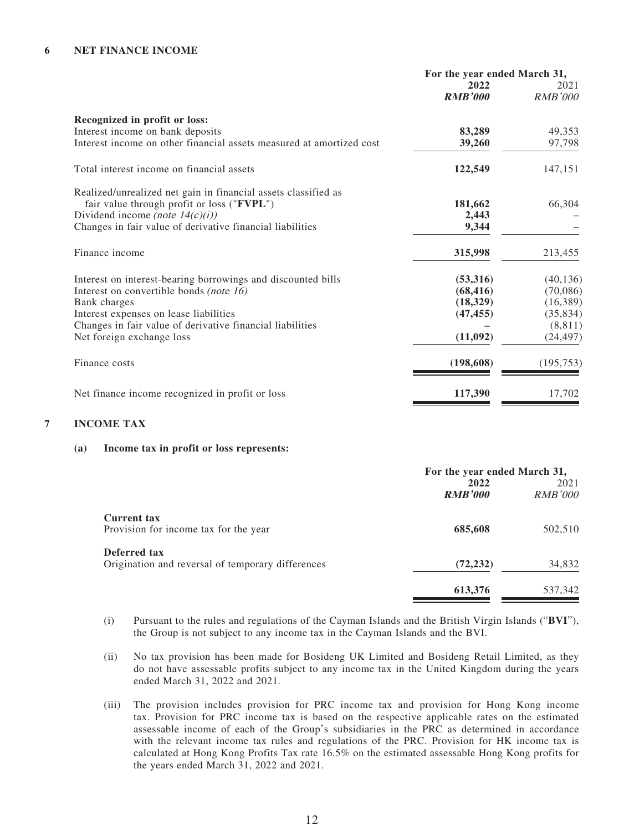#### **6 NET FINANCE INCOME**

|                                                                      | For the year ended March 31, |                |
|----------------------------------------------------------------------|------------------------------|----------------|
|                                                                      | 2022                         | 2021           |
|                                                                      | <b>RMB'000</b>               | <i>RMB'000</i> |
| Recognized in profit or loss:                                        |                              |                |
| Interest income on bank deposits                                     | 83,289                       | 49,353         |
| Interest income on other financial assets measured at amortized cost | 39,260                       | 97,798         |
| Total interest income on financial assets                            | 122,549                      | 147,151        |
| Realized/unrealized net gain in financial assets classified as       |                              |                |
| fair value through profit or loss ("FVPL")                           | 181,662                      | 66,304         |
| Dividend income (note $14(c)(i)$ )                                   | 2,443                        |                |
| Changes in fair value of derivative financial liabilities            | 9,344                        |                |
| Finance income                                                       | 315,998                      | 213,455        |
| Interest on interest-bearing borrowings and discounted bills         | (53,316)                     | (40, 136)      |
| Interest on convertible bonds (note 16)                              | (68, 416)                    | (70,086)       |
| Bank charges                                                         | (18, 329)                    | (16,389)       |
| Interest expenses on lease liabilities                               | (47, 455)                    | (35, 834)      |
| Changes in fair value of derivative financial liabilities            |                              | (8, 811)       |
| Net foreign exchange loss                                            | (11,092)                     | (24, 497)      |
| Finance costs                                                        | (198, 608)                   | (195, 753)     |
| Net finance income recognized in profit or loss                      | 117,390                      | 17,702         |

#### **7 INCOME TAX**

#### **(a) Income tax in profit or loss represents:**

|                                                                   | For the year ended March 31,<br>2022<br><b>RMB'000</b> | 2021<br><i>RMB'000</i> |
|-------------------------------------------------------------------|--------------------------------------------------------|------------------------|
| Current tax<br>Provision for income tax for the year              | 685,608                                                | 502,510                |
| Deferred tax<br>Origination and reversal of temporary differences | (72, 232)                                              | 34,832                 |
|                                                                   | 613,376                                                | 537,342                |

- (i) Pursuant to the rules and regulations of the Cayman Islands and the British Virgin Islands ("**BVI**"), the Group is not subject to any income tax in the Cayman Islands and the BVI.
- (ii) No tax provision has been made for Bosideng UK Limited and Bosideng Retail Limited, as they do not have assessable profits subject to any income tax in the United Kingdom during the years ended March 31, 2022 and 2021.
- (iii) The provision includes provision for PRC income tax and provision for Hong Kong income tax. Provision for PRC income tax is based on the respective applicable rates on the estimated assessable income of each of the Group's subsidiaries in the PRC as determined in accordance with the relevant income tax rules and regulations of the PRC. Provision for HK income tax is calculated at Hong Kong Profits Tax rate 16.5% on the estimated assessable Hong Kong profits for the years ended March 31, 2022 and 2021.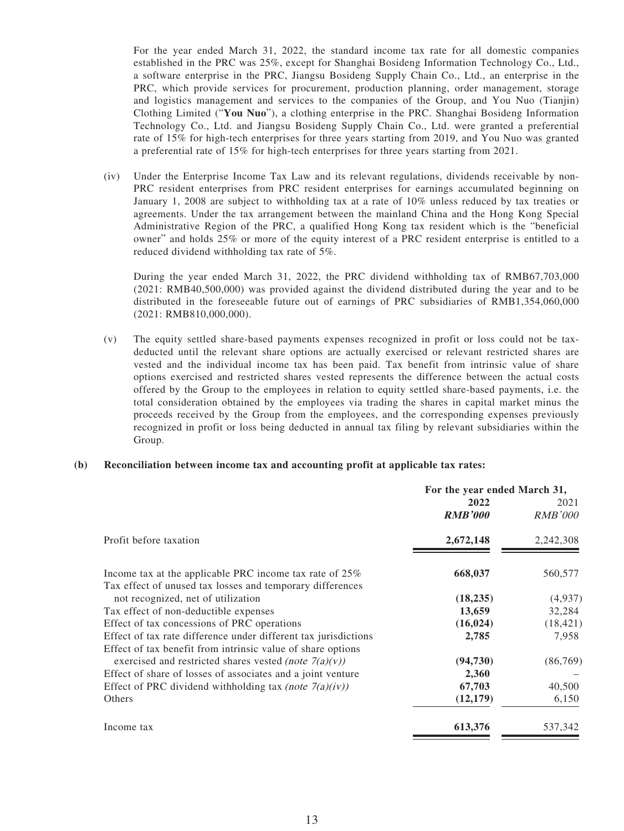For the year ended March 31, 2022, the standard income tax rate for all domestic companies established in the PRC was 25%, except for Shanghai Bosideng Information Technology Co., Ltd., a software enterprise in the PRC, Jiangsu Bosideng Supply Chain Co., Ltd., an enterprise in the PRC, which provide services for procurement, production planning, order management, storage and logistics management and services to the companies of the Group, and You Nuo (Tianjin) Clothing Limited ("**You Nuo**"), a clothing enterprise in the PRC. Shanghai Bosideng Information Technology Co., Ltd. and Jiangsu Bosideng Supply Chain Co., Ltd. were granted a preferential rate of 15% for high-tech enterprises for three years starting from 2019, and You Nuo was granted a preferential rate of 15% for high-tech enterprises for three years starting from 2021.

(iv) Under the Enterprise Income Tax Law and its relevant regulations, dividends receivable by non-PRC resident enterprises from PRC resident enterprises for earnings accumulated beginning on January 1, 2008 are subject to withholding tax at a rate of 10% unless reduced by tax treaties or agreements. Under the tax arrangement between the mainland China and the Hong Kong Special Administrative Region of the PRC, a qualified Hong Kong tax resident which is the "beneficial owner" and holds 25% or more of the equity interest of a PRC resident enterprise is entitled to a reduced dividend withholding tax rate of 5%.

During the year ended March 31, 2022, the PRC dividend withholding tax of RMB67,703,000 (2021: RMB40,500,000) was provided against the dividend distributed during the year and to be distributed in the foreseeable future out of earnings of PRC subsidiaries of RMB1,354,060,000 (2021: RMB810,000,000).

(v) The equity settled share-based payments expenses recognized in profit or loss could not be taxdeducted until the relevant share options are actually exercised or relevant restricted shares are vested and the individual income tax has been paid. Tax benefit from intrinsic value of share options exercised and restricted shares vested represents the difference between the actual costs offered by the Group to the employees in relation to equity settled share-based payments, i.e. the total consideration obtained by the employees via trading the shares in capital market minus the proceeds received by the Group from the employees, and the corresponding expenses previously recognized in profit or loss being deducted in annual tax filing by relevant subsidiaries within the Group.

#### **(b) Reconciliation between income tax and accounting profit at applicable tax rates:**

|                                                                                                                      | For the year ended March 31, |                        |
|----------------------------------------------------------------------------------------------------------------------|------------------------------|------------------------|
|                                                                                                                      | 2022<br><b>RMB'000</b>       | 2021<br><i>RMB'000</i> |
| Profit before taxation                                                                                               | 2,672,148                    | 2,242,308              |
| Income tax at the applicable PRC income tax rate of 25%<br>Tax effect of unused tax losses and temporary differences | 668,037                      | 560,577                |
| not recognized, net of utilization                                                                                   | (18, 235)                    | (4,937)                |
| Tax effect of non-deductible expenses                                                                                | 13,659                       | 32,284                 |
| Effect of tax concessions of PRC operations                                                                          | (16, 024)                    | (18, 421)              |
| Effect of tax rate difference under different tax jurisdictions                                                      | 2,785                        | 7,958                  |
| Effect of tax benefit from intrinsic value of share options                                                          |                              |                        |
| exercised and restricted shares vested <i>(note</i> $7(a)(v)$ )                                                      | (94, 730)                    | (86,769)               |
| Effect of share of losses of associates and a joint venture                                                          | 2,360                        |                        |
| Effect of PRC dividend withholding tax (note $7(a)(iv)$ )                                                            | 67,703                       | 40,500                 |
| Others                                                                                                               | (12, 179)                    | 6,150                  |
| Income tax                                                                                                           | 613,376                      | 537,342                |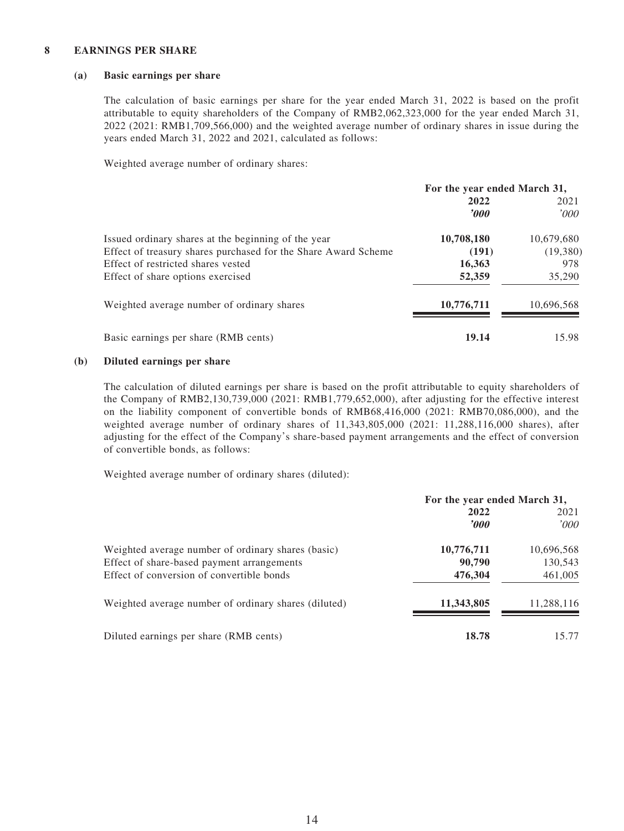#### **8 EARNINGS PER SHARE**

#### **(a) Basic earnings per share**

The calculation of basic earnings per share for the year ended March 31, 2022 is based on the profit attributable to equity shareholders of the Company of RMB2,062,323,000 for the year ended March 31, 2022 (2021: RMB1,709,566,000) and the weighted average number of ordinary shares in issue during the years ended March 31, 2022 and 2021, calculated as follows:

Weighted average number of ordinary shares:

|                                                                | For the year ended March 31, |            |  |
|----------------------------------------------------------------|------------------------------|------------|--|
|                                                                | 2022                         | 2021       |  |
|                                                                | $\bm{v}$                     | 000'       |  |
| Issued ordinary shares at the beginning of the year            | 10,708,180                   | 10,679,680 |  |
| Effect of treasury shares purchased for the Share Award Scheme | (191)                        | (19,380)   |  |
| Effect of restricted shares vested                             | 16,363                       | 978        |  |
| Effect of share options exercised                              | 52,359                       | 35,290     |  |
| Weighted average number of ordinary shares                     | 10,776,711                   | 10,696,568 |  |
| Basic earnings per share (RMB cents)                           | 19.14                        | 15.98      |  |

#### **(b) Diluted earnings per share**

The calculation of diluted earnings per share is based on the profit attributable to equity shareholders of the Company of RMB2,130,739,000 (2021: RMB1,779,652,000), after adjusting for the effective interest on the liability component of convertible bonds of RMB68,416,000 (2021: RMB70,086,000), and the weighted average number of ordinary shares of 11,343,805,000 (2021: 11,288,116,000 shares), after adjusting for the effect of the Company's share-based payment arrangements and the effect of conversion of convertible bonds, as follows:

Weighted average number of ordinary shares (diluted):

|                                                                                                  | For the year ended March 31, |                       |
|--------------------------------------------------------------------------------------------------|------------------------------|-----------------------|
|                                                                                                  | 2022<br>$\bm{000}$           | 2021<br>'000          |
| Weighted average number of ordinary shares (basic)<br>Effect of share-based payment arrangements | 10,776,711<br>90,790         | 10,696,568<br>130,543 |
| Effect of conversion of convertible bonds                                                        | 476,304                      | 461,005               |
| Weighted average number of ordinary shares (diluted)                                             | 11,343,805                   | 11,288,116            |
| Diluted earnings per share (RMB cents)                                                           | 18.78                        | 15.77                 |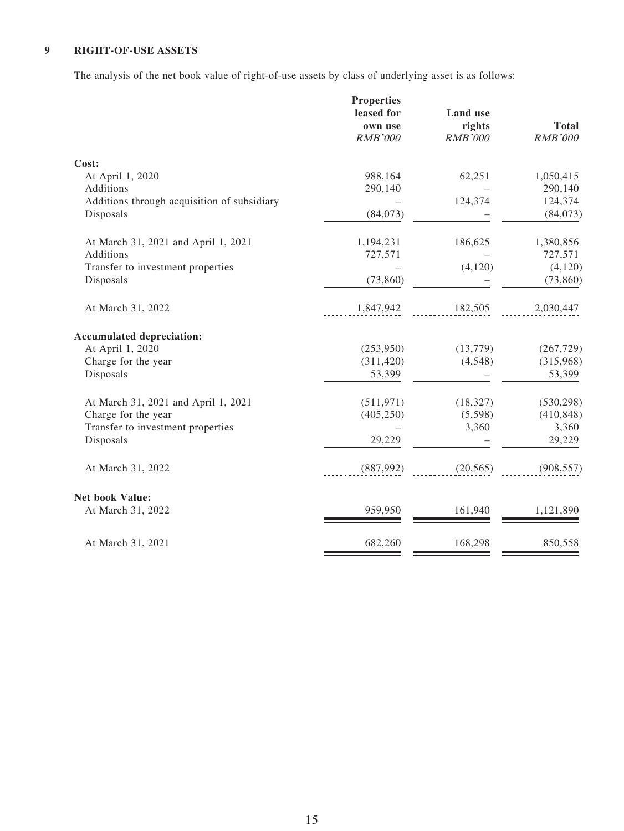### **9 RIGHT-OF-USE ASSETS**

The analysis of the net book value of right-of-use assets by class of underlying asset is as follows:

|                                             | <b>Properties</b> |                 |                |
|---------------------------------------------|-------------------|-----------------|----------------|
|                                             | leased for        | <b>Land</b> use |                |
|                                             | own use           | rights          | <b>Total</b>   |
|                                             | <b>RMB'000</b>    | <b>RMB'000</b>  | <b>RMB'000</b> |
| Cost:                                       |                   |                 |                |
| At April 1, 2020                            | 988,164           | 62,251          | 1,050,415      |
| Additions                                   | 290,140           |                 | 290,140        |
| Additions through acquisition of subsidiary |                   | 124,374         | 124,374        |
| Disposals                                   | (84,073)          |                 | (84,073)       |
| At March 31, 2021 and April 1, 2021         | 1,194,231         | 186,625         | 1,380,856      |
| Additions                                   | 727,571           |                 | 727,571        |
| Transfer to investment properties           |                   | (4,120)         | (4,120)        |
| Disposals                                   | (73, 860)         |                 | (73, 860)      |
| At March 31, 2022                           | 1,847,942         | 182,505         | 2,030,447      |
| <b>Accumulated depreciation:</b>            |                   |                 |                |
| At April 1, 2020                            | (253,950)         | (13,779)        | (267, 729)     |
| Charge for the year                         | (311, 420)        | (4,548)         | (315,968)      |
| Disposals                                   | 53,399            |                 | 53,399         |
| At March 31, 2021 and April 1, 2021         | (511, 971)        | (18, 327)       | (530, 298)     |
| Charge for the year                         | (405, 250)        | (5,598)         | (410, 848)     |
| Transfer to investment properties           |                   | 3,360           | 3,360          |
| Disposals                                   | 29,229            |                 | 29,229         |
| At March 31, 2022                           | (887,992)         | (20, 565)       | (908, 557)     |
| <b>Net book Value:</b>                      |                   |                 |                |
| At March 31, 2022                           | 959,950           | 161,940         | 1,121,890      |
| At March 31, 2021                           | 682,260           | 168,298         | 850,558        |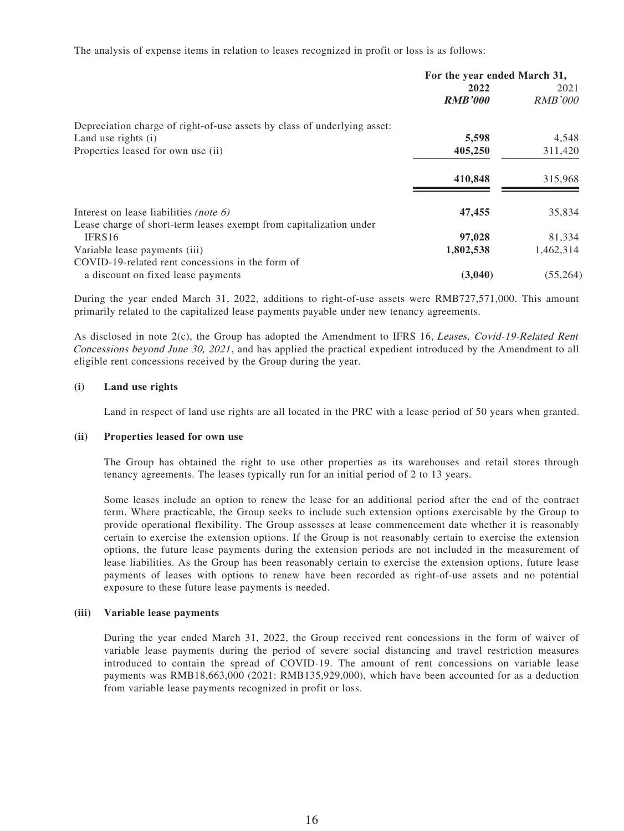The analysis of expense items in relation to leases recognized in profit or loss is as follows:

|                                                                          | For the year ended March 31, |                |
|--------------------------------------------------------------------------|------------------------------|----------------|
|                                                                          | 2022                         | 2021           |
|                                                                          | <b>RMB'000</b>               | <i>RMB'000</i> |
| Depreciation charge of right-of-use assets by class of underlying asset: |                              |                |
| Land use rights (i)                                                      | 5,598                        | 4,548          |
| Properties leased for own use (ii)                                       | 405,250                      | 311,420        |
|                                                                          | 410,848                      | 315,968        |
| Interest on lease liabilities (note $6$ )                                | 47,455                       | 35,834         |
| Lease charge of short-term leases exempt from capitalization under       |                              |                |
| IFRS16                                                                   | 97,028                       | 81,334         |
| Variable lease payments (iii)                                            | 1,802,538                    | 1,462,314      |
| COVID-19-related rent concessions in the form of                         |                              |                |
| a discount on fixed lease payments                                       | (3,040)                      | (55,264)       |

During the year ended March 31, 2022, additions to right-of-use assets were RMB727,571,000. This amount primarily related to the capitalized lease payments payable under new tenancy agreements.

As disclosed in note 2(c), the Group has adopted the Amendment to IFRS 16, Leases, Covid-19-Related Rent Concessions beyond June 30, 2021 , and has applied the practical expedient introduced by the Amendment to all eligible rent concessions received by the Group during the year.

#### **(i) Land use rights**

Land in respect of land use rights are all located in the PRC with a lease period of 50 years when granted.

#### **(ii) Properties leased for own use**

The Group has obtained the right to use other properties as its warehouses and retail stores through tenancy agreements. The leases typically run for an initial period of 2 to 13 years.

Some leases include an option to renew the lease for an additional period after the end of the contract term. Where practicable, the Group seeks to include such extension options exercisable by the Group to provide operational flexibility. The Group assesses at lease commencement date whether it is reasonably certain to exercise the extension options. If the Group is not reasonably certain to exercise the extension options, the future lease payments during the extension periods are not included in the measurement of lease liabilities. As the Group has been reasonably certain to exercise the extension options, future lease payments of leases with options to renew have been recorded as right-of-use assets and no potential exposure to these future lease payments is needed.

#### **(iii) Variable lease payments**

During the year ended March 31, 2022, the Group received rent concessions in the form of waiver of variable lease payments during the period of severe social distancing and travel restriction measures introduced to contain the spread of COVID-19. The amount of rent concessions on variable lease payments was RMB18,663,000 (2021: RMB135,929,000), which have been accounted for as a deduction from variable lease payments recognized in profit or loss.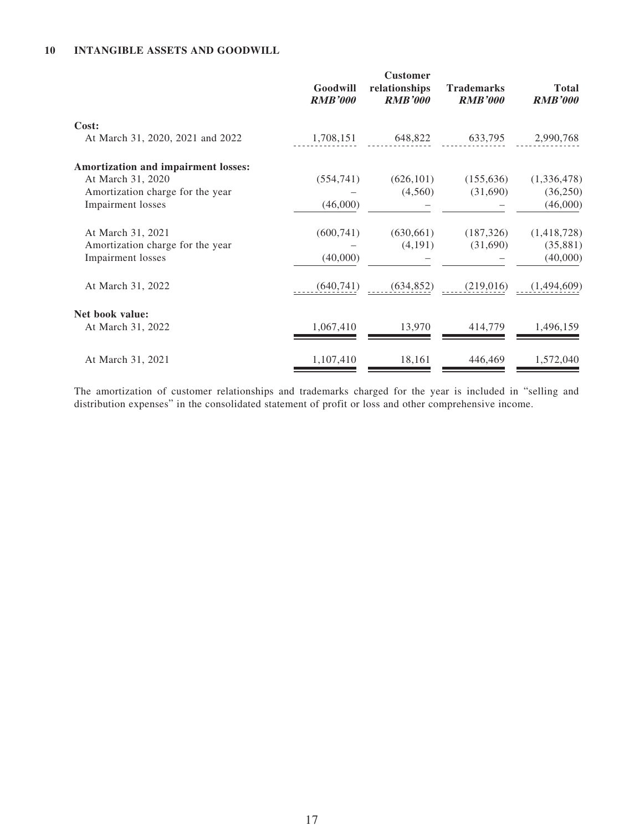### **10 INTANGIBLE ASSETS AND GOODWILL**

|                                                                                              | Goodwill<br><b>RMB'000</b> | <b>Customer</b><br>relationships<br><b>RMB'000</b> | <b>Trademarks</b><br><b>RMB'000</b> | <b>Total</b><br><b>RMB'000</b>       |
|----------------------------------------------------------------------------------------------|----------------------------|----------------------------------------------------|-------------------------------------|--------------------------------------|
| Cost:<br>At March 31, 2020, 2021 and 2022                                                    | 1,708,151                  |                                                    | 648,822 633,795                     | 2,990,768                            |
| Amortization and impairment losses:<br>At March 31, 2020<br>Amortization charge for the year | (554, 741)                 | (626, 101)<br>(4,560)                              | (155, 636)<br>(31,690)              | (1,336,478)<br>(36, 250)             |
| Impairment losses                                                                            | (46,000)                   |                                                    |                                     | (46,000)                             |
| At March 31, 2021<br>Amortization charge for the year<br>Impairment losses                   | (600, 741)<br>(40,000)     | (630, 661)<br>(4,191)                              | (187, 326)<br>(31,690)              | (1,418,728)<br>(35, 881)<br>(40,000) |
| At March 31, 2022                                                                            | (640, 741)                 | (634, 852)                                         | (219,016)                           | (1,494,609)                          |
| Net book value:<br>At March 31, 2022                                                         | 1,067,410                  | 13,970                                             | 414,779                             | 1,496,159                            |
| At March 31, 2021                                                                            | 1,107,410                  | 18,161                                             | 446,469                             | 1,572,040                            |

The amortization of customer relationships and trademarks charged for the year is included in "selling and distribution expenses" in the consolidated statement of profit or loss and other comprehensive income.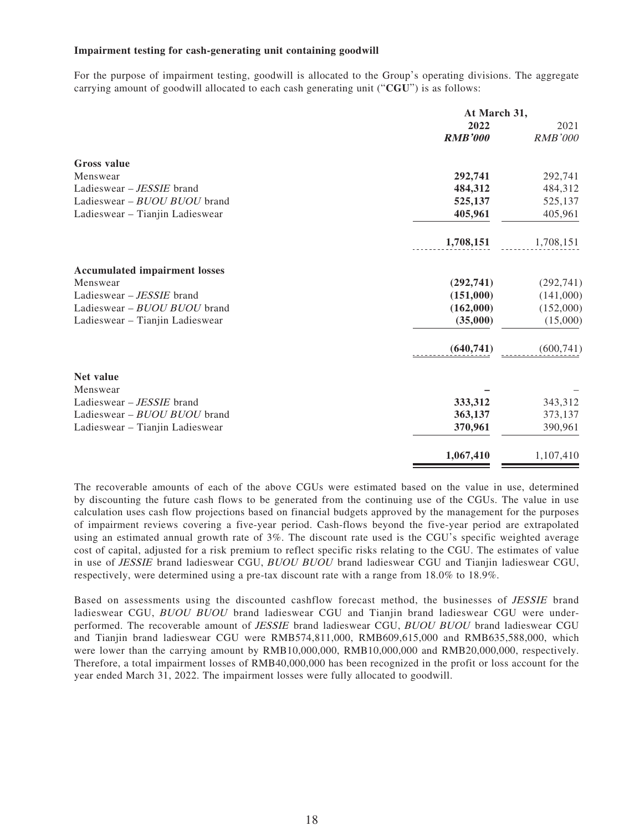#### **Impairment testing for cash-generating unit containing goodwill**

For the purpose of impairment testing, goodwill is allocated to the Group's operating divisions. The aggregate carrying amount of goodwill allocated to each cash generating unit ("**CGU**") is as follows:

|                                      | At March 31,   |                |
|--------------------------------------|----------------|----------------|
|                                      | 2022           | 2021           |
|                                      | <b>RMB'000</b> | <b>RMB'000</b> |
| <b>Gross</b> value                   |                |                |
| Menswear                             | 292,741        | 292,741        |
| Ladieswear - JESSIE brand            | 484,312        | 484,312        |
| Ladieswear - BUOU BUOU brand         | 525,137        | 525,137        |
| Ladieswear - Tianjin Ladieswear      | 405,961        | 405,961        |
|                                      | 1,708,151      | 1,708,151      |
| <b>Accumulated impairment losses</b> |                |                |
| Menswear                             | (292,741)      | (292, 741)     |
| Ladieswear – <i>JESSIE</i> brand     | (151,000)      | (141,000)      |
| Ladieswear - BUOU BUOU brand         | (162,000)      | (152,000)      |
| Ladieswear - Tianjin Ladieswear      | (35,000)       | (15,000)       |
|                                      | (640, 741)     | (600, 741)     |
| Net value                            |                |                |
| Menswear                             |                |                |
| Ladieswear - JESSIE brand            | 333,312        | 343,312        |
| Ladieswear - BUOU BUOU brand         | 363,137        | 373,137        |
| Ladieswear - Tianjin Ladieswear      | 370,961        | 390,961        |
|                                      | 1,067,410      | 1,107,410      |

The recoverable amounts of each of the above CGUs were estimated based on the value in use, determined by discounting the future cash flows to be generated from the continuing use of the CGUs. The value in use calculation uses cash flow projections based on financial budgets approved by the management for the purposes of impairment reviews covering a five-year period. Cash-flows beyond the five-year period are extrapolated using an estimated annual growth rate of 3%. The discount rate used is the CGU's specific weighted average cost of capital, adjusted for a risk premium to reflect specific risks relating to the CGU. The estimates of value in use of JESSIE brand ladieswear CGU, BUOU BUOU brand ladieswear CGU and Tianjin ladieswear CGU, respectively, were determined using a pre-tax discount rate with a range from 18.0% to 18.9%.

Based on assessments using the discounted cashflow forecast method, the businesses of JESSIE brand ladieswear CGU, BUOU BUOU brand ladieswear CGU and Tianjin brand ladieswear CGU were underperformed. The recoverable amount of JESSIE brand ladieswear CGU, BUOU BUOU brand ladieswear CGU and Tianjin brand ladieswear CGU were RMB574,811,000, RMB609,615,000 and RMB635,588,000, which were lower than the carrying amount by RMB10,000,000, RMB10,000,000 and RMB20,000,000, respectively. Therefore, a total impairment losses of RMB40,000,000 has been recognized in the profit or loss account for the year ended March 31, 2022. The impairment losses were fully allocated to goodwill.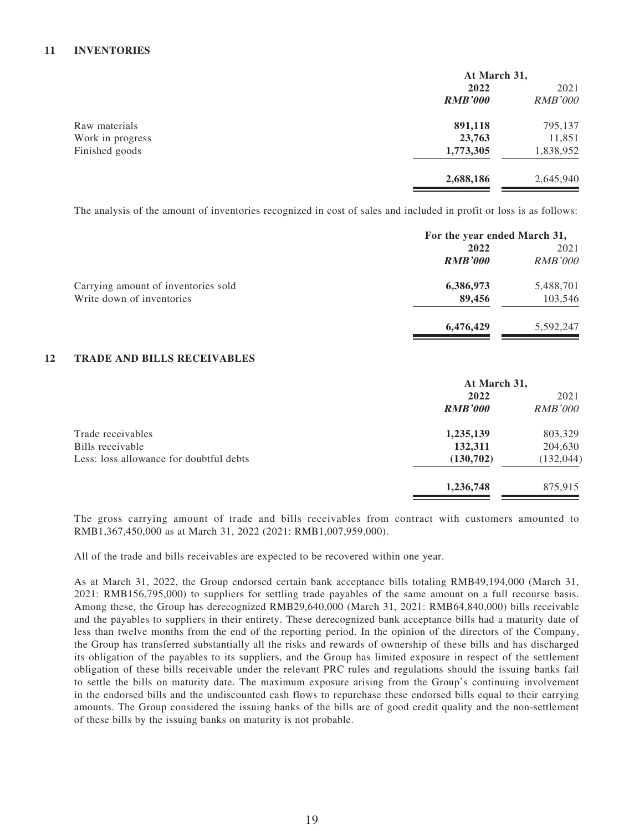#### **11 INVENTORIES**

|                  | At March 31,   |                |
|------------------|----------------|----------------|
|                  | 2022           | 2021           |
|                  | <b>RMB'000</b> | <b>RMB'000</b> |
| Raw materials    | 891,118        | 795,137        |
| Work in progress | 23,763         | 11,851         |
| Finished goods   | 1,773,305      | 1,838,952      |
|                  | 2,688,186      | 2,645,940      |

The analysis of the amount of inventories recognized in cost of sales and included in profit or loss is as follows:

|                                     | For the year ended March 31, |                |
|-------------------------------------|------------------------------|----------------|
|                                     | 2022<br>2021                 |                |
|                                     | <b>RMB'000</b>               | <b>RMB'000</b> |
| Carrying amount of inventories sold | 6,386,973                    | 5,488,701      |
| Write down of inventories           | 89,456                       | 103,546        |
|                                     | 6,476,429                    | 5,592,247      |

#### **12 TRADE AND BILLS RECEIVABLES**

|                                         | At March 31,   |                        |
|-----------------------------------------|----------------|------------------------|
|                                         | 2022           | 2021<br><i>RMB'000</i> |
|                                         | <b>RMB'000</b> |                        |
| Trade receivables                       | 1,235,139      | 803,329                |
| Bills receivable                        | 132,311        | 204,630                |
| Less: loss allowance for doubtful debts | (130,702)      | (132, 044)             |
|                                         | 1,236,748      | 875,915                |

The gross carrying amount of trade and bills receivables from contract with customers amounted to RMB1,367,450,000 as at March 31, 2022 (2021: RMB1,007,959,000).

All of the trade and bills receivables are expected to be recovered within one year.

As at March 31, 2022, the Group endorsed certain bank acceptance bills totaling RMB49,194,000 (March 31, 2021: RMB156,795,000) to suppliers for settling trade payables of the same amount on a full recourse basis. Among these, the Group has derecognized RMB29,640,000 (March 31, 2021: RMB64,840,000) bills receivable and the payables to suppliers in their entirety. These derecognized bank acceptance bills had a maturity date of less than twelve months from the end of the reporting period. In the opinion of the directors of the Company, the Group has transferred substantially all the risks and rewards of ownership of these bills and has discharged its obligation of the payables to its suppliers, and the Group has limited exposure in respect of the settlement obligation of these bills receivable under the relevant PRC rules and regulations should the issuing banks fail to settle the bills on maturity date. The maximum exposure arising from the Group's continuing involvement in the endorsed bills and the undiscounted cash flows to repurchase these endorsed bills equal to their carrying amounts. The Group considered the issuing banks of the bills are of good credit quality and the non-settlement of these bills by the issuing banks on maturity is not probable.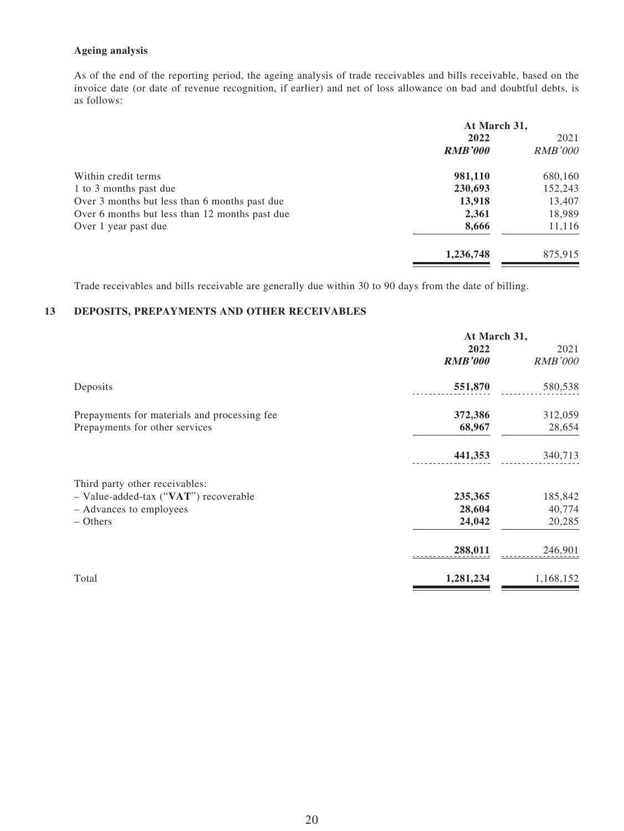#### **Ageing analysis**

As of the end of the reporting period, the ageing analysis of trade receivables and bills receivable, based on the invoice date (or date of revenue recognition, if earlier) and net of loss allowance on bad and doubtful debts, is as follows:

|                                                | At March 31,   |                |  |
|------------------------------------------------|----------------|----------------|--|
|                                                | 2022           | 2021           |  |
|                                                | <b>RMB'000</b> | <i>RMB'000</i> |  |
| Within credit terms                            | 981,110        | 680,160        |  |
| 1 to 3 months past due                         | 230,693        | 152,243        |  |
| Over 3 months but less than 6 months past due  | 13,918         | 13,407         |  |
| Over 6 months but less than 12 months past due | 2,361          | 18,989         |  |
| Over 1 year past due                           | 8,666          | 11,116         |  |
|                                                | 1,236,748      | 875.915        |  |

Trade receivables and bills receivable are generally due within 30 to 90 days from the date of billing.

#### **13 DEPOSITS, PREPAYMENTS AND OTHER RECEIVABLES**

|                                              | At March 31,   |                |  |
|----------------------------------------------|----------------|----------------|--|
|                                              | 2022           | 2021           |  |
|                                              | <b>RMB'000</b> | <b>RMB'000</b> |  |
| Deposits                                     | 551,870        | 580,538        |  |
| Prepayments for materials and processing fee | 372,386        | 312,059        |  |
| Prepayments for other services               | 68,967         | 28,654         |  |
|                                              | 441,353        | 340,713        |  |
| Third party other receivables:               |                |                |  |
| - Value-added-tax ("VAT") recoverable        | 235,365        | 185,842        |  |
| - Advances to employees                      | 28,604         | 40,774         |  |
| $-$ Others                                   | 24,042         | 20,285         |  |
|                                              | 288,011        | 246,901        |  |
| Total                                        | 1,281,234      | 1,168,152      |  |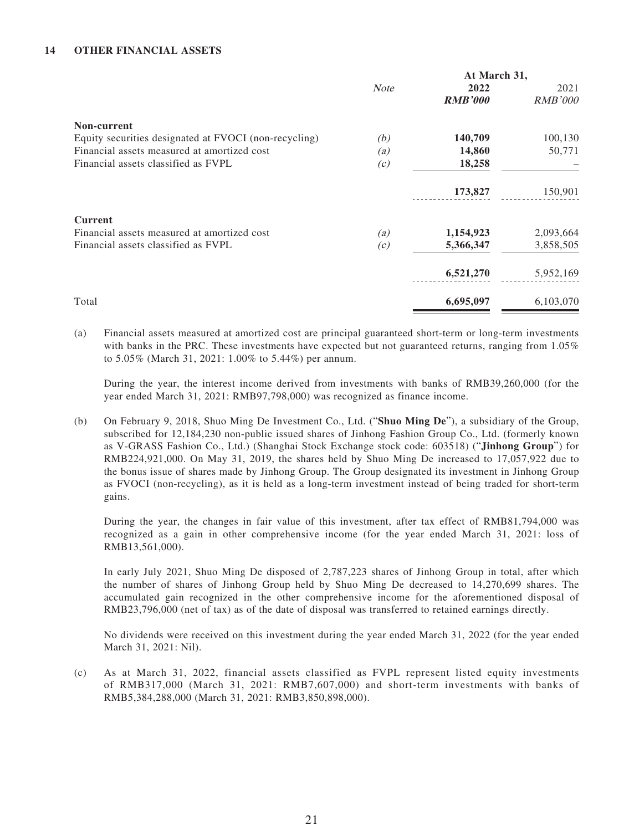#### **14 OTHER FINANCIAL ASSETS**

|                                                       | At March 31, |                |                |
|-------------------------------------------------------|--------------|----------------|----------------|
|                                                       | <b>Note</b>  | 2022           | 2021           |
|                                                       |              | <b>RMB'000</b> | <b>RMB'000</b> |
| Non-current                                           |              |                |                |
| Equity securities designated at FVOCI (non-recycling) | (b)          | 140,709        | 100,130        |
| Financial assets measured at amortized cost           | (a)          | 14,860         | 50,771         |
| Financial assets classified as FVPL                   | (c)          | 18,258         |                |
|                                                       |              | 173,827        | 150,901        |
| <b>Current</b>                                        |              |                |                |
| Financial assets measured at amortized cost           | (a)          | 1,154,923      | 2,093,664      |
| Financial assets classified as FVPL                   | (c)          | 5,366,347      | 3,858,505      |
|                                                       |              | 6,521,270      | 5,952,169      |
| Total                                                 |              | 6,695,097      | 6,103,070      |

(a) Financial assets measured at amortized cost are principal guaranteed short-term or long-term investments with banks in the PRC. These investments have expected but not guaranteed returns, ranging from 1.05% to 5.05% (March 31, 2021: 1.00% to 5.44%) per annum.

During the year, the interest income derived from investments with banks of RMB39,260,000 (for the year ended March 31, 2021: RMB97,798,000) was recognized as finance income.

(b) On February 9, 2018, Shuo Ming De Investment Co., Ltd. ("**Shuo Ming De**"), a subsidiary of the Group, subscribed for 12,184,230 non-public issued shares of Jinhong Fashion Group Co., Ltd. (formerly known as V-GRASS Fashion Co., Ltd.) (Shanghai Stock Exchange stock code: 603518) ("**Jinhong Group**") for RMB224,921,000. On May 31, 2019, the shares held by Shuo Ming De increased to 17,057,922 due to the bonus issue of shares made by Jinhong Group. The Group designated its investment in Jinhong Group as FVOCI (non-recycling), as it is held as a long-term investment instead of being traded for short-term gains.

During the year, the changes in fair value of this investment, after tax effect of RMB81,794,000 was recognized as a gain in other comprehensive income (for the year ended March 31, 2021: loss of RMB13,561,000).

In early July 2021, Shuo Ming De disposed of 2,787,223 shares of Jinhong Group in total, after which the number of shares of Jinhong Group held by Shuo Ming De decreased to 14,270,699 shares. The accumulated gain recognized in the other comprehensive income for the aforementioned disposal of RMB23,796,000 (net of tax) as of the date of disposal was transferred to retained earnings directly.

No dividends were received on this investment during the year ended March 31, 2022 (for the year ended March 31, 2021: Nil).

(c) As at March 31, 2022, financial assets classified as FVPL represent listed equity investments of RMB317,000 (March 31, 2021: RMB7,607,000) and short-term investments with banks of RMB5,384,288,000 (March 31, 2021: RMB3,850,898,000).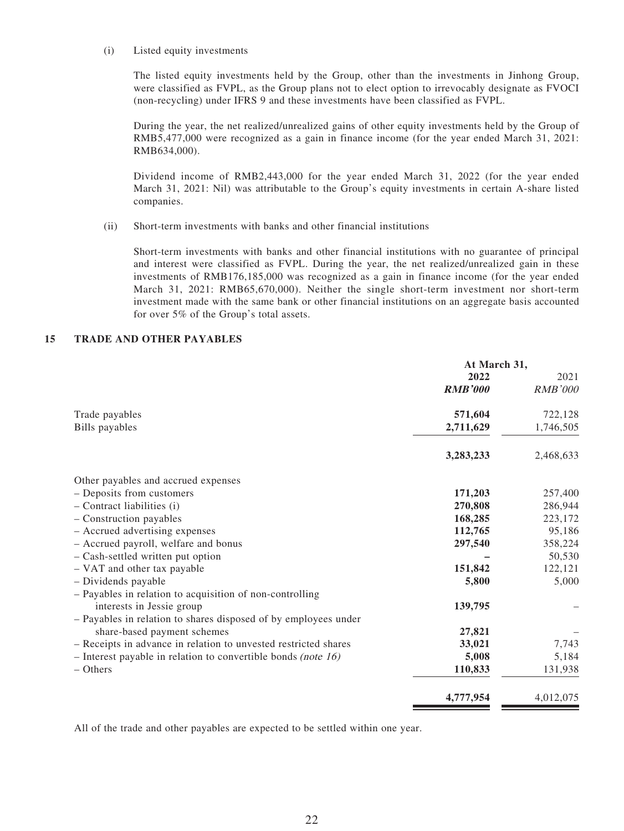#### (i) Listed equity investments

The listed equity investments held by the Group, other than the investments in Jinhong Group, were classified as FVPL, as the Group plans not to elect option to irrevocably designate as FVOCI (non-recycling) under IFRS 9 and these investments have been classified as FVPL.

During the year, the net realized/unrealized gains of other equity investments held by the Group of RMB5,477,000 were recognized as a gain in finance income (for the year ended March 31, 2021: RMB634,000).

Dividend income of RMB2,443,000 for the year ended March 31, 2022 (for the year ended March 31, 2021: Nil) was attributable to the Group's equity investments in certain A-share listed companies.

(ii) Short-term investments with banks and other financial institutions

Short-term investments with banks and other financial institutions with no guarantee of principal and interest were classified as FVPL. During the year, the net realized/unrealized gain in these investments of RMB176,185,000 was recognized as a gain in finance income (for the year ended March 31, 2021: RMB65,670,000). Neither the single short-term investment nor short-term investment made with the same bank or other financial institutions on an aggregate basis accounted for over 5% of the Group's total assets.

### **15 TRADE AND OTHER PAYABLES**

|                                                                  | At March 31,   |                |  |
|------------------------------------------------------------------|----------------|----------------|--|
|                                                                  | 2022           | 2021           |  |
|                                                                  | <b>RMB'000</b> | <b>RMB'000</b> |  |
| Trade payables                                                   | 571,604        | 722,128        |  |
| <b>Bills</b> payables                                            | 2,711,629      | 1,746,505      |  |
|                                                                  | 3,283,233      | 2,468,633      |  |
| Other payables and accrued expenses                              |                |                |  |
| - Deposits from customers                                        | 171,203        | 257,400        |  |
| - Contract liabilities (i)                                       | 270,808        | 286,944        |  |
| - Construction payables                                          | 168,285        | 223,172        |  |
| - Accrued advertising expenses                                   | 112,765        | 95,186         |  |
| - Accrued payroll, welfare and bonus                             | 297,540        | 358,224        |  |
| - Cash-settled written put option                                |                | 50,530         |  |
| - VAT and other tax payable                                      | 151,842        | 122,121        |  |
| - Dividends payable                                              | 5,800          | 5,000          |  |
| - Payables in relation to acquisition of non-controlling         |                |                |  |
| interests in Jessie group                                        | 139,795        |                |  |
| - Payables in relation to shares disposed of by employees under  |                |                |  |
| share-based payment schemes                                      | 27,821         |                |  |
| - Receipts in advance in relation to unvested restricted shares  | 33,021         | 7,743          |  |
| - Interest payable in relation to convertible bonds (note $16$ ) | 5,008          | 5,184          |  |
| $-$ Others                                                       | 110,833        | 131,938        |  |
|                                                                  | 4,777,954      | 4,012,075      |  |

All of the trade and other payables are expected to be settled within one year.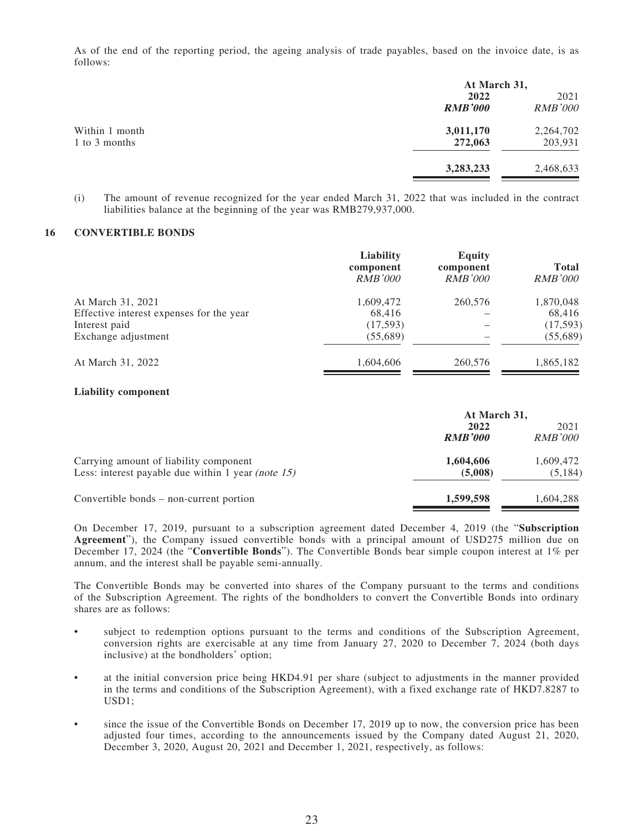As of the end of the reporting period, the ageing analysis of trade payables, based on the invoice date, is as follows:

|                |                | At March 31,   |  |  |
|----------------|----------------|----------------|--|--|
|                | 2022           | 2021           |  |  |
|                | <b>RMB'000</b> | <b>RMB'000</b> |  |  |
| Within 1 month | 3,011,170      | 2,264,702      |  |  |
| 1 to 3 months  | 272,063        | 203,931        |  |  |
|                | 3,283,233      | 2,468,633      |  |  |

(i) The amount of revenue recognized for the year ended March 31, 2022 that was included in the contract liabilities balance at the beginning of the year was RMB279,937,000.

#### **16 CONVERTIBLE BONDS**

|                                          | Liability<br>component<br><i>RMB'000</i> | Equity<br>component<br><i>RMB'000</i> | <b>Total</b><br><i>RMB'000</i> |
|------------------------------------------|------------------------------------------|---------------------------------------|--------------------------------|
| At March 31, 2021                        | 1,609,472                                | 260,576                               | 1,870,048                      |
| Effective interest expenses for the year | 68,416                                   |                                       | 68,416                         |
| Interest paid                            | (17,593)                                 |                                       | (17, 593)                      |
| Exchange adjustment                      | (55,689)                                 |                                       | (55,689)                       |
| At March 31, 2022                        | 1,604,606                                | 260,576                               | 1,865,182                      |

#### **Liability component**

|                                                       | At March 31,   |                |  |
|-------------------------------------------------------|----------------|----------------|--|
|                                                       | 2022           |                |  |
|                                                       | <b>RMB'000</b> | <i>RMB'000</i> |  |
| Carrying amount of liability component                | 1,604,606      | 1,609,472      |  |
| Less: interest payable due within 1 year (note $15$ ) | (5,008)        | (5,184)        |  |
| Convertible bonds – non-current portion               | 1,599,598      | 1,604,288      |  |

On December 17, 2019, pursuant to a subscription agreement dated December 4, 2019 (the "**Subscription Agreement**"), the Company issued convertible bonds with a principal amount of USD275 million due on December 17, 2024 (the "**Convertible Bonds**"). The Convertible Bonds bear simple coupon interest at 1% per annum, and the interest shall be payable semi-annually.

The Convertible Bonds may be converted into shares of the Company pursuant to the terms and conditions of the Subscription Agreement. The rights of the bondholders to convert the Convertible Bonds into ordinary shares are as follows:

- subject to redemption options pursuant to the terms and conditions of the Subscription Agreement, conversion rights are exercisable at any time from January 27, 2020 to December 7, 2024 (both days inclusive) at the bondholders' option;
- at the initial conversion price being HKD4.91 per share (subject to adjustments in the manner provided in the terms and conditions of the Subscription Agreement), with a fixed exchange rate of HKD7.8287 to USD1;
- since the issue of the Convertible Bonds on December 17, 2019 up to now, the conversion price has been adjusted four times, according to the announcements issued by the Company dated August 21, 2020, December 3, 2020, August 20, 2021 and December 1, 2021, respectively, as follows: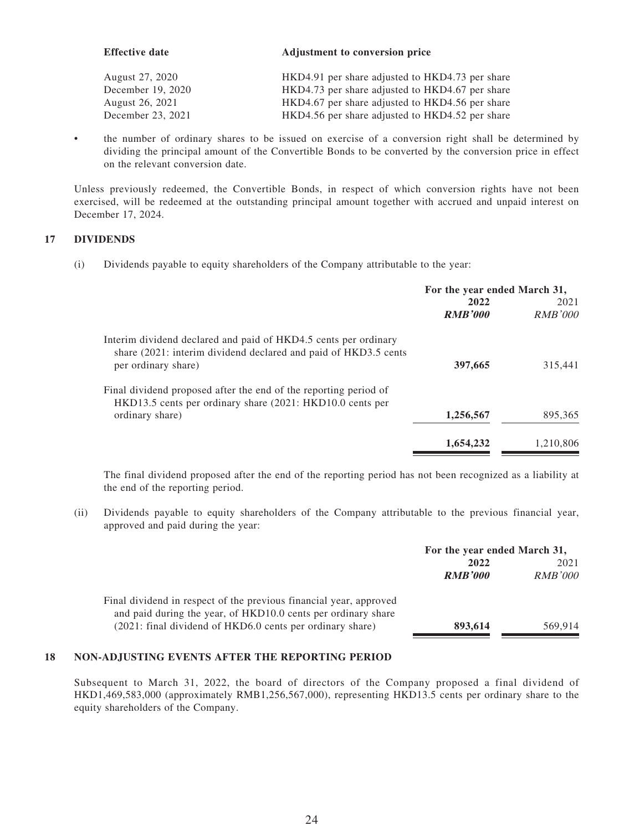| <b>Effective date</b> | Adjustment to conversion price                  |
|-----------------------|-------------------------------------------------|
| August 27, 2020       | HKD4.91 per share adjusted to HKD4.73 per share |
| December 19, 2020     | HKD4.73 per share adjusted to HKD4.67 per share |
| August 26, 2021       | HKD4.67 per share adjusted to HKD4.56 per share |
| December 23, 2021     | HKD4.56 per share adjusted to HKD4.52 per share |

• the number of ordinary shares to be issued on exercise of a conversion right shall be determined by dividing the principal amount of the Convertible Bonds to be converted by the conversion price in effect on the relevant conversion date.

Unless previously redeemed, the Convertible Bonds, in respect of which conversion rights have not been exercised, will be redeemed at the outstanding principal amount together with accrued and unpaid interest on December 17, 2024.

### **17 DIVIDENDS**

(i) Dividends payable to equity shareholders of the Company attributable to the year:

|                                                                                                                                    | For the year ended March 31, |                        |  |
|------------------------------------------------------------------------------------------------------------------------------------|------------------------------|------------------------|--|
|                                                                                                                                    | 2022<br><b>RMB'000</b>       | 2021<br><b>RMB'000</b> |  |
|                                                                                                                                    |                              |                        |  |
| Interim dividend declared and paid of HKD4.5 cents per ordinary<br>share (2021: interim dividend declared and paid of HKD3.5 cents |                              |                        |  |
| per ordinary share)                                                                                                                | 397,665                      | 315.441                |  |
| Final dividend proposed after the end of the reporting period of<br>HKD13.5 cents per ordinary share (2021: HKD10.0 cents per      |                              |                        |  |
| ordinary share)                                                                                                                    | 1,256,567                    | 895,365                |  |
|                                                                                                                                    | 1,654,232                    | 1.210.806              |  |

The final dividend proposed after the end of the reporting period has not been recognized as a liability at the end of the reporting period.

(ii) Dividends payable to equity shareholders of the Company attributable to the previous financial year, approved and paid during the year:

|                                                                    | For the year ended March 31, |                |  |
|--------------------------------------------------------------------|------------------------------|----------------|--|
|                                                                    | 2022                         | 2021           |  |
|                                                                    | <b>RMB'000</b>               | <i>RMB'000</i> |  |
| Final dividend in respect of the previous financial year, approved |                              |                |  |
| and paid during the year, of HKD10.0 cents per ordinary share      |                              |                |  |
| (2021: final dividend of HKD6.0 cents per ordinary share)          | 893,614                      | 569.914        |  |

### **18 NON-ADJUSTING EVENTS AFTER THE REPORTING PERIOD**

Subsequent to March 31, 2022, the board of directors of the Company proposed a final dividend of HKD1,469,583,000 (approximately RMB1,256,567,000), representing HKD13.5 cents per ordinary share to the equity shareholders of the Company.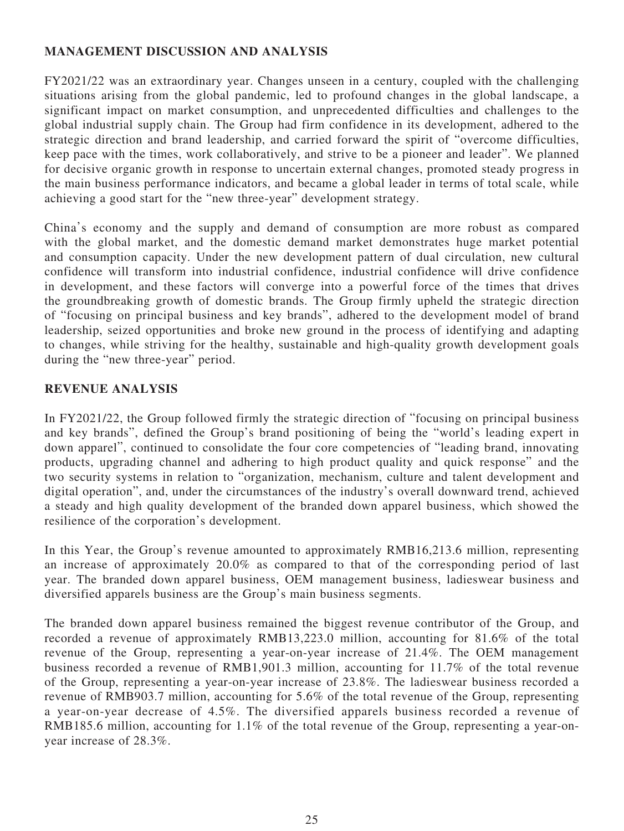# **MANAGEMENT DISCUSSION AND ANALYSIS**

FY2021/22 was an extraordinary year. Changes unseen in a century, coupled with the challenging situations arising from the global pandemic, led to profound changes in the global landscape, a significant impact on market consumption, and unprecedented difficulties and challenges to the global industrial supply chain. The Group had firm confidence in its development, adhered to the strategic direction and brand leadership, and carried forward the spirit of "overcome difficulties, keep pace with the times, work collaboratively, and strive to be a pioneer and leader". We planned for decisive organic growth in response to uncertain external changes, promoted steady progress in the main business performance indicators, and became a global leader in terms of total scale, while achieving a good start for the "new three-year" development strategy.

China's economy and the supply and demand of consumption are more robust as compared with the global market, and the domestic demand market demonstrates huge market potential and consumption capacity. Under the new development pattern of dual circulation, new cultural confidence will transform into industrial confidence, industrial confidence will drive confidence in development, and these factors will converge into a powerful force of the times that drives the groundbreaking growth of domestic brands. The Group firmly upheld the strategic direction of "focusing on principal business and key brands", adhered to the development model of brand leadership, seized opportunities and broke new ground in the process of identifying and adapting to changes, while striving for the healthy, sustainable and high-quality growth development goals during the "new three-year" period.

# **REVENUE ANALYSIS**

In FY2021/22, the Group followed firmly the strategic direction of "focusing on principal business and key brands", defined the Group's brand positioning of being the "world's leading expert in down apparel", continued to consolidate the four core competencies of "leading brand, innovating products, upgrading channel and adhering to high product quality and quick response" and the two security systems in relation to "organization, mechanism, culture and talent development and digital operation", and, under the circumstances of the industry's overall downward trend, achieved a steady and high quality development of the branded down apparel business, which showed the resilience of the corporation's development.

In this Year, the Group's revenue amounted to approximately RMB16,213.6 million, representing an increase of approximately 20.0% as compared to that of the corresponding period of last year. The branded down apparel business, OEM management business, ladieswear business and diversified apparels business are the Group's main business segments.

The branded down apparel business remained the biggest revenue contributor of the Group, and recorded a revenue of approximately RMB13,223.0 million, accounting for 81.6% of the total revenue of the Group, representing a year-on-year increase of 21.4%. The OEM management business recorded a revenue of RMB1,901.3 million, accounting for 11.7% of the total revenue of the Group, representing a year-on-year increase of 23.8%. The ladieswear business recorded a revenue of RMB903.7 million, accounting for 5.6% of the total revenue of the Group, representing a year-on-year decrease of 4.5%. The diversified apparels business recorded a revenue of RMB185.6 million, accounting for 1.1% of the total revenue of the Group, representing a year-onyear increase of 28.3%.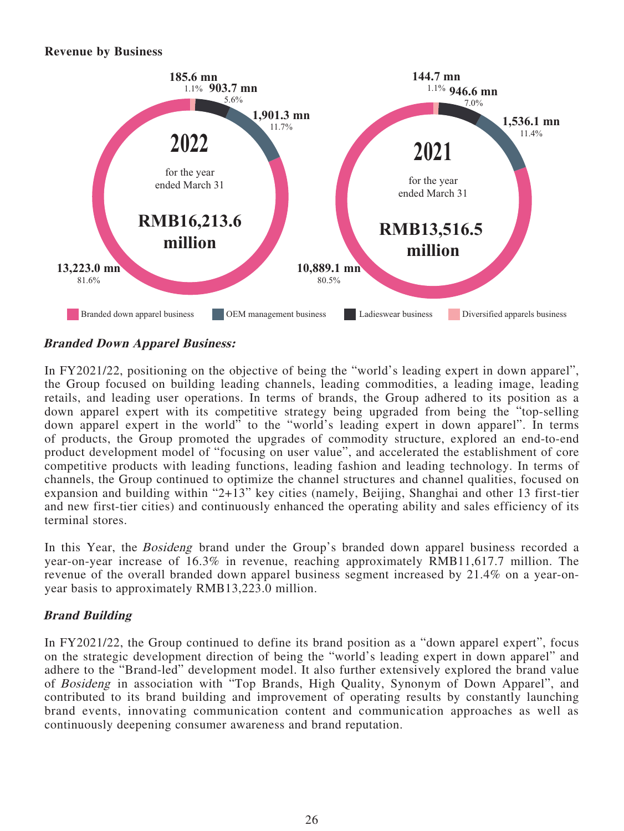### **Revenue by Business**



### **Branded Down Apparel Business:**

In FY2021/22, positioning on the objective of being the "world's leading expert in down apparel", the Group focused on building leading channels, leading commodities, a leading image, leading retails, and leading user operations. In terms of brands, the Group adhered to its position as a down apparel expert with its competitive strategy being upgraded from being the "top-selling down apparel expert in the world" to the "world's leading expert in down apparel". In terms of products, the Group promoted the upgrades of commodity structure, explored an end-to-end product development model of "focusing on user value", and accelerated the establishment of core competitive products with leading functions, leading fashion and leading technology. In terms of channels, the Group continued to optimize the channel structures and channel qualities, focused on expansion and building within "2+13" key cities (namely, Beijing, Shanghai and other 13 first-tier and new first-tier cities) and continuously enhanced the operating ability and sales efficiency of its terminal stores.

In this Year, the Bosideng brand under the Group's branded down apparel business recorded a year-on-year increase of 16.3% in revenue, reaching approximately RMB11,617.7 million. The revenue of the overall branded down apparel business segment increased by 21.4% on a year-onyear basis to approximately RMB13,223.0 million.

# **Brand Building**

In FY2021/22, the Group continued to define its brand position as a "down apparel expert", focus on the strategic development direction of being the "world's leading expert in down apparel" and adhere to the "Brand-led" development model. It also further extensively explored the brand value of Bosideng in association with "Top Brands, High Quality, Synonym of Down Apparel", and contributed to its brand building and improvement of operating results by constantly launching brand events, innovating communication content and communication approaches as well as continuously deepening consumer awareness and brand reputation.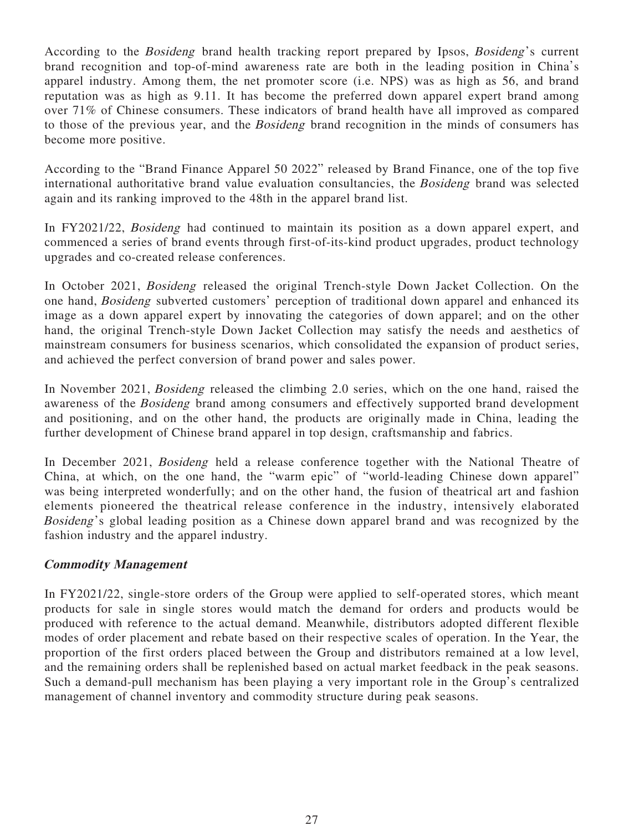According to the *Bosideng* brand health tracking report prepared by Ipsos, *Bosideng's* current brand recognition and top-of-mind awareness rate are both in the leading position in China's apparel industry. Among them, the net promoter score (i.e. NPS) was as high as 56, and brand reputation was as high as 9.11. It has become the preferred down apparel expert brand among over 71% of Chinese consumers. These indicators of brand health have all improved as compared to those of the previous year, and the Bosideng brand recognition in the minds of consumers has become more positive.

According to the "Brand Finance Apparel 50 2022" released by Brand Finance, one of the top five international authoritative brand value evaluation consultancies, the Bosideng brand was selected again and its ranking improved to the 48th in the apparel brand list.

In FY2021/22, Bosideng had continued to maintain its position as a down apparel expert, and commenced a series of brand events through first-of-its-kind product upgrades, product technology upgrades and co-created release conferences.

In October 2021, Bosideng released the original Trench-style Down Jacket Collection. On the one hand, Bosideng subverted customers' perception of traditional down apparel and enhanced its image as a down apparel expert by innovating the categories of down apparel; and on the other hand, the original Trench-style Down Jacket Collection may satisfy the needs and aesthetics of mainstream consumers for business scenarios, which consolidated the expansion of product series, and achieved the perfect conversion of brand power and sales power.

In November 2021, Bosideng released the climbing 2.0 series, which on the one hand, raised the awareness of the Bosideng brand among consumers and effectively supported brand development and positioning, and on the other hand, the products are originally made in China, leading the further development of Chinese brand apparel in top design, craftsmanship and fabrics.

In December 2021, Bosideng held a release conference together with the National Theatre of China, at which, on the one hand, the "warm epic" of "world-leading Chinese down apparel" was being interpreted wonderfully; and on the other hand, the fusion of theatrical art and fashion elements pioneered the theatrical release conference in the industry, intensively elaborated Bosideng's global leading position as a Chinese down apparel brand and was recognized by the fashion industry and the apparel industry.

# **Commodity Management**

In FY2021/22, single-store orders of the Group were applied to self-operated stores, which meant products for sale in single stores would match the demand for orders and products would be produced with reference to the actual demand. Meanwhile, distributors adopted different flexible modes of order placement and rebate based on their respective scales of operation. In the Year, the proportion of the first orders placed between the Group and distributors remained at a low level, and the remaining orders shall be replenished based on actual market feedback in the peak seasons. Such a demand-pull mechanism has been playing a very important role in the Group's centralized management of channel inventory and commodity structure during peak seasons.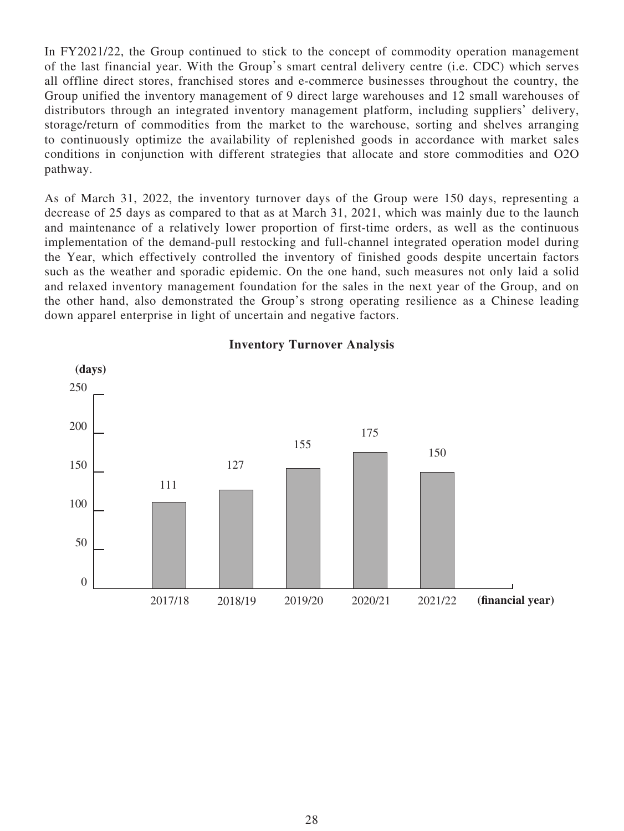In FY2021/22, the Group continued to stick to the concept of commodity operation management of the last financial year. With the Group's smart central delivery centre (i.e. CDC) which serves all offline direct stores, franchised stores and e-commerce businesses throughout the country, the Group unified the inventory management of 9 direct large warehouses and 12 small warehouses of distributors through an integrated inventory management platform, including suppliers' delivery, storage/return of commodities from the market to the warehouse, sorting and shelves arranging to continuously optimize the availability of replenished goods in accordance with market sales conditions in conjunction with different strategies that allocate and store commodities and O2O pathway.

As of March 31, 2022, the inventory turnover days of the Group were 150 days, representing a decrease of 25 days as compared to that as at March 31, 2021, which was mainly due to the launch and maintenance of a relatively lower proportion of first-time orders, as well as the continuous implementation of the demand-pull restocking and full-channel integrated operation model during the Year, which effectively controlled the inventory of finished goods despite uncertain factors such as the weather and sporadic epidemic. On the one hand, such measures not only laid a solid and relaxed inventory management foundation for the sales in the next year of the Group, and on the other hand, also demonstrated the Group's strong operating resilience as a Chinese leading down apparel enterprise in light of uncertain and negative factors.



**Inventory Turnover Analysis**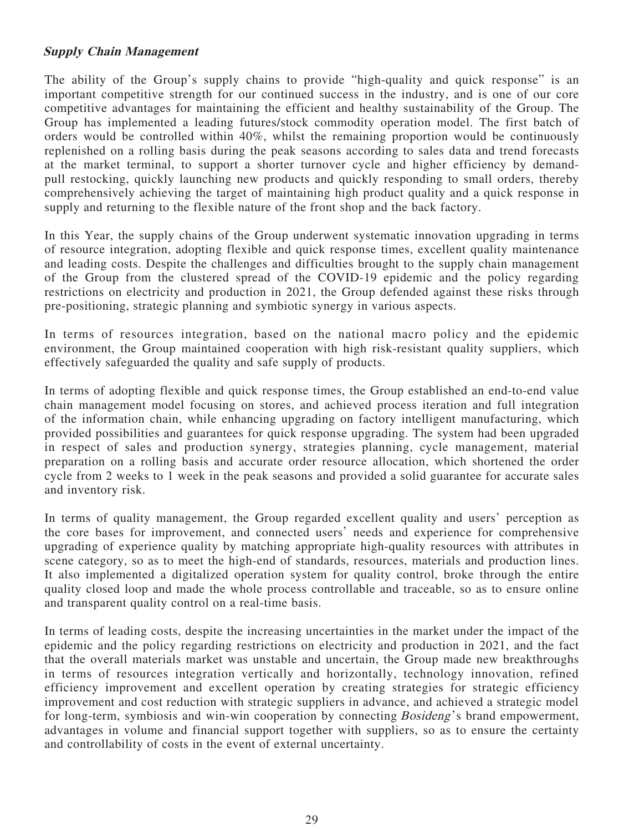### **Supply Chain Management**

The ability of the Group's supply chains to provide "high-quality and quick response" is an important competitive strength for our continued success in the industry, and is one of our core competitive advantages for maintaining the efficient and healthy sustainability of the Group. The Group has implemented a leading futures/stock commodity operation model. The first batch of orders would be controlled within 40%, whilst the remaining proportion would be continuously replenished on a rolling basis during the peak seasons according to sales data and trend forecasts at the market terminal, to support a shorter turnover cycle and higher efficiency by demandpull restocking, quickly launching new products and quickly responding to small orders, thereby comprehensively achieving the target of maintaining high product quality and a quick response in supply and returning to the flexible nature of the front shop and the back factory.

In this Year, the supply chains of the Group underwent systematic innovation upgrading in terms of resource integration, adopting flexible and quick response times, excellent quality maintenance and leading costs. Despite the challenges and difficulties brought to the supply chain management of the Group from the clustered spread of the COVID-19 epidemic and the policy regarding restrictions on electricity and production in 2021, the Group defended against these risks through pre-positioning, strategic planning and symbiotic synergy in various aspects.

In terms of resources integration, based on the national macro policy and the epidemic environment, the Group maintained cooperation with high risk-resistant quality suppliers, which effectively safeguarded the quality and safe supply of products.

In terms of adopting flexible and quick response times, the Group established an end-to-end value chain management model focusing on stores, and achieved process iteration and full integration of the information chain, while enhancing upgrading on factory intelligent manufacturing, which provided possibilities and guarantees for quick response upgrading. The system had been upgraded in respect of sales and production synergy, strategies planning, cycle management, material preparation on a rolling basis and accurate order resource allocation, which shortened the order cycle from 2 weeks to 1 week in the peak seasons and provided a solid guarantee for accurate sales and inventory risk.

In terms of quality management, the Group regarded excellent quality and users' perception as the core bases for improvement, and connected users' needs and experience for comprehensive upgrading of experience quality by matching appropriate high-quality resources with attributes in scene category, so as to meet the high-end of standards, resources, materials and production lines. It also implemented a digitalized operation system for quality control, broke through the entire quality closed loop and made the whole process controllable and traceable, so as to ensure online and transparent quality control on a real-time basis.

In terms of leading costs, despite the increasing uncertainties in the market under the impact of the epidemic and the policy regarding restrictions on electricity and production in 2021, and the fact that the overall materials market was unstable and uncertain, the Group made new breakthroughs in terms of resources integration vertically and horizontally, technology innovation, refined efficiency improvement and excellent operation by creating strategies for strategic efficiency improvement and cost reduction with strategic suppliers in advance, and achieved a strategic model for long-term, symbiosis and win-win cooperation by connecting *Bosideng*'s brand empowerment, advantages in volume and financial support together with suppliers, so as to ensure the certainty and controllability of costs in the event of external uncertainty.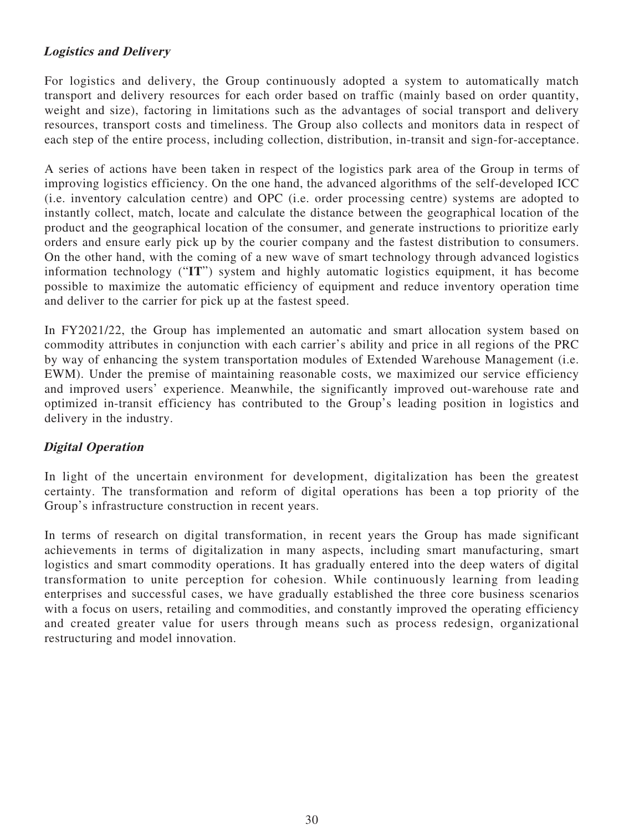# **Logistics and Delivery**

For logistics and delivery, the Group continuously adopted a system to automatically match transport and delivery resources for each order based on traffic (mainly based on order quantity, weight and size), factoring in limitations such as the advantages of social transport and delivery resources, transport costs and timeliness. The Group also collects and monitors data in respect of each step of the entire process, including collection, distribution, in-transit and sign-for-acceptance.

A series of actions have been taken in respect of the logistics park area of the Group in terms of improving logistics efficiency. On the one hand, the advanced algorithms of the self-developed ICC (i.e. inventory calculation centre) and OPC (i.e. order processing centre) systems are adopted to instantly collect, match, locate and calculate the distance between the geographical location of the product and the geographical location of the consumer, and generate instructions to prioritize early orders and ensure early pick up by the courier company and the fastest distribution to consumers. On the other hand, with the coming of a new wave of smart technology through advanced logistics information technology ("**IT**") system and highly automatic logistics equipment, it has become possible to maximize the automatic efficiency of equipment and reduce inventory operation time and deliver to the carrier for pick up at the fastest speed.

In FY2021/22, the Group has implemented an automatic and smart allocation system based on commodity attributes in conjunction with each carrier's ability and price in all regions of the PRC by way of enhancing the system transportation modules of Extended Warehouse Management (i.e. EWM). Under the premise of maintaining reasonable costs, we maximized our service efficiency and improved users' experience. Meanwhile, the significantly improved out-warehouse rate and optimized in-transit efficiency has contributed to the Group's leading position in logistics and delivery in the industry.

# **Digital Operation**

In light of the uncertain environment for development, digitalization has been the greatest certainty. The transformation and reform of digital operations has been a top priority of the Group's infrastructure construction in recent years.

In terms of research on digital transformation, in recent years the Group has made significant achievements in terms of digitalization in many aspects, including smart manufacturing, smart logistics and smart commodity operations. It has gradually entered into the deep waters of digital transformation to unite perception for cohesion. While continuously learning from leading enterprises and successful cases, we have gradually established the three core business scenarios with a focus on users, retailing and commodities, and constantly improved the operating efficiency and created greater value for users through means such as process redesign, organizational restructuring and model innovation.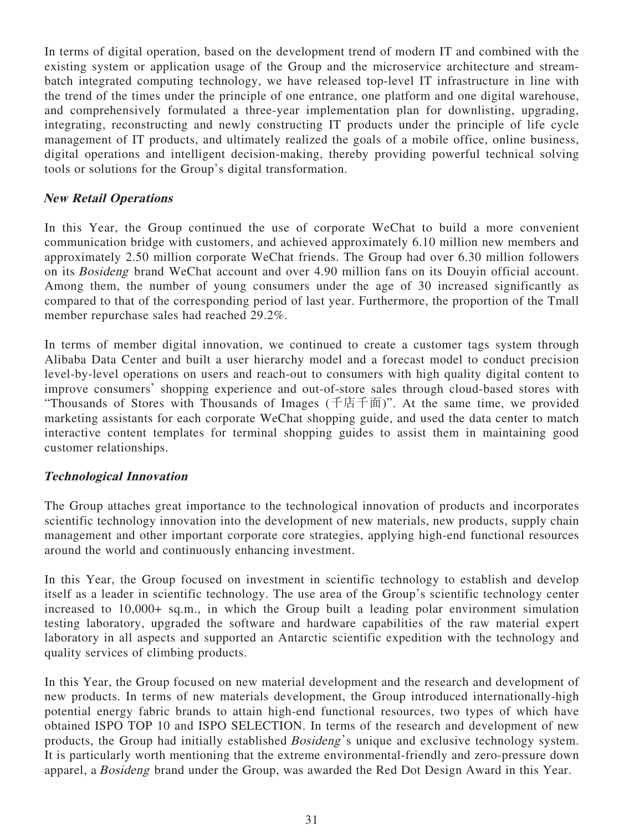In terms of digital operation, based on the development trend of modern IT and combined with the existing system or application usage of the Group and the microservice architecture and streambatch integrated computing technology, we have released top-level IT infrastructure in line with the trend of the times under the principle of one entrance, one platform and one digital warehouse, and comprehensively formulated a three-year implementation plan for downlisting, upgrading, integrating, reconstructing and newly constructing IT products under the principle of life cycle management of IT products, and ultimately realized the goals of a mobile office, online business, digital operations and intelligent decision-making, thereby providing powerful technical solving tools or solutions for the Group's digital transformation.

## **New Retail Operations**

In this Year, the Group continued the use of corporate WeChat to build a more convenient communication bridge with customers, and achieved approximately 6.10 million new members and approximately 2.50 million corporate WeChat friends. The Group had over 6.30 million followers on its Bosideng brand WeChat account and over 4.90 million fans on its Douyin official account. Among them, the number of young consumers under the age of 30 increased significantly as compared to that of the corresponding period of last year. Furthermore, the proportion of the Tmall member repurchase sales had reached 29.2%.

In terms of member digital innovation, we continued to create a customer tags system through Alibaba Data Center and built a user hierarchy model and a forecast model to conduct precision level-by-level operations on users and reach-out to consumers with high quality digital content to improve consumers' shopping experience and out-of-store sales through cloud-based stores with "Thousands of Stores with Thousands of Images (千店千面)". At the same time, we provided marketing assistants for each corporate WeChat shopping guide, and used the data center to match interactive content templates for terminal shopping guides to assist them in maintaining good customer relationships.

# **Technological Innovation**

The Group attaches great importance to the technological innovation of products and incorporates scientific technology innovation into the development of new materials, new products, supply chain management and other important corporate core strategies, applying high-end functional resources around the world and continuously enhancing investment.

In this Year, the Group focused on investment in scientific technology to establish and develop itself as a leader in scientific technology. The use area of the Group's scientific technology center increased to 10,000+ sq.m., in which the Group built a leading polar environment simulation testing laboratory, upgraded the software and hardware capabilities of the raw material expert laboratory in all aspects and supported an Antarctic scientific expedition with the technology and quality services of climbing products.

In this Year, the Group focused on new material development and the research and development of new products. In terms of new materials development, the Group introduced internationally-high potential energy fabric brands to attain high-end functional resources, two types of which have obtained ISPO TOP 10 and ISPO SELECTION. In terms of the research and development of new products, the Group had initially established Bosideng's unique and exclusive technology system. It is particularly worth mentioning that the extreme environmental-friendly and zero-pressure down apparel, a Bosideng brand under the Group, was awarded the Red Dot Design Award in this Year.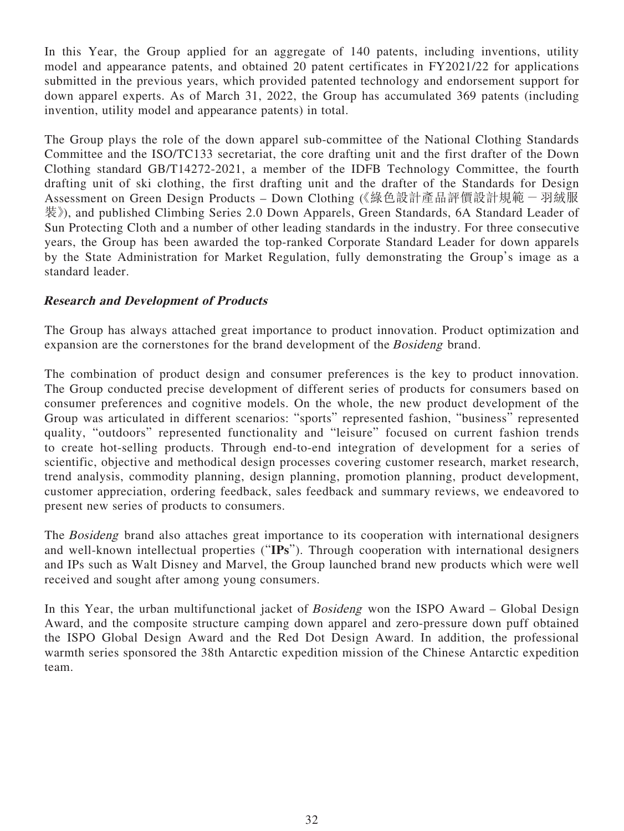In this Year, the Group applied for an aggregate of 140 patents, including inventions, utility model and appearance patents, and obtained 20 patent certificates in FY2021/22 for applications submitted in the previous years, which provided patented technology and endorsement support for down apparel experts. As of March 31, 2022, the Group has accumulated 369 patents (including invention, utility model and appearance patents) in total.

The Group plays the role of the down apparel sub-committee of the National Clothing Standards Committee and the ISO/TC133 secretariat, the core drafting unit and the first drafter of the Down Clothing standard GB/T14272-2021, a member of the IDFB Technology Committee, the fourth drafting unit of ski clothing, the first drafting unit and the drafter of the Standards for Design Assessment on Green Design Products - Down Clothing (《綠色設計產品評價設計規範 - 羽絨服 裝》), and published Climbing Series 2.0 Down Apparels, Green Standards, 6A Standard Leader of Sun Protecting Cloth and a number of other leading standards in the industry. For three consecutive years, the Group has been awarded the top-ranked Corporate Standard Leader for down apparels by the State Administration for Market Regulation, fully demonstrating the Group's image as a standard leader.

# **Research and Development of Products**

The Group has always attached great importance to product innovation. Product optimization and expansion are the cornerstones for the brand development of the Bosideng brand.

The combination of product design and consumer preferences is the key to product innovation. The Group conducted precise development of different series of products for consumers based on consumer preferences and cognitive models. On the whole, the new product development of the Group was articulated in different scenarios: "sports" represented fashion, "business" represented quality, "outdoors" represented functionality and "leisure" focused on current fashion trends to create hot-selling products. Through end-to-end integration of development for a series of scientific, objective and methodical design processes covering customer research, market research, trend analysis, commodity planning, design planning, promotion planning, product development, customer appreciation, ordering feedback, sales feedback and summary reviews, we endeavored to present new series of products to consumers.

The Bosideng brand also attaches great importance to its cooperation with international designers and well-known intellectual properties ("**IPs**"). Through cooperation with international designers and IPs such as Walt Disney and Marvel, the Group launched brand new products which were well received and sought after among young consumers.

In this Year, the urban multifunctional jacket of *Bosideng* won the ISPO Award – Global Design Award, and the composite structure camping down apparel and zero-pressure down puff obtained the ISPO Global Design Award and the Red Dot Design Award. In addition, the professional warmth series sponsored the 38th Antarctic expedition mission of the Chinese Antarctic expedition team.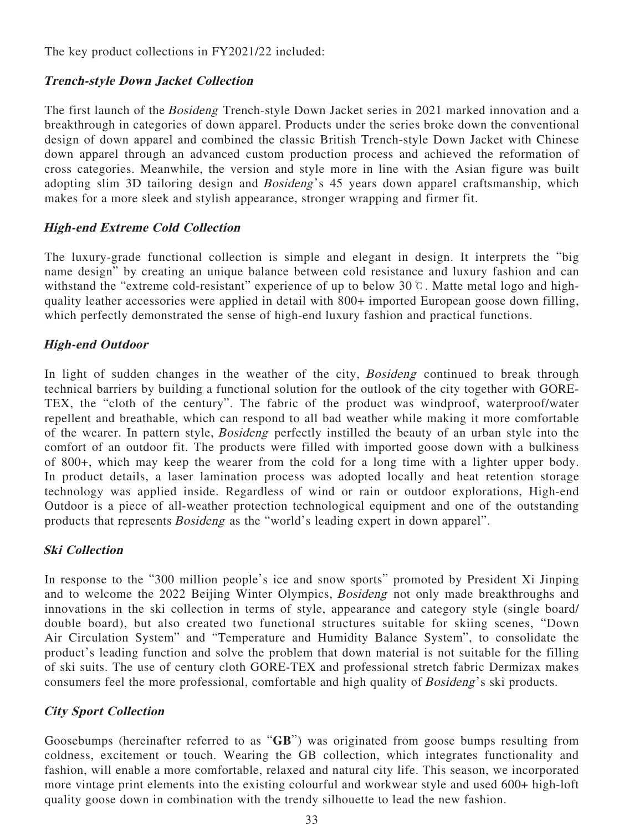The key product collections in FY2021/22 included:

# **Trench-style Down Jacket Collection**

The first launch of the Bosideng Trench-style Down Jacket series in 2021 marked innovation and a breakthrough in categories of down apparel. Products under the series broke down the conventional design of down apparel and combined the classic British Trench-style Down Jacket with Chinese down apparel through an advanced custom production process and achieved the reformation of cross categories. Meanwhile, the version and style more in line with the Asian figure was built adopting slim 3D tailoring design and Bosideng's 45 years down apparel craftsmanship, which makes for a more sleek and stylish appearance, stronger wrapping and firmer fit.

# **High-end Extreme Cold Collection**

The luxury-grade functional collection is simple and elegant in design. It interprets the "big name design" by creating an unique balance between cold resistance and luxury fashion and can withstand the "extreme cold-resistant" experience of up to below 30℃. Matte metal logo and highquality leather accessories were applied in detail with 800+ imported European goose down filling, which perfectly demonstrated the sense of high-end luxury fashion and practical functions.

# **High-end Outdoor**

In light of sudden changes in the weather of the city, *Bosideng* continued to break through technical barriers by building a functional solution for the outlook of the city together with GORE-TEX, the "cloth of the century". The fabric of the product was windproof, waterproof/water repellent and breathable, which can respond to all bad weather while making it more comfortable of the wearer. In pattern style, Bosideng perfectly instilled the beauty of an urban style into the comfort of an outdoor fit. The products were filled with imported goose down with a bulkiness of 800+, which may keep the wearer from the cold for a long time with a lighter upper body. In product details, a laser lamination process was adopted locally and heat retention storage technology was applied inside. Regardless of wind or rain or outdoor explorations, High-end Outdoor is a piece of all-weather protection technological equipment and one of the outstanding products that represents Bosideng as the "world's leading expert in down apparel".

# **Ski Collection**

In response to the "300 million people's ice and snow sports" promoted by President Xi Jinping and to welcome the 2022 Beijing Winter Olympics, Bosideng not only made breakthroughs and innovations in the ski collection in terms of style, appearance and category style (single board/ double board), but also created two functional structures suitable for skiing scenes, "Down Air Circulation System" and "Temperature and Humidity Balance System", to consolidate the product's leading function and solve the problem that down material is not suitable for the filling of ski suits. The use of century cloth GORE-TEX and professional stretch fabric Dermizax makes consumers feel the more professional, comfortable and high quality of Bosideng's ski products.

# **City Sport Collection**

Goosebumps (hereinafter referred to as "**GB**") was originated from goose bumps resulting from coldness, excitement or touch. Wearing the GB collection, which integrates functionality and fashion, will enable a more comfortable, relaxed and natural city life. This season, we incorporated more vintage print elements into the existing colourful and workwear style and used 600+ high-loft quality goose down in combination with the trendy silhouette to lead the new fashion.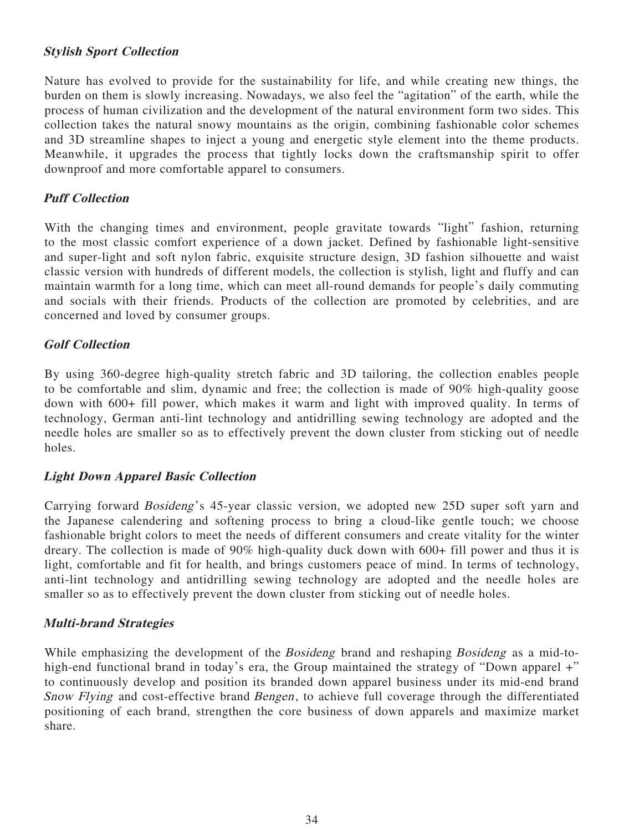### **Stylish Sport Collection**

Nature has evolved to provide for the sustainability for life, and while creating new things, the burden on them is slowly increasing. Nowadays, we also feel the "agitation" of the earth, while the process of human civilization and the development of the natural environment form two sides. This collection takes the natural snowy mountains as the origin, combining fashionable color schemes and 3D streamline shapes to inject a young and energetic style element into the theme products. Meanwhile, it upgrades the process that tightly locks down the craftsmanship spirit to offer downproof and more comfortable apparel to consumers.

### **Puff Collection**

With the changing times and environment, people gravitate towards "light" fashion, returning to the most classic comfort experience of a down jacket. Defined by fashionable light-sensitive and super-light and soft nylon fabric, exquisite structure design, 3D fashion silhouette and waist classic version with hundreds of different models, the collection is stylish, light and fluffy and can maintain warmth for a long time, which can meet all-round demands for people's daily commuting and socials with their friends. Products of the collection are promoted by celebrities, and are concerned and loved by consumer groups.

### **Golf Collection**

By using 360-degree high-quality stretch fabric and 3D tailoring, the collection enables people to be comfortable and slim, dynamic and free; the collection is made of 90% high-quality goose down with 600+ fill power, which makes it warm and light with improved quality. In terms of technology, German anti-lint technology and antidrilling sewing technology are adopted and the needle holes are smaller so as to effectively prevent the down cluster from sticking out of needle holes.

### **Light Down Apparel Basic Collection**

Carrying forward Bosideng's 45-year classic version, we adopted new 25D super soft yarn and the Japanese calendering and softening process to bring a cloud-like gentle touch; we choose fashionable bright colors to meet the needs of different consumers and create vitality for the winter dreary. The collection is made of 90% high-quality duck down with 600+ fill power and thus it is light, comfortable and fit for health, and brings customers peace of mind. In terms of technology, anti-lint technology and antidrilling sewing technology are adopted and the needle holes are smaller so as to effectively prevent the down cluster from sticking out of needle holes.

### **Multi-brand Strategies**

While emphasizing the development of the *Bosideng* brand and reshaping *Bosideng* as a mid-tohigh-end functional brand in today's era, the Group maintained the strategy of "Down apparel +" to continuously develop and position its branded down apparel business under its mid-end brand Snow Flying and cost-effective brand Bengen, to achieve full coverage through the differentiated positioning of each brand, strengthen the core business of down apparels and maximize market share.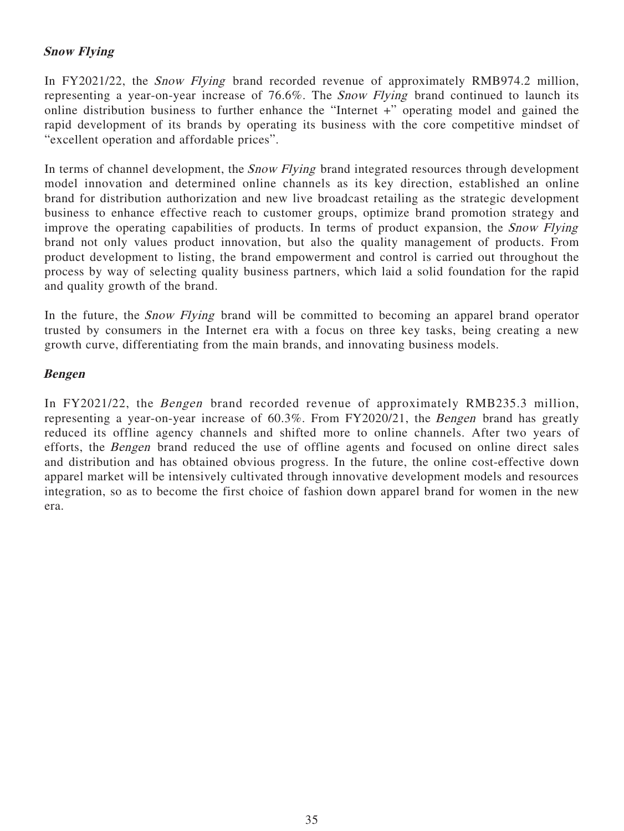# **Snow Flying**

In FY2021/22, the *Snow Flying* brand recorded revenue of approximately RMB974.2 million, representing a year-on-year increase of 76.6%. The Snow Flying brand continued to launch its online distribution business to further enhance the "Internet +" operating model and gained the rapid development of its brands by operating its business with the core competitive mindset of "excellent operation and affordable prices".

In terms of channel development, the *Snow Flying* brand integrated resources through development model innovation and determined online channels as its key direction, established an online brand for distribution authorization and new live broadcast retailing as the strategic development business to enhance effective reach to customer groups, optimize brand promotion strategy and improve the operating capabilities of products. In terms of product expansion, the Snow Flying brand not only values product innovation, but also the quality management of products. From product development to listing, the brand empowerment and control is carried out throughout the process by way of selecting quality business partners, which laid a solid foundation for the rapid and quality growth of the brand.

In the future, the *Snow Flying* brand will be committed to becoming an apparel brand operator trusted by consumers in the Internet era with a focus on three key tasks, being creating a new growth curve, differentiating from the main brands, and innovating business models.

### **Bengen**

In FY2021/22, the Bengen brand recorded revenue of approximately RMB235.3 million, representing a year-on-year increase of 60.3%. From FY2020/21, the Bengen brand has greatly reduced its offline agency channels and shifted more to online channels. After two years of efforts, the Bengen brand reduced the use of offline agents and focused on online direct sales and distribution and has obtained obvious progress. In the future, the online cost-effective down apparel market will be intensively cultivated through innovative development models and resources integration, so as to become the first choice of fashion down apparel brand for women in the new era.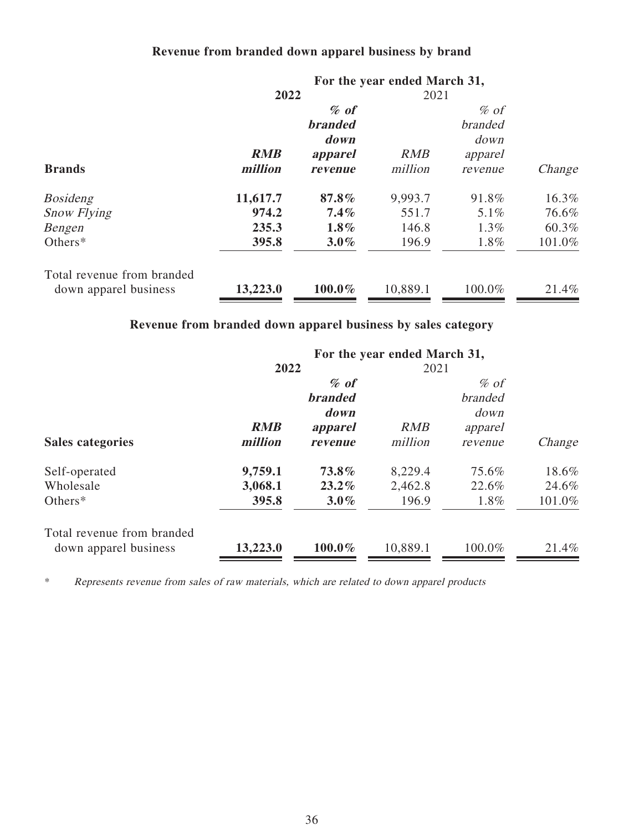# **Revenue from branded down apparel business by brand**

|                            |            |                | For the year ended March 31, |                |        |
|----------------------------|------------|----------------|------------------------------|----------------|--------|
|                            | 2022       |                |                              | 2021           |        |
|                            |            | $%$ of         |                              | $\%$ of        |        |
|                            |            | <b>branded</b> |                              | <b>branded</b> |        |
|                            |            | down           |                              | down           |        |
|                            | <b>RMB</b> | apparel        | <b>RMB</b>                   | apparel        |        |
| <b>Brands</b>              | million    | revenue        | million                      | revenue        | Change |
| <b>Bosideng</b>            | 11,617.7   | 87.8%          | 9,993.7                      | 91.8%          | 16.3%  |
| <b>Snow Flying</b>         | 974.2      | $7.4\%$        | 551.7                        | 5.1%           | 76.6%  |
| Bengen                     | 235.3      | $1.8\%$        | 146.8                        | $1.3\%$        | 60.3%  |
| Others $*$                 | 395.8      | $3.0\%$        | 196.9                        | 1.8%           | 101.0% |
| Total revenue from branded |            |                |                              |                |        |
| down apparel business      | 13,223.0   | 100.0%         | 10,889.1                     | 100.0%         | 21.4%  |

# **Revenue from branded down apparel business by sales category**

|            | $%$ of         |            | $%$ of         |                                      |
|------------|----------------|------------|----------------|--------------------------------------|
|            | <b>branded</b> |            | <i>branded</i> |                                      |
|            | down           |            | down           |                                      |
| <b>RMB</b> | apparel        | <b>RMB</b> | apparel        |                                      |
| million    | revenue        | million    | revenue        | Change                               |
| 9,759.1    | 73.8%          | 8,229.4    | 75.6%          | 18.6%                                |
| 3,068.1    | $23.2\%$       | 2,462.8    | 22.6%          | 24.6%                                |
| 395.8      | $3.0\%$        | 196.9      | 1.8%           | 101.0%                               |
| 13,223.0   | $100.0\%$      | 10,889.1   | 100.0%         | 21.4%                                |
|            |                | 2022       |                | For the year ended March 31,<br>2021 |

\* Represents revenue from sales of raw materials, which are related to down apparel products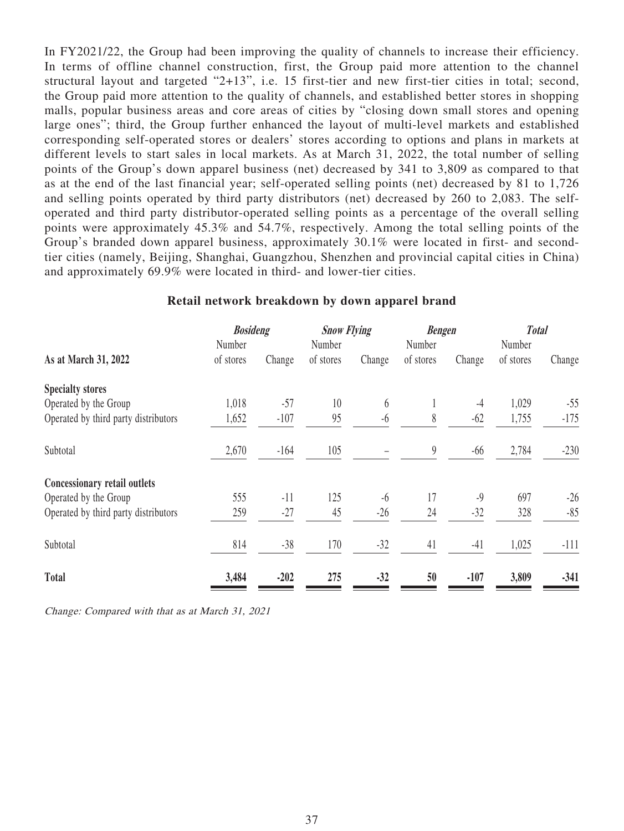In FY2021/22, the Group had been improving the quality of channels to increase their efficiency. In terms of offline channel construction, first, the Group paid more attention to the channel structural layout and targeted "2+13", i.e. 15 first-tier and new first-tier cities in total; second, the Group paid more attention to the quality of channels, and established better stores in shopping malls, popular business areas and core areas of cities by "closing down small stores and opening large ones"; third, the Group further enhanced the layout of multi-level markets and established corresponding self-operated stores or dealers' stores according to options and plans in markets at different levels to start sales in local markets. As at March 31, 2022, the total number of selling points of the Group's down apparel business (net) decreased by 341 to 3,809 as compared to that as at the end of the last financial year; self-operated selling points (net) decreased by 81 to 1,726 and selling points operated by third party distributors (net) decreased by 260 to 2,083. The selfoperated and third party distributor-operated selling points as a percentage of the overall selling points were approximately 45.3% and 54.7%, respectively. Among the total selling points of the Group's branded down apparel business, approximately 30.1% were located in first- and secondtier cities (namely, Beijing, Shanghai, Guangzhou, Shenzhen and provincial capital cities in China) and approximately 69.9% were located in third- and lower-tier cities.

|                                      | <b>Bosideng</b> |        | <b>Snow Flying</b> |        | <b>Bengen</b>    |        | <b>Total</b> |        |
|--------------------------------------|-----------------|--------|--------------------|--------|------------------|--------|--------------|--------|
|                                      | Number          |        | Number             |        | Number           |        | Number       |        |
| As at March 31, 2022                 | of stores       | Change | of stores          | Change | of stores        | Change | of stores    | Change |
| <b>Specialty stores</b>              |                 |        |                    |        |                  |        |              |        |
| Operated by the Group                | 1,018           | $-57$  | 10                 | 6      | $\mathbf{I}$     | $-4$   | 1,029        | $-55$  |
| Operated by third party distributors | 1,652           | $-107$ | 95                 | $-6$   | 8                | $-62$  | 1,755        | $-175$ |
| Subtotal                             | 2,670           | $-164$ | 105                |        | $\boldsymbol{9}$ | $-66$  | 2,784        | $-230$ |
| Concessionary retail outlets         |                 |        |                    |        |                  |        |              |        |
| Operated by the Group                | 555             | $-11$  | 125                | $-6$   | 17               | $-9$   | 697          | $-26$  |
| Operated by third party distributors | 259             | $-27$  | 45                 | $-26$  | 24               | $-32$  | 328          | $-85$  |
| Subtotal                             | 814             | $-38$  | 170                | $-32$  | 41               | $-41$  | 1,025        | $-111$ |
| <b>Total</b>                         | 3,484           | $-202$ | 275                | $-32$  | 50               | $-107$ | 3,809        | $-341$ |

### **Retail network breakdown by down apparel brand**

Change: Compared with that as at March 31, 2021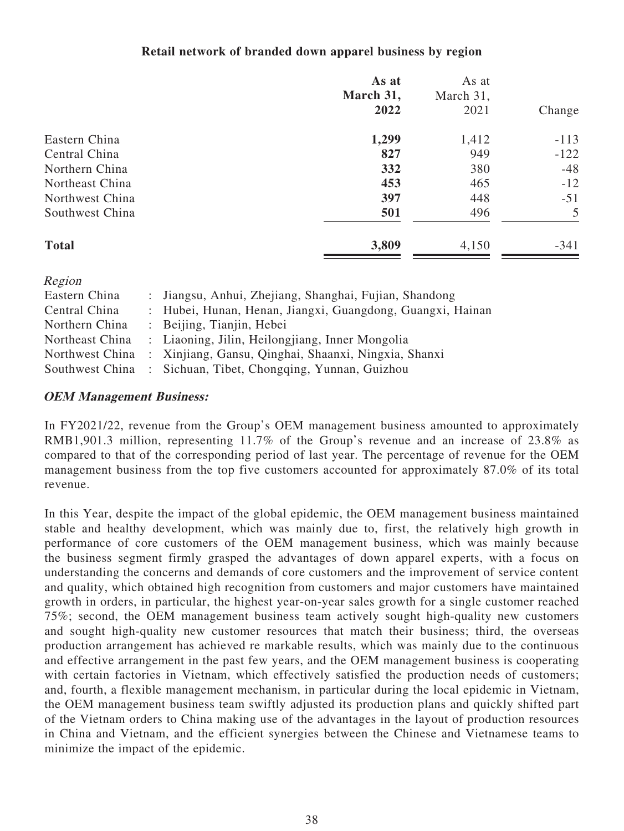# **Retail network of branded down apparel business by region**

|                 | As at<br>March 31,<br>2022 | As at<br>March 31,<br>2021 | Change |
|-----------------|----------------------------|----------------------------|--------|
| Eastern China   | 1,299                      | 1,412                      | $-113$ |
| Central China   | 827                        | 949                        | $-122$ |
| Northern China  | 332                        | 380                        | $-48$  |
| Northeast China | 453                        | 465                        | $-12$  |
| Northwest China | 397                        | 448                        | $-51$  |
| Southwest China | 501                        | 496                        | 5      |
| <b>Total</b>    | 3,809                      | 4,150                      | $-341$ |

| Region          |                                                            |
|-----------------|------------------------------------------------------------|
| Eastern China   | : Jiangsu, Anhui, Zhejiang, Shanghai, Fujian, Shandong     |
| Central China   | : Hubei, Hunan, Henan, Jiangxi, Guangdong, Guangxi, Hainan |
| Northern China  | : Beijing, Tianjin, Hebei                                  |
| Northeast China | : Liaoning, Jilin, Heilongjiang, Inner Mongolia            |
| Northwest China | : Xinjiang, Gansu, Qinghai, Shaanxi, Ningxia, Shanxi       |
| Southwest China | : Sichuan, Tibet, Chongqing, Yunnan, Guizhou               |

### **OEM Management Business:**

In FY2021/22, revenue from the Group's OEM management business amounted to approximately RMB1,901.3 million, representing 11.7% of the Group's revenue and an increase of 23.8% as compared to that of the corresponding period of last year. The percentage of revenue for the OEM management business from the top five customers accounted for approximately 87.0% of its total revenue.

In this Year, despite the impact of the global epidemic, the OEM management business maintained stable and healthy development, which was mainly due to, first, the relatively high growth in performance of core customers of the OEM management business, which was mainly because the business segment firmly grasped the advantages of down apparel experts, with a focus on understanding the concerns and demands of core customers and the improvement of service content and quality, which obtained high recognition from customers and major customers have maintained growth in orders, in particular, the highest year-on-year sales growth for a single customer reached 75%; second, the OEM management business team actively sought high-quality new customers and sought high-quality new customer resources that match their business; third, the overseas production arrangement has achieved re markable results, which was mainly due to the continuous and effective arrangement in the past few years, and the OEM management business is cooperating with certain factories in Vietnam, which effectively satisfied the production needs of customers; and, fourth, a flexible management mechanism, in particular during the local epidemic in Vietnam, the OEM management business team swiftly adjusted its production plans and quickly shifted part of the Vietnam orders to China making use of the advantages in the layout of production resources in China and Vietnam, and the efficient synergies between the Chinese and Vietnamese teams to minimize the impact of the epidemic.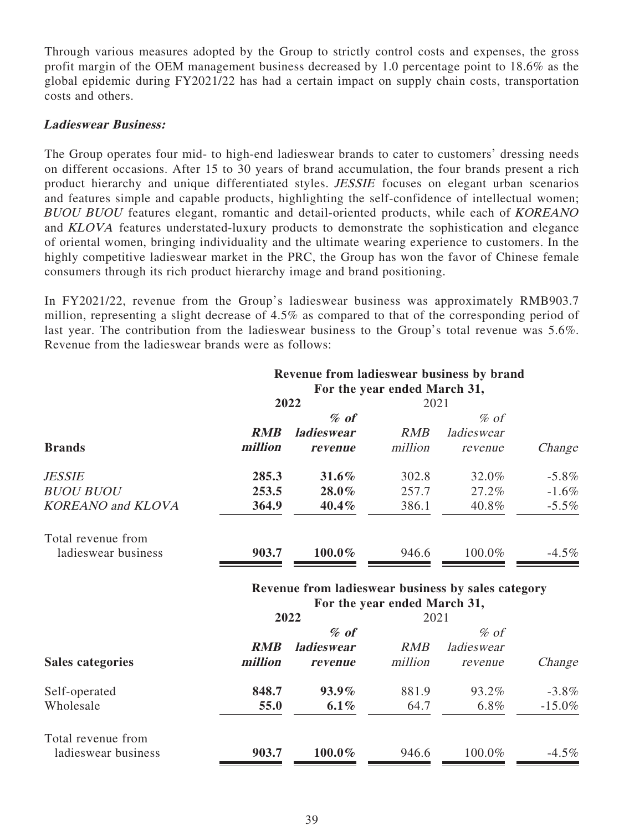Through various measures adopted by the Group to strictly control costs and expenses, the gross profit margin of the OEM management business decreased by 1.0 percentage point to 18.6% as the global epidemic during FY2021/22 has had a certain impact on supply chain costs, transportation costs and others.

### **Ladieswear Business:**

The Group operates four mid- to high-end ladieswear brands to cater to customers' dressing needs on different occasions. After 15 to 30 years of brand accumulation, the four brands present a rich product hierarchy and unique differentiated styles. JESSIE focuses on elegant urban scenarios and features simple and capable products, highlighting the self-confidence of intellectual women; BUOU BUOU features elegant, romantic and detail-oriented products, while each of KOREANO and KLOVA features understated-luxury products to demonstrate the sophistication and elegance of oriental women, bringing individuality and the ultimate wearing experience to customers. In the highly competitive ladieswear market in the PRC, the Group has won the favor of Chinese female consumers through its rich product hierarchy image and brand positioning.

In FY2021/22, revenue from the Group's ladieswear business was approximately RMB903.7 million, representing a slight decrease of 4.5% as compared to that of the corresponding period of last year. The contribution from the ladieswear business to the Group's total revenue was 5.6%. Revenue from the ladieswear brands were as follows:

|                                 |            | Revenue from ladieswear business by brand          | For the year ended March 31, |            |           |
|---------------------------------|------------|----------------------------------------------------|------------------------------|------------|-----------|
|                                 |            | 2022                                               | 2021                         |            |           |
|                                 |            | $%$ of                                             |                              | $%$ of     |           |
|                                 | <b>RMB</b> | <b>ladieswear</b>                                  | RMB                          | ladieswear |           |
| <b>Brands</b>                   | million    | revenue                                            | million                      | revenue    | Change    |
| <i><b>JESSIE</b></i>            | 285.3      | $31.6\%$                                           | 302.8                        | 32.0%      | $-5.8\%$  |
| <b>BUOU BUOU</b>                | 253.5      | 28.0%                                              | 257.7                        | 27.2%      | $-1.6\%$  |
| <b>KOREANO</b> and <b>KLOVA</b> | 364.9      | 40.4%                                              | 386.1                        | 40.8%      | $-5.5\%$  |
| Total revenue from              |            |                                                    |                              |            |           |
| ladieswear business             | 903.7      | 100.0%                                             | 946.6                        | 100.0%     | $-4.5\%$  |
|                                 |            | Revenue from ladieswear business by sales category |                              |            |           |
|                                 |            | 2022                                               | For the year ended March 31, |            |           |
|                                 |            | $%$ of                                             | 2021                         | $%$ of     |           |
|                                 | <b>RMB</b> | <b>ladieswear</b>                                  | <b>RMB</b>                   | ladieswear |           |
| <b>Sales categories</b>         | million    | revenue                                            | million                      | revenue    | Change    |
| Self-operated                   | 848.7      | $93.9\%$                                           | 881.9                        | 93.2%      | $-3.8\%$  |
| Wholesale                       | 55.0       | $6.1\%$                                            | 64.7                         | 6.8%       | $-15.0\%$ |
| Total revenue from              |            |                                                    |                              |            |           |
| ladieswear business             | 903.7      | 100.0%                                             | 946.6                        | 100.0%     | $-4.5\%$  |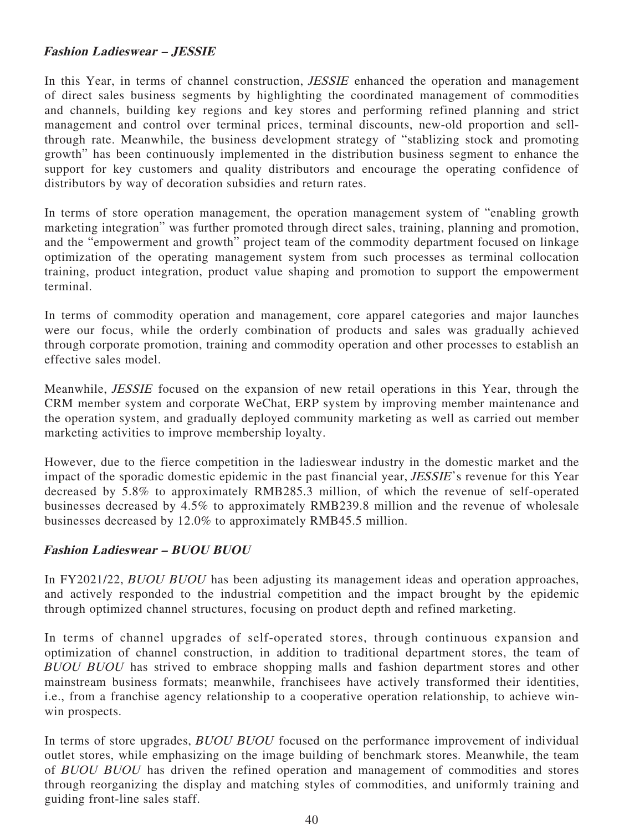# **Fashion Ladieswear – JESSIE**

In this Year, in terms of channel construction, *JESSIE* enhanced the operation and management of direct sales business segments by highlighting the coordinated management of commodities and channels, building key regions and key stores and performing refined planning and strict management and control over terminal prices, terminal discounts, new-old proportion and sellthrough rate. Meanwhile, the business development strategy of "stablizing stock and promoting growth" has been continuously implemented in the distribution business segment to enhance the support for key customers and quality distributors and encourage the operating confidence of distributors by way of decoration subsidies and return rates.

In terms of store operation management, the operation management system of "enabling growth marketing integration" was further promoted through direct sales, training, planning and promotion, and the "empowerment and growth" project team of the commodity department focused on linkage optimization of the operating management system from such processes as terminal collocation training, product integration, product value shaping and promotion to support the empowerment terminal.

In terms of commodity operation and management, core apparel categories and major launches were our focus, while the orderly combination of products and sales was gradually achieved through corporate promotion, training and commodity operation and other processes to establish an effective sales model.

Meanwhile, JESSIE focused on the expansion of new retail operations in this Year, through the CRM member system and corporate WeChat, ERP system by improving member maintenance and the operation system, and gradually deployed community marketing as well as carried out member marketing activities to improve membership loyalty.

However, due to the fierce competition in the ladieswear industry in the domestic market and the impact of the sporadic domestic epidemic in the past financial year, JESSIE's revenue for this Year decreased by 5.8% to approximately RMB285.3 million, of which the revenue of self-operated businesses decreased by 4.5% to approximately RMB239.8 million and the revenue of wholesale businesses decreased by 12.0% to approximately RMB45.5 million.

# **Fashion Ladieswear – BUOU BUOU**

In FY2021/22, *BUOU BUOU* has been adjusting its management ideas and operation approaches, and actively responded to the industrial competition and the impact brought by the epidemic through optimized channel structures, focusing on product depth and refined marketing.

In terms of channel upgrades of self-operated stores, through continuous expansion and optimization of channel construction, in addition to traditional department stores, the team of BUOU BUOU has strived to embrace shopping malls and fashion department stores and other mainstream business formats; meanwhile, franchisees have actively transformed their identities, i.e., from a franchise agency relationship to a cooperative operation relationship, to achieve winwin prospects.

In terms of store upgrades, *BUOU BUOU* focused on the performance improvement of individual outlet stores, while emphasizing on the image building of benchmark stores. Meanwhile, the team of BUOU BUOU has driven the refined operation and management of commodities and stores through reorganizing the display and matching styles of commodities, and uniformly training and guiding front-line sales staff.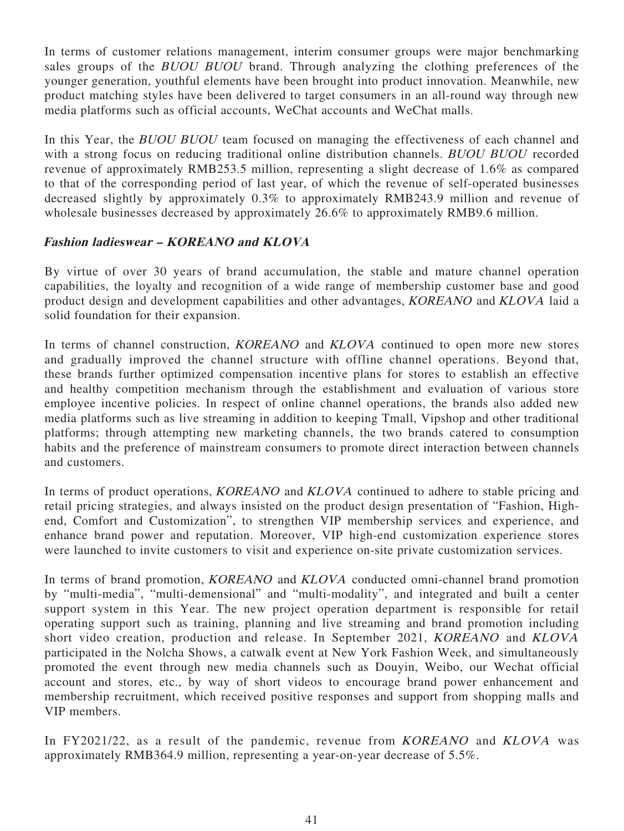In terms of customer relations management, interim consumer groups were major benchmarking sales groups of the BUOU BUOU brand. Through analyzing the clothing preferences of the younger generation, youthful elements have been brought into product innovation. Meanwhile, new product matching styles have been delivered to target consumers in an all-round way through new media platforms such as official accounts, WeChat accounts and WeChat malls.

In this Year, the *BUOU BUOU* team focused on managing the effectiveness of each channel and with a strong focus on reducing traditional online distribution channels. BUOU BUOU recorded revenue of approximately RMB253.5 million, representing a slight decrease of 1.6% as compared to that of the corresponding period of last year, of which the revenue of self-operated businesses decreased slightly by approximately 0.3% to approximately RMB243.9 million and revenue of wholesale businesses decreased by approximately 26.6% to approximately RMB9.6 million.

# **Fashion ladieswear – KOREANO and KLOVA**

By virtue of over 30 years of brand accumulation, the stable and mature channel operation capabilities, the loyalty and recognition of a wide range of membership customer base and good product design and development capabilities and other advantages, KOREANO and KLOVA laid a solid foundation for their expansion.

In terms of channel construction, *KOREANO* and *KLOVA* continued to open more new stores and gradually improved the channel structure with offline channel operations. Beyond that, these brands further optimized compensation incentive plans for stores to establish an effective and healthy competition mechanism through the establishment and evaluation of various store employee incentive policies. In respect of online channel operations, the brands also added new media platforms such as live streaming in addition to keeping Tmall, Vipshop and other traditional platforms; through attempting new marketing channels, the two brands catered to consumption habits and the preference of mainstream consumers to promote direct interaction between channels and customers.

In terms of product operations, *KOREANO* and *KLOVA* continued to adhere to stable pricing and retail pricing strategies, and always insisted on the product design presentation of "Fashion, Highend, Comfort and Customization", to strengthen VIP membership services and experience, and enhance brand power and reputation. Moreover, VIP high-end customization experience stores were launched to invite customers to visit and experience on-site private customization services.

In terms of brand promotion, *KOREANO* and *KLOVA* conducted omni-channel brand promotion by "multi-media", "multi-demensional" and "multi-modality", and integrated and built a center support system in this Year. The new project operation department is responsible for retail operating support such as training, planning and live streaming and brand promotion including short video creation, production and release. In September 2021, KOREANO and KLOVA participated in the Nolcha Shows, a catwalk event at New York Fashion Week, and simultaneously promoted the event through new media channels such as Douyin, Weibo, our Wechat official account and stores, etc., by way of short videos to encourage brand power enhancement and membership recruitment, which received positive responses and support from shopping malls and VIP members.

In FY2021/22, as a result of the pandemic, revenue from KOREANO and KLOVA was approximately RMB364.9 million, representing a year-on-year decrease of 5.5%.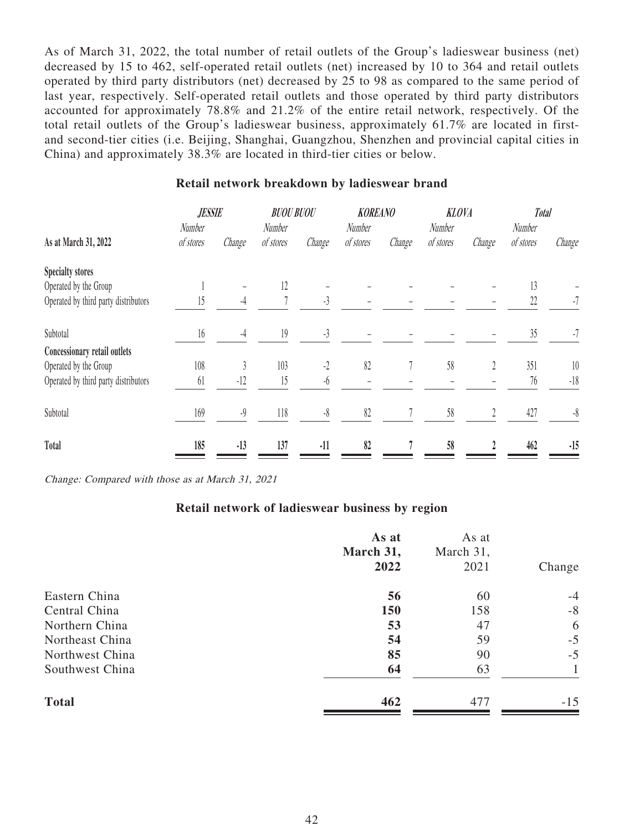As of March 31, 2022, the total number of retail outlets of the Group's ladieswear business (net) decreased by 15 to 462, self-operated retail outlets (net) increased by 10 to 364 and retail outlets operated by third party distributors (net) decreased by 25 to 98 as compared to the same period of last year, respectively. Self-operated retail outlets and those operated by third party distributors accounted for approximately 78.8% and 21.2% of the entire retail network, respectively. Of the total retail outlets of the Group's ladieswear business, approximately 61.7% are located in firstand second-tier cities (i.e. Beijing, Shanghai, Guangzhou, Shenzhen and provincial capital cities in China) and approximately 38.3% are located in third-tier cities or below.

|                                      | <b>JESSIE</b><br>Number |        | <b>BUOU BUOU</b>    |           | <b>KOREANO</b>      |        | <b>KLOVA</b>        |        | <b>Total</b>        |           |
|--------------------------------------|-------------------------|--------|---------------------|-----------|---------------------|--------|---------------------|--------|---------------------|-----------|
| As at March 31, 2022                 | of stores               | Change | Number<br>of stores | Change    | Number<br>of stores | Change | Number<br>of stores | Change | Number<br>of stores | Change    |
| <b>Specialty stores</b>              |                         |        |                     |           |                     |        |                     |        |                     |           |
| Operated by the Group                |                         |        | 12                  |           |                     |        |                     |        | 13                  |           |
| Operated by third party distributors | 15                      | $-4$   |                     | $-3$      |                     |        |                     |        | 22                  | $-7$      |
| Subtotal                             | 16                      | -4     | 19                  | $-3$      |                     |        |                     |        | 35                  | $-7$      |
| Concessionary retail outlets         |                         |        |                     |           |                     |        |                     |        |                     |           |
| Operated by the Group                | 108                     |        | 103                 | $-2$      | 82                  |        | 58                  | 2      | 351                 | 10        |
| Operated by third party distributors | 61                      | $-12$  | 15                  | $-6$      |                     |        |                     |        | 76                  | $-18$     |
| Subtotal                             | 169                     | $-9$   | 118                 | $-\delta$ | 82                  |        | 58                  |        | 427                 | $-\delta$ |
| Total                                | 185                     | $-13$  | 137                 | $-11$     | 82                  |        | 58                  |        | 462                 | $-15$     |

### **Retail network breakdown by ladieswear brand**

Change: Compared with those as at March 31, 2021

### **Retail network of ladieswear business by region**

|                 | As at<br>March 31,<br>2022 | As at<br>March 31,<br>2021 | Change |
|-----------------|----------------------------|----------------------------|--------|
| Eastern China   | 56                         | 60                         | $-4$   |
| Central China   | 150                        | 158                        | $-8$   |
| Northern China  | 53                         | 47                         | 6      |
| Northeast China | 54                         | 59                         | $-5$   |
| Northwest China | 85                         | 90                         | $-5$   |
| Southwest China | 64                         | 63                         |        |
| <b>Total</b>    | 462                        | 477                        | $-15$  |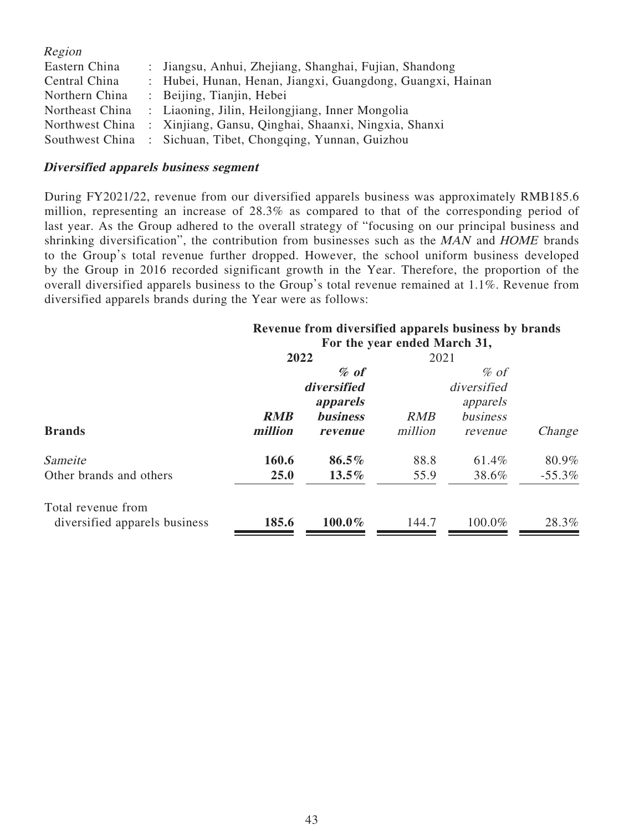| Region          |                                                              |
|-----------------|--------------------------------------------------------------|
| Eastern China   | : Jiangsu, Anhui, Zhejiang, Shanghai, Fujian, Shandong       |
| Central China   | : Hubei, Hunan, Henan, Jiangxi, Guangdong, Guangxi, Hainan   |
| Northern China  | : Beijing, Tianjin, Hebei                                    |
| Northeast China | : Liaoning, Jilin, Heilongjiang, Inner Mongolia              |
| Northwest China | : Xinjiang, Gansu, Qinghai, Shaanxi, Ningxia, Shanxi         |
|                 | Southwest China : Sichuan, Tibet, Chongqing, Yunnan, Guizhou |

### **Diversified apparels business segment**

During FY2021/22, revenue from our diversified apparels business was approximately RMB185.6 million, representing an increase of 28.3% as compared to that of the corresponding period of last year. As the Group adhered to the overall strategy of "focusing on our principal business and shrinking diversification", the contribution from businesses such as the MAN and HOME brands to the Group's total revenue further dropped. However, the school uniform business developed by the Group in 2016 recorded significant growth in the Year. Therefore, the proportion of the overall diversified apparels business to the Group's total revenue remained at 1.1%. Revenue from diversified apparels brands during the Year were as follows:

| Revenue from diversified apparels business by brands |  |
|------------------------------------------------------|--|
| For the year ended March 31,                         |  |

|                               | For the year ended march 31, |                 |            |             |          |  |
|-------------------------------|------------------------------|-----------------|------------|-------------|----------|--|
|                               | 2022                         |                 | 2021       |             |          |  |
|                               |                              | $%$ of          |            | $\%$ of     |          |  |
|                               |                              | diversified     |            | diversified |          |  |
|                               |                              | apparels        |            | apparels    |          |  |
|                               | <b>RMB</b>                   | <b>business</b> | <b>RMB</b> | business    |          |  |
| <b>Brands</b>                 | million                      | revenue         | million    | revenue     | Change   |  |
| Sameite                       | 160.6                        | $86.5\%$        | 88.8       | 61.4%       | 80.9%    |  |
| Other brands and others       | <b>25.0</b>                  | $13.5\%$        | 55.9       | 38.6%       | $-55.3%$ |  |
| Total revenue from            |                              |                 |            |             |          |  |
| diversified apparels business | 185.6                        | 100.0%          | 144.7      | 100.0%      | 28.3%    |  |
|                               |                              |                 |            |             |          |  |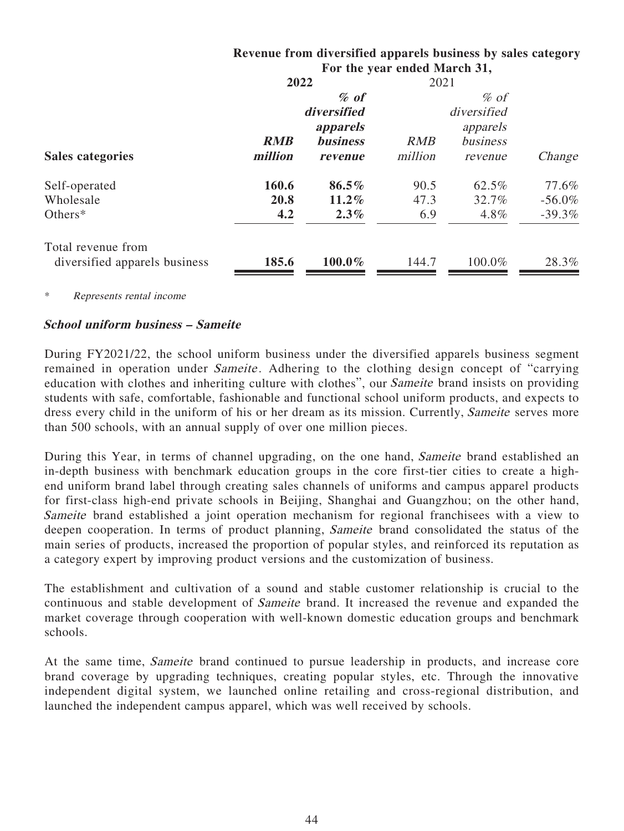|                               |            |                 | For the year ended March 31, |             |           |
|-------------------------------|------------|-----------------|------------------------------|-------------|-----------|
|                               | 2022       |                 | 2021                         |             |           |
|                               |            | $%$ of          |                              | $\%$ of     |           |
|                               |            | diversified     |                              | diversified |           |
|                               |            | apparels        |                              | apparels    |           |
|                               | <b>RMB</b> | <b>business</b> | <b>RMB</b>                   | business    |           |
| <b>Sales categories</b>       | million    | revenue         | million                      | revenue     | Change    |
| Self-operated                 | 160.6      | 86.5%           | 90.5                         | 62.5%       | 77.6%     |
| Wholesale                     | 20.8       | $11.2\%$        | 47.3                         | 32.7%       | $-56.0\%$ |
| Others $*$                    | 4.2        | $2.3\%$         | 6.9                          | $4.8\%$     | $-39.3%$  |
| Total revenue from            |            |                 |                              |             |           |
| diversified apparels business | 185.6      | 100.0%          | 144.7                        | 100.0%      | 28.3%     |
|                               |            |                 |                              |             |           |

# **Revenue from diversified apparels business by sales category For the year ended March 31,**

Represents rental income

# **School uniform business – Sameite**

During FY2021/22, the school uniform business under the diversified apparels business segment remained in operation under *Sameite*. Adhering to the clothing design concept of "carrying" education with clothes and inheriting culture with clothes", our Sameite brand insists on providing students with safe, comfortable, fashionable and functional school uniform products, and expects to dress every child in the uniform of his or her dream as its mission. Currently, Sameite serves more than 500 schools, with an annual supply of over one million pieces.

During this Year, in terms of channel upgrading, on the one hand, Sameite brand established an in-depth business with benchmark education groups in the core first-tier cities to create a highend uniform brand label through creating sales channels of uniforms and campus apparel products for first-class high-end private schools in Beijing, Shanghai and Guangzhou; on the other hand, Sameite brand established a joint operation mechanism for regional franchisees with a view to deepen cooperation. In terms of product planning, Sameite brand consolidated the status of the main series of products, increased the proportion of popular styles, and reinforced its reputation as a category expert by improving product versions and the customization of business.

The establishment and cultivation of a sound and stable customer relationship is crucial to the continuous and stable development of Sameite brand. It increased the revenue and expanded the market coverage through cooperation with well-known domestic education groups and benchmark schools.

At the same time, Sameite brand continued to pursue leadership in products, and increase core brand coverage by upgrading techniques, creating popular styles, etc. Through the innovative independent digital system, we launched online retailing and cross-regional distribution, and launched the independent campus apparel, which was well received by schools.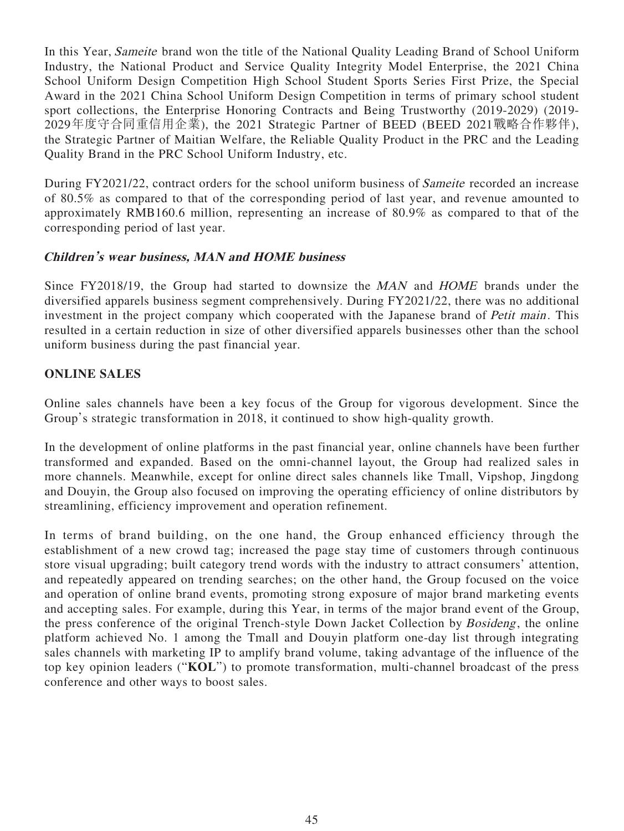In this Year, Sameite brand won the title of the National Quality Leading Brand of School Uniform Industry, the National Product and Service Quality Integrity Model Enterprise, the 2021 China School Uniform Design Competition High School Student Sports Series First Prize, the Special Award in the 2021 China School Uniform Design Competition in terms of primary school student sport collections, the Enterprise Honoring Contracts and Being Trustworthy (2019-2029) (2019- 2029年度守合同重信用企業), the 2021 Strategic Partner of BEED (BEED 2021戰略合作夥伴), the Strategic Partner of Maitian Welfare, the Reliable Quality Product in the PRC and the Leading Quality Brand in the PRC School Uniform Industry, etc.

During FY2021/22, contract orders for the school uniform business of Sameite recorded an increase of 80.5% as compared to that of the corresponding period of last year, and revenue amounted to approximately RMB160.6 million, representing an increase of 80.9% as compared to that of the corresponding period of last year.

# **Children's wear business, MAN and HOME business**

Since FY2018/19, the Group had started to downsize the MAN and HOME brands under the diversified apparels business segment comprehensively. During FY2021/22, there was no additional investment in the project company which cooperated with the Japanese brand of *Petit main*. This resulted in a certain reduction in size of other diversified apparels businesses other than the school uniform business during the past financial year.

# **ONLINE SALES**

Online sales channels have been a key focus of the Group for vigorous development. Since the Group's strategic transformation in 2018, it continued to show high-quality growth.

In the development of online platforms in the past financial year, online channels have been further transformed and expanded. Based on the omni-channel layout, the Group had realized sales in more channels. Meanwhile, except for online direct sales channels like Tmall, Vipshop, Jingdong and Douyin, the Group also focused on improving the operating efficiency of online distributors by streamlining, efficiency improvement and operation refinement.

In terms of brand building, on the one hand, the Group enhanced efficiency through the establishment of a new crowd tag; increased the page stay time of customers through continuous store visual upgrading; built category trend words with the industry to attract consumers' attention, and repeatedly appeared on trending searches; on the other hand, the Group focused on the voice and operation of online brand events, promoting strong exposure of major brand marketing events and accepting sales. For example, during this Year, in terms of the major brand event of the Group, the press conference of the original Trench-style Down Jacket Collection by *Bosideng*, the online platform achieved No. 1 among the Tmall and Douyin platform one-day list through integrating sales channels with marketing IP to amplify brand volume, taking advantage of the influence of the top key opinion leaders ("**KOL**") to promote transformation, multi-channel broadcast of the press conference and other ways to boost sales.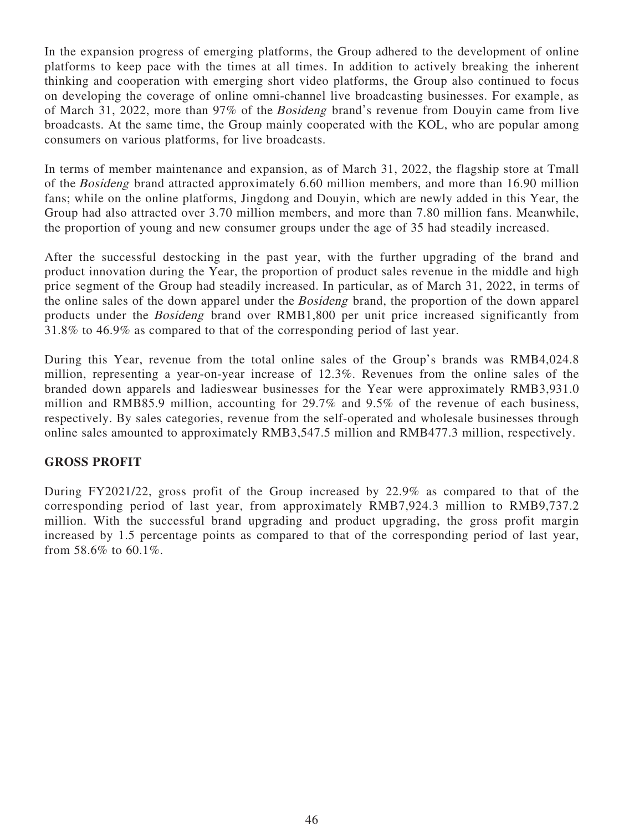In the expansion progress of emerging platforms, the Group adhered to the development of online platforms to keep pace with the times at all times. In addition to actively breaking the inherent thinking and cooperation with emerging short video platforms, the Group also continued to focus on developing the coverage of online omni-channel live broadcasting businesses. For example, as of March 31, 2022, more than 97% of the Bosideng brand's revenue from Douyin came from live broadcasts. At the same time, the Group mainly cooperated with the KOL, who are popular among consumers on various platforms, for live broadcasts.

In terms of member maintenance and expansion, as of March 31, 2022, the flagship store at Tmall of the Bosideng brand attracted approximately 6.60 million members, and more than 16.90 million fans; while on the online platforms, Jingdong and Douyin, which are newly added in this Year, the Group had also attracted over 3.70 million members, and more than 7.80 million fans. Meanwhile, the proportion of young and new consumer groups under the age of 35 had steadily increased.

After the successful destocking in the past year, with the further upgrading of the brand and product innovation during the Year, the proportion of product sales revenue in the middle and high price segment of the Group had steadily increased. In particular, as of March 31, 2022, in terms of the online sales of the down apparel under the Bosideng brand, the proportion of the down apparel products under the Bosideng brand over RMB1,800 per unit price increased significantly from 31.8% to 46.9% as compared to that of the corresponding period of last year.

During this Year, revenue from the total online sales of the Group's brands was RMB4,024.8 million, representing a year-on-year increase of 12.3%. Revenues from the online sales of the branded down apparels and ladieswear businesses for the Year were approximately RMB3,931.0 million and RMB85.9 million, accounting for 29.7% and 9.5% of the revenue of each business, respectively. By sales categories, revenue from the self-operated and wholesale businesses through online sales amounted to approximately RMB3,547.5 million and RMB477.3 million, respectively.

# **GROSS PROFIT**

During FY2021/22, gross profit of the Group increased by 22.9% as compared to that of the corresponding period of last year, from approximately RMB7,924.3 million to RMB9,737.2 million. With the successful brand upgrading and product upgrading, the gross profit margin increased by 1.5 percentage points as compared to that of the corresponding period of last year, from 58.6% to 60.1%.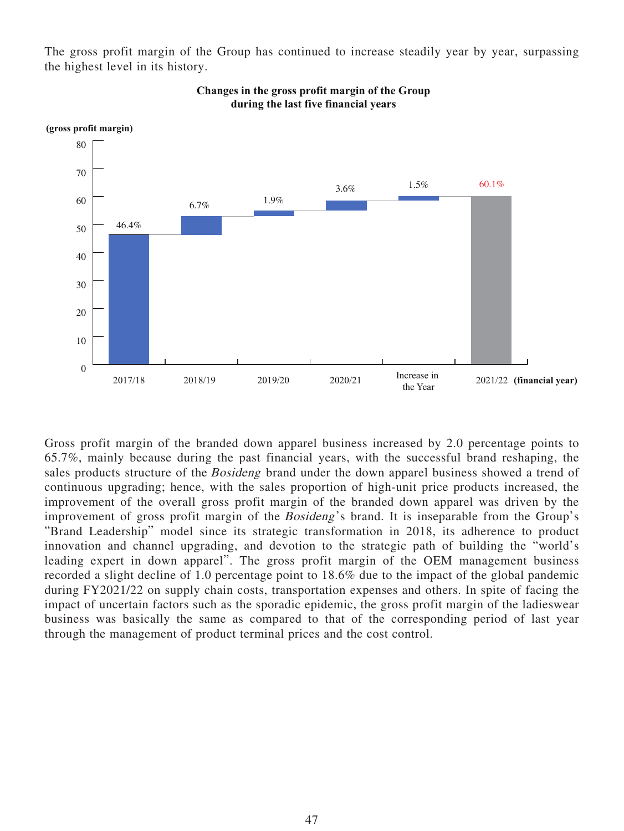The gross profit margin of the Group has continued to increase steadily year by year, surpassing the highest level in its history.



**Changes in the gross profit margin of the Group during the last five financial years**

Gross profit margin of the branded down apparel business increased by 2.0 percentage points to 65.7%, mainly because during the past financial years, with the successful brand reshaping, the sales products structure of the *Bosideng* brand under the down apparel business showed a trend of continuous upgrading; hence, with the sales proportion of high-unit price products increased, the improvement of the overall gross profit margin of the branded down apparel was driven by the improvement of gross profit margin of the Bosideng's brand. It is inseparable from the Group's "Brand Leadership" model since its strategic transformation in 2018, its adherence to product innovation and channel upgrading, and devotion to the strategic path of building the "world's leading expert in down apparel". The gross profit margin of the OEM management business recorded a slight decline of 1.0 percentage point to 18.6% due to the impact of the global pandemic during FY2021/22 on supply chain costs, transportation expenses and others. In spite of facing the impact of uncertain factors such as the sporadic epidemic, the gross profit margin of the ladieswear business was basically the same as compared to that of the corresponding period of last year through the management of product terminal prices and the cost control.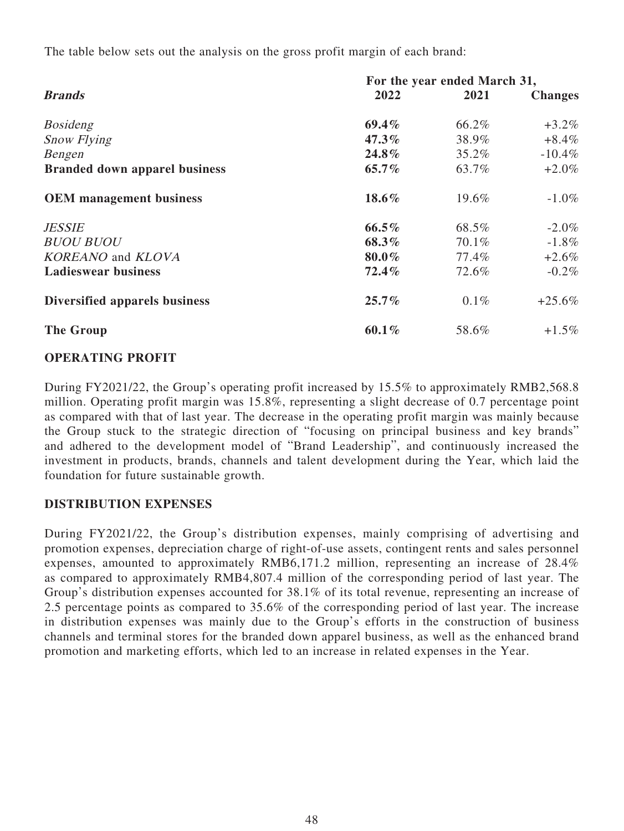The table below sets out the analysis on the gross profit margin of each brand:

|                                      | For the year ended March 31, |         |                |  |  |
|--------------------------------------|------------------------------|---------|----------------|--|--|
| <b>Brands</b>                        | 2022                         | 2021    | <b>Changes</b> |  |  |
| <b>Bosideng</b>                      | $69.4\%$                     | 66.2%   | $+3.2\%$       |  |  |
| <b>Snow Flying</b>                   | $47.3\%$                     | 38.9%   | $+8.4\%$       |  |  |
| Bengen                               | 24.8%                        | 35.2%   | $-10.4\%$      |  |  |
| <b>Branded down apparel business</b> | $65.7\%$                     | 63.7%   | $+2.0\%$       |  |  |
| <b>OEM</b> management business       | 18.6%                        | 19.6%   | $-1.0\%$       |  |  |
| <b>JESSIE</b>                        | $66.5\%$                     | 68.5%   | $-2.0\%$       |  |  |
| <b>BUOU BUOU</b>                     | 68.3%                        | 70.1%   | $-1.8\%$       |  |  |
| <b>KOREANO</b> and <b>KLOVA</b>      | 80.0%                        | 77.4%   | $+2.6\%$       |  |  |
| <b>Ladieswear business</b>           | 72.4%                        | 72.6%   | $-0.2\%$       |  |  |
| Diversified apparels business        | $25.7\%$                     | $0.1\%$ | $+25.6\%$      |  |  |
| <b>The Group</b>                     | $60.1\%$                     | 58.6%   | $+1.5\%$       |  |  |

### **OPERATING PROFIT**

During FY2021/22, the Group's operating profit increased by 15.5% to approximately RMB2,568.8 million. Operating profit margin was 15.8%, representing a slight decrease of 0.7 percentage point as compared with that of last year. The decrease in the operating profit margin was mainly because the Group stuck to the strategic direction of "focusing on principal business and key brands" and adhered to the development model of "Brand Leadership", and continuously increased the investment in products, brands, channels and talent development during the Year, which laid the foundation for future sustainable growth.

### **DISTRIBUTION EXPENSES**

During FY2021/22, the Group's distribution expenses, mainly comprising of advertising and promotion expenses, depreciation charge of right-of-use assets, contingent rents and sales personnel expenses, amounted to approximately RMB6,171.2 million, representing an increase of 28.4% as compared to approximately RMB4,807.4 million of the corresponding period of last year. The Group's distribution expenses accounted for 38.1% of its total revenue, representing an increase of 2.5 percentage points as compared to 35.6% of the corresponding period of last year. The increase in distribution expenses was mainly due to the Group's efforts in the construction of business channels and terminal stores for the branded down apparel business, as well as the enhanced brand promotion and marketing efforts, which led to an increase in related expenses in the Year.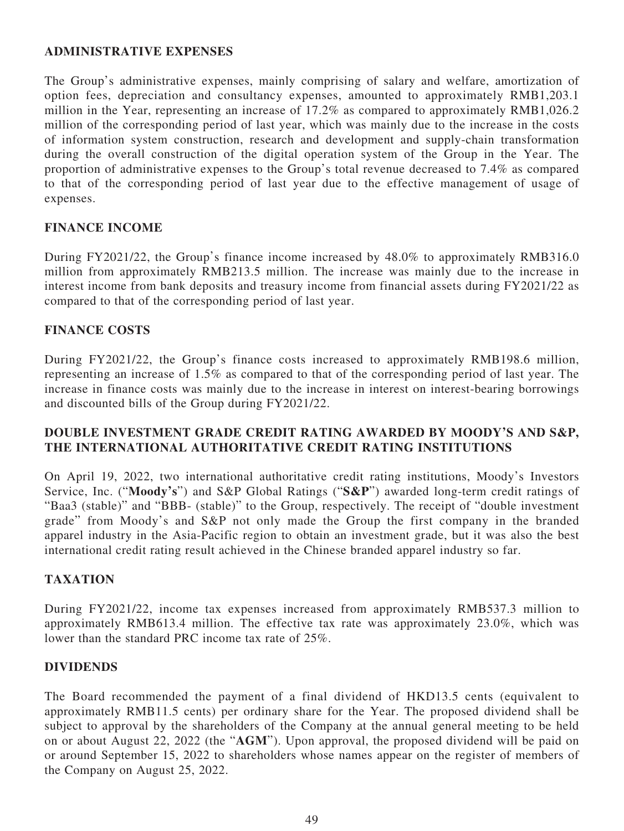# **ADMINISTRATIVE EXPENSES**

The Group's administrative expenses, mainly comprising of salary and welfare, amortization of option fees, depreciation and consultancy expenses, amounted to approximately RMB1,203.1 million in the Year, representing an increase of 17.2% as compared to approximately RMB1,026.2 million of the corresponding period of last year, which was mainly due to the increase in the costs of information system construction, research and development and supply-chain transformation during the overall construction of the digital operation system of the Group in the Year. The proportion of administrative expenses to the Group's total revenue decreased to 7.4% as compared to that of the corresponding period of last year due to the effective management of usage of expenses.

### **FINANCE INCOME**

During FY2021/22, the Group's finance income increased by 48.0% to approximately RMB316.0 million from approximately RMB213.5 million. The increase was mainly due to the increase in interest income from bank deposits and treasury income from financial assets during FY2021/22 as compared to that of the corresponding period of last year.

# **FINANCE COSTS**

During FY2021/22, the Group's finance costs increased to approximately RMB198.6 million, representing an increase of 1.5% as compared to that of the corresponding period of last year. The increase in finance costs was mainly due to the increase in interest on interest-bearing borrowings and discounted bills of the Group during FY2021/22.

### **DOUBLE INVESTMENT GRADE CREDIT RATING AWARDED BY MOODY'S AND S&P, THE INTERNATIONAL AUTHORITATIVE CREDIT RATING INSTITUTIONS**

On April 19, 2022, two international authoritative credit rating institutions, Moody's Investors Service, Inc. ("**Moody's**") and S&P Global Ratings ("**S&P**") awarded long-term credit ratings of "Baa3 (stable)" and "BBB- (stable)" to the Group, respectively. The receipt of "double investment grade" from Moody's and S&P not only made the Group the first company in the branded apparel industry in the Asia-Pacific region to obtain an investment grade, but it was also the best international credit rating result achieved in the Chinese branded apparel industry so far.

# **TAXATION**

During FY2021/22, income tax expenses increased from approximately RMB537.3 million to approximately RMB613.4 million. The effective tax rate was approximately 23.0%, which was lower than the standard PRC income tax rate of 25%.

### **DIVIDENDS**

The Board recommended the payment of a final dividend of HKD13.5 cents (equivalent to approximately RMB11.5 cents) per ordinary share for the Year. The proposed dividend shall be subject to approval by the shareholders of the Company at the annual general meeting to be held on or about August 22, 2022 (the "**AGM**"). Upon approval, the proposed dividend will be paid on or around September 15, 2022 to shareholders whose names appear on the register of members of the Company on August 25, 2022.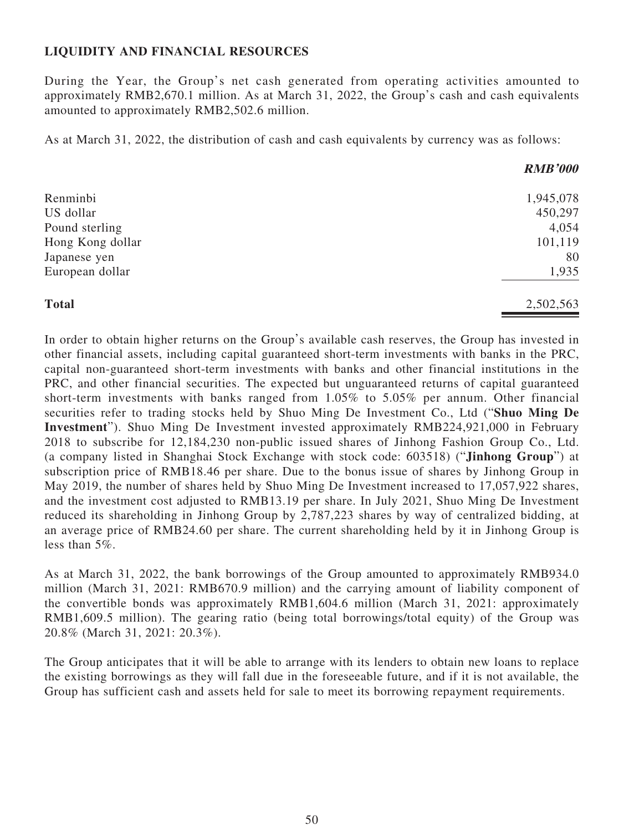# **LIQUIDITY AND FINANCIAL RESOURCES**

During the Year, the Group's net cash generated from operating activities amounted to approximately RMB2,670.1 million. As at March 31, 2022, the Group's cash and cash equivalents amounted to approximately RMB2,502.6 million.

As at March 31, 2022, the distribution of cash and cash equivalents by currency was as follows:

|                  | <b>RMB'000</b> |
|------------------|----------------|
| Renminbi         | 1,945,078      |
| US dollar        | 450,297        |
| Pound sterling   | 4,054          |
| Hong Kong dollar | 101,119        |
| Japanese yen     | 80             |
| European dollar  | 1,935          |
| <b>Total</b>     | 2,502,563      |

In order to obtain higher returns on the Group's available cash reserves, the Group has invested in other financial assets, including capital guaranteed short-term investments with banks in the PRC, capital non-guaranteed short-term investments with banks and other financial institutions in the PRC, and other financial securities. The expected but unguaranteed returns of capital guaranteed short-term investments with banks ranged from 1.05% to 5.05% per annum. Other financial securities refer to trading stocks held by Shuo Ming De Investment Co., Ltd ("**Shuo Ming De Investment**"). Shuo Ming De Investment invested approximately RMB224,921,000 in February 2018 to subscribe for 12,184,230 non-public issued shares of Jinhong Fashion Group Co., Ltd. (a company listed in Shanghai Stock Exchange with stock code: 603518) ("**Jinhong Group**") at subscription price of RMB18.46 per share. Due to the bonus issue of shares by Jinhong Group in May 2019, the number of shares held by Shuo Ming De Investment increased to 17,057,922 shares, and the investment cost adjusted to RMB13.19 per share. In July 2021, Shuo Ming De Investment reduced its shareholding in Jinhong Group by 2,787,223 shares by way of centralized bidding, at an average price of RMB24.60 per share. The current shareholding held by it in Jinhong Group is less than 5%.

As at March 31, 2022, the bank borrowings of the Group amounted to approximately RMB934.0 million (March 31, 2021: RMB670.9 million) and the carrying amount of liability component of the convertible bonds was approximately RMB1,604.6 million (March 31, 2021: approximately RMB1,609.5 million). The gearing ratio (being total borrowings/total equity) of the Group was 20.8% (March 31, 2021: 20.3%).

The Group anticipates that it will be able to arrange with its lenders to obtain new loans to replace the existing borrowings as they will fall due in the foreseeable future, and if it is not available, the Group has sufficient cash and assets held for sale to meet its borrowing repayment requirements.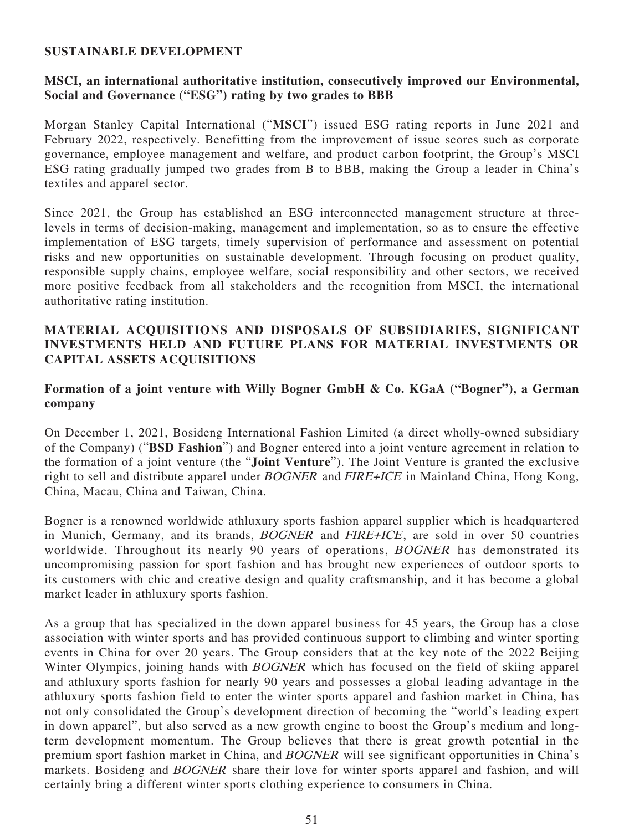### **SUSTAINABLE DEVELOPMENT**

## **MSCI, an international authoritative institution, consecutively improved our Environmental, Social and Governance ("ESG") rating by two grades to BBB**

Morgan Stanley Capital International ("**MSCI**") issued ESG rating reports in June 2021 and February 2022, respectively. Benefitting from the improvement of issue scores such as corporate governance, employee management and welfare, and product carbon footprint, the Group's MSCI ESG rating gradually jumped two grades from B to BBB, making the Group a leader in China's textiles and apparel sector.

Since 2021, the Group has established an ESG interconnected management structure at threelevels in terms of decision-making, management and implementation, so as to ensure the effective implementation of ESG targets, timely supervision of performance and assessment on potential risks and new opportunities on sustainable development. Through focusing on product quality, responsible supply chains, employee welfare, social responsibility and other sectors, we received more positive feedback from all stakeholders and the recognition from MSCI, the international authoritative rating institution.

### **MATERIAL ACQUISITIONS AND DISPOSALS OF SUBSIDIARIES, SIGNIFICANT INVESTMENTS HELD AND FUTURE PLANS FOR MATERIAL INVESTMENTS OR CAPITAL ASSETS ACQUISITIONS**

## **Formation of a joint venture with Willy Bogner GmbH & Co. KGaA ("Bogner"), a German company**

On December 1, 2021, Bosideng International Fashion Limited (a direct wholly-owned subsidiary of the Company) ("**BSD Fashion**") and Bogner entered into a joint venture agreement in relation to the formation of a joint venture (the "**Joint Venture**"). The Joint Venture is granted the exclusive right to sell and distribute apparel under BOGNER and FIRE+ICE in Mainland China, Hong Kong, China, Macau, China and Taiwan, China.

Bogner is a renowned worldwide athluxury sports fashion apparel supplier which is headquartered in Munich, Germany, and its brands, BOGNER and FIRE+ICE, are sold in over 50 countries worldwide. Throughout its nearly 90 years of operations, BOGNER has demonstrated its uncompromising passion for sport fashion and has brought new experiences of outdoor sports to its customers with chic and creative design and quality craftsmanship, and it has become a global market leader in athluxury sports fashion.

As a group that has specialized in the down apparel business for 45 years, the Group has a close association with winter sports and has provided continuous support to climbing and winter sporting events in China for over 20 years. The Group considers that at the key note of the 2022 Beijing Winter Olympics, joining hands with **BOGNER** which has focused on the field of skiing apparel and athluxury sports fashion for nearly 90 years and possesses a global leading advantage in the athluxury sports fashion field to enter the winter sports apparel and fashion market in China, has not only consolidated the Group's development direction of becoming the "world's leading expert in down apparel", but also served as a new growth engine to boost the Group's medium and longterm development momentum. The Group believes that there is great growth potential in the premium sport fashion market in China, and BOGNER will see significant opportunities in China's markets. Bosideng and BOGNER share their love for winter sports apparel and fashion, and will certainly bring a different winter sports clothing experience to consumers in China.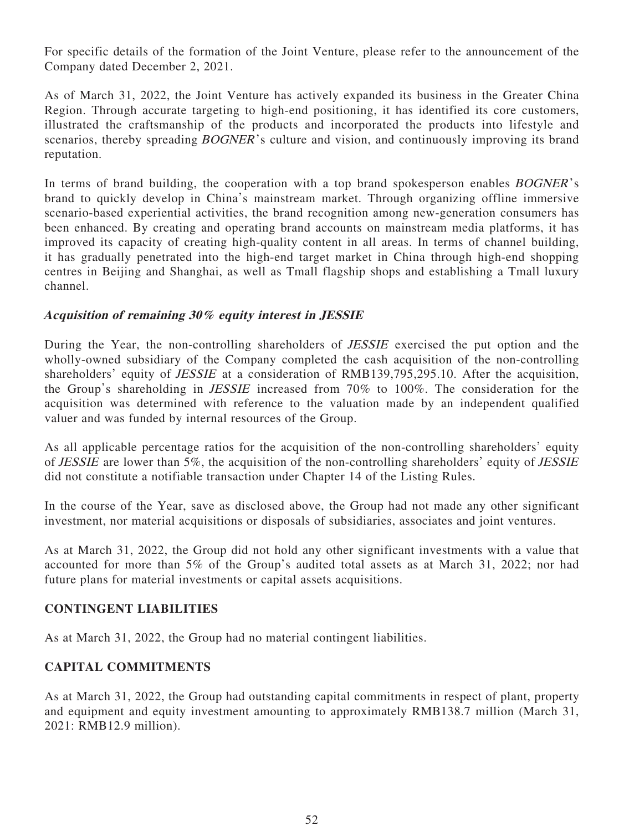For specific details of the formation of the Joint Venture, please refer to the announcement of the Company dated December 2, 2021.

As of March 31, 2022, the Joint Venture has actively expanded its business in the Greater China Region. Through accurate targeting to high-end positioning, it has identified its core customers, illustrated the craftsmanship of the products and incorporated the products into lifestyle and scenarios, thereby spreading *BOGNER*'s culture and vision, and continuously improving its brand reputation.

In terms of brand building, the cooperation with a top brand spokesperson enables *BOGNER*'s brand to quickly develop in China's mainstream market. Through organizing offline immersive scenario-based experiential activities, the brand recognition among new-generation consumers has been enhanced. By creating and operating brand accounts on mainstream media platforms, it has improved its capacity of creating high-quality content in all areas. In terms of channel building, it has gradually penetrated into the high-end target market in China through high-end shopping centres in Beijing and Shanghai, as well as Tmall flagship shops and establishing a Tmall luxury channel.

# **Acquisition of remaining 30% equity interest in JESSIE**

During the Year, the non-controlling shareholders of JESSIE exercised the put option and the wholly-owned subsidiary of the Company completed the cash acquisition of the non-controlling shareholders' equity of *JESSIE* at a consideration of RMB139,795,295.10. After the acquisition, the Group's shareholding in JESSIE increased from 70% to 100%. The consideration for the acquisition was determined with reference to the valuation made by an independent qualified valuer and was funded by internal resources of the Group.

As all applicable percentage ratios for the acquisition of the non-controlling shareholders' equity of JESSIE are lower than 5%, the acquisition of the non-controlling shareholders' equity of JESSIE did not constitute a notifiable transaction under Chapter 14 of the Listing Rules.

In the course of the Year, save as disclosed above, the Group had not made any other significant investment, nor material acquisitions or disposals of subsidiaries, associates and joint ventures.

As at March 31, 2022, the Group did not hold any other significant investments with a value that accounted for more than 5% of the Group's audited total assets as at March 31, 2022; nor had future plans for material investments or capital assets acquisitions.

# **CONTINGENT LIABILITIES**

As at March 31, 2022, the Group had no material contingent liabilities.

# **CAPITAL COMMITMENTS**

As at March 31, 2022, the Group had outstanding capital commitments in respect of plant, property and equipment and equity investment amounting to approximately RMB138.7 million (March 31, 2021: RMB12.9 million).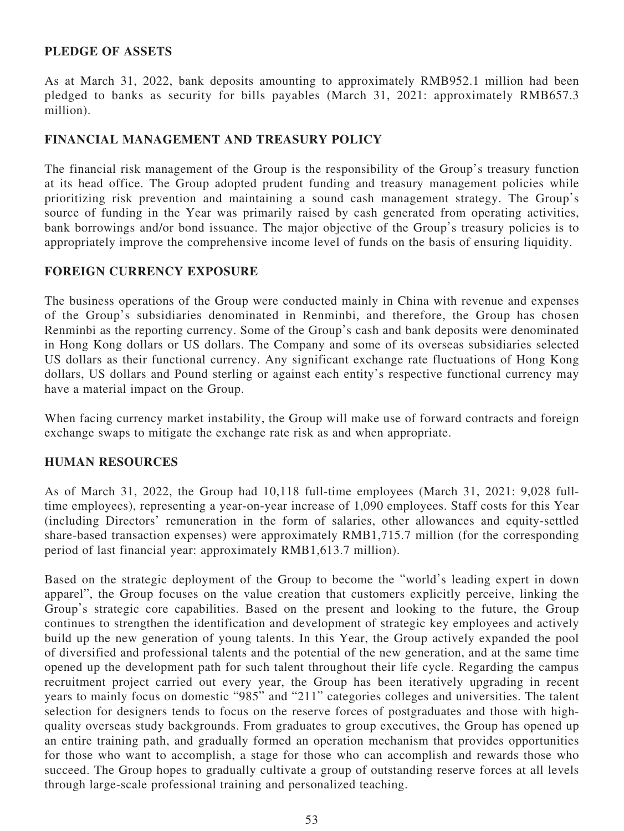### **PLEDGE OF ASSETS**

As at March 31, 2022, bank deposits amounting to approximately RMB952.1 million had been pledged to banks as security for bills payables (March 31, 2021: approximately RMB657.3 million).

# **FINANCIAL MANAGEMENT AND TREASURY POLICY**

The financial risk management of the Group is the responsibility of the Group's treasury function at its head office. The Group adopted prudent funding and treasury management policies while prioritizing risk prevention and maintaining a sound cash management strategy. The Group's source of funding in the Year was primarily raised by cash generated from operating activities, bank borrowings and/or bond issuance. The major objective of the Group's treasury policies is to appropriately improve the comprehensive income level of funds on the basis of ensuring liquidity.

# **FOREIGN CURRENCY EXPOSURE**

The business operations of the Group were conducted mainly in China with revenue and expenses of the Group's subsidiaries denominated in Renminbi, and therefore, the Group has chosen Renminbi as the reporting currency. Some of the Group's cash and bank deposits were denominated in Hong Kong dollars or US dollars. The Company and some of its overseas subsidiaries selected US dollars as their functional currency. Any significant exchange rate fluctuations of Hong Kong dollars, US dollars and Pound sterling or against each entity's respective functional currency may have a material impact on the Group.

When facing currency market instability, the Group will make use of forward contracts and foreign exchange swaps to mitigate the exchange rate risk as and when appropriate.

### **HUMAN RESOURCES**

As of March 31, 2022, the Group had 10,118 full-time employees (March 31, 2021: 9,028 fulltime employees), representing a year-on-year increase of 1,090 employees. Staff costs for this Year (including Directors' remuneration in the form of salaries, other allowances and equity-settled share-based transaction expenses) were approximately RMB1,715.7 million (for the corresponding period of last financial year: approximately RMB1,613.7 million).

Based on the strategic deployment of the Group to become the "world's leading expert in down apparel", the Group focuses on the value creation that customers explicitly perceive, linking the Group's strategic core capabilities. Based on the present and looking to the future, the Group continues to strengthen the identification and development of strategic key employees and actively build up the new generation of young talents. In this Year, the Group actively expanded the pool of diversified and professional talents and the potential of the new generation, and at the same time opened up the development path for such talent throughout their life cycle. Regarding the campus recruitment project carried out every year, the Group has been iteratively upgrading in recent years to mainly focus on domestic "985" and "211" categories colleges and universities. The talent selection for designers tends to focus on the reserve forces of postgraduates and those with highquality overseas study backgrounds. From graduates to group executives, the Group has opened up an entire training path, and gradually formed an operation mechanism that provides opportunities for those who want to accomplish, a stage for those who can accomplish and rewards those who succeed. The Group hopes to gradually cultivate a group of outstanding reserve forces at all levels through large-scale professional training and personalized teaching.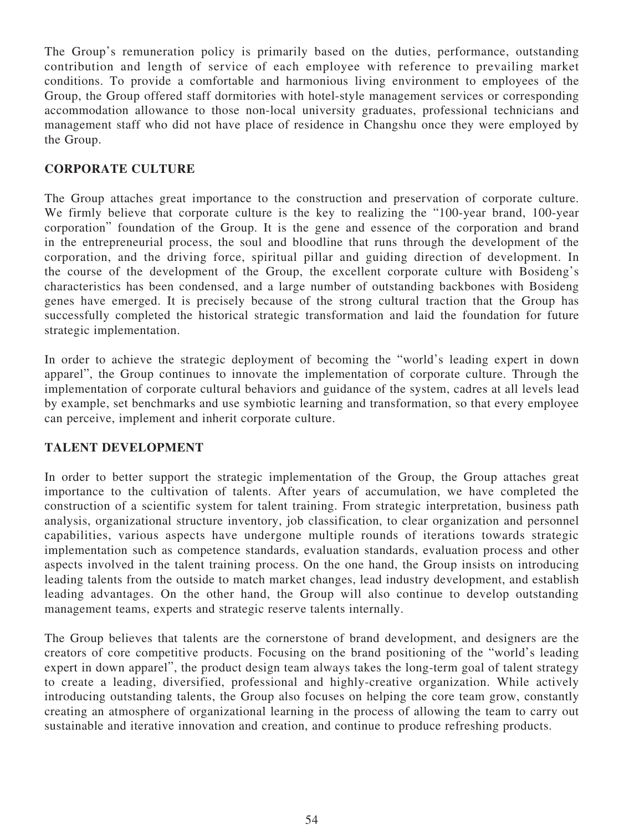The Group's remuneration policy is primarily based on the duties, performance, outstanding contribution and length of service of each employee with reference to prevailing market conditions. To provide a comfortable and harmonious living environment to employees of the Group, the Group offered staff dormitories with hotel-style management services or corresponding accommodation allowance to those non-local university graduates, professional technicians and management staff who did not have place of residence in Changshu once they were employed by the Group.

# **CORPORATE CULTURE**

The Group attaches great importance to the construction and preservation of corporate culture. We firmly believe that corporate culture is the key to realizing the "100-year brand, 100-year corporation" foundation of the Group. It is the gene and essence of the corporation and brand in the entrepreneurial process, the soul and bloodline that runs through the development of the corporation, and the driving force, spiritual pillar and guiding direction of development. In the course of the development of the Group, the excellent corporate culture with Bosideng's characteristics has been condensed, and a large number of outstanding backbones with Bosideng genes have emerged. It is precisely because of the strong cultural traction that the Group has successfully completed the historical strategic transformation and laid the foundation for future strategic implementation.

In order to achieve the strategic deployment of becoming the "world's leading expert in down apparel", the Group continues to innovate the implementation of corporate culture. Through the implementation of corporate cultural behaviors and guidance of the system, cadres at all levels lead by example, set benchmarks and use symbiotic learning and transformation, so that every employee can perceive, implement and inherit corporate culture.

# **TALENT DEVELOPMENT**

In order to better support the strategic implementation of the Group, the Group attaches great importance to the cultivation of talents. After years of accumulation, we have completed the construction of a scientific system for talent training. From strategic interpretation, business path analysis, organizational structure inventory, job classification, to clear organization and personnel capabilities, various aspects have undergone multiple rounds of iterations towards strategic implementation such as competence standards, evaluation standards, evaluation process and other aspects involved in the talent training process. On the one hand, the Group insists on introducing leading talents from the outside to match market changes, lead industry development, and establish leading advantages. On the other hand, the Group will also continue to develop outstanding management teams, experts and strategic reserve talents internally.

The Group believes that talents are the cornerstone of brand development, and designers are the creators of core competitive products. Focusing on the brand positioning of the "world's leading expert in down apparel", the product design team always takes the long-term goal of talent strategy to create a leading, diversified, professional and highly-creative organization. While actively introducing outstanding talents, the Group also focuses on helping the core team grow, constantly creating an atmosphere of organizational learning in the process of allowing the team to carry out sustainable and iterative innovation and creation, and continue to produce refreshing products.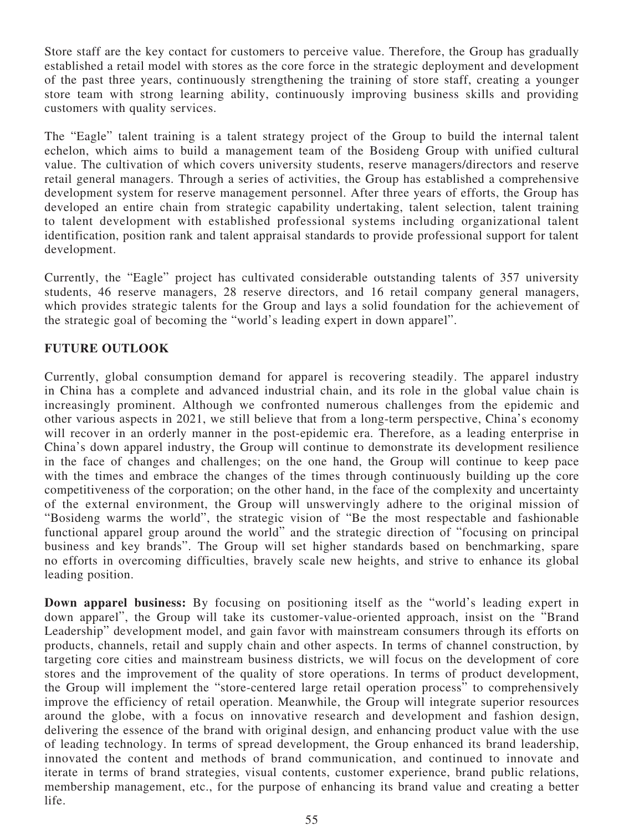Store staff are the key contact for customers to perceive value. Therefore, the Group has gradually established a retail model with stores as the core force in the strategic deployment and development of the past three years, continuously strengthening the training of store staff, creating a younger store team with strong learning ability, continuously improving business skills and providing customers with quality services.

The "Eagle" talent training is a talent strategy project of the Group to build the internal talent echelon, which aims to build a management team of the Bosideng Group with unified cultural value. The cultivation of which covers university students, reserve managers/directors and reserve retail general managers. Through a series of activities, the Group has established a comprehensive development system for reserve management personnel. After three years of efforts, the Group has developed an entire chain from strategic capability undertaking, talent selection, talent training to talent development with established professional systems including organizational talent identification, position rank and talent appraisal standards to provide professional support for talent development.

Currently, the "Eagle" project has cultivated considerable outstanding talents of 357 university students, 46 reserve managers, 28 reserve directors, and 16 retail company general managers, which provides strategic talents for the Group and lays a solid foundation for the achievement of the strategic goal of becoming the "world's leading expert in down apparel".

# **FUTURE OUTLOOK**

Currently, global consumption demand for apparel is recovering steadily. The apparel industry in China has a complete and advanced industrial chain, and its role in the global value chain is increasingly prominent. Although we confronted numerous challenges from the epidemic and other various aspects in 2021, we still believe that from a long-term perspective, China's economy will recover in an orderly manner in the post-epidemic era. Therefore, as a leading enterprise in China's down apparel industry, the Group will continue to demonstrate its development resilience in the face of changes and challenges; on the one hand, the Group will continue to keep pace with the times and embrace the changes of the times through continuously building up the core competitiveness of the corporation; on the other hand, in the face of the complexity and uncertainty of the external environment, the Group will unswervingly adhere to the original mission of "Bosideng warms the world", the strategic vision of "Be the most respectable and fashionable functional apparel group around the world" and the strategic direction of "focusing on principal business and key brands". The Group will set higher standards based on benchmarking, spare no efforts in overcoming difficulties, bravely scale new heights, and strive to enhance its global leading position.

**Down apparel business:** By focusing on positioning itself as the "world's leading expert in down apparel", the Group will take its customer-value-oriented approach, insist on the "Brand Leadership" development model, and gain favor with mainstream consumers through its efforts on products, channels, retail and supply chain and other aspects. In terms of channel construction, by targeting core cities and mainstream business districts, we will focus on the development of core stores and the improvement of the quality of store operations. In terms of product development, the Group will implement the "store-centered large retail operation process" to comprehensively improve the efficiency of retail operation. Meanwhile, the Group will integrate superior resources around the globe, with a focus on innovative research and development and fashion design, delivering the essence of the brand with original design, and enhancing product value with the use of leading technology. In terms of spread development, the Group enhanced its brand leadership, innovated the content and methods of brand communication, and continued to innovate and iterate in terms of brand strategies, visual contents, customer experience, brand public relations, membership management, etc., for the purpose of enhancing its brand value and creating a better life.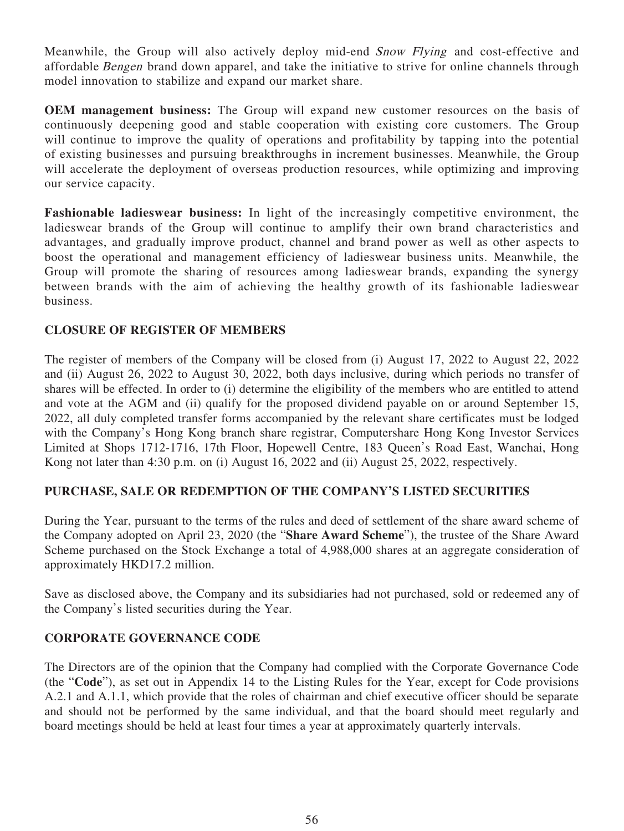Meanwhile, the Group will also actively deploy mid-end *Snow Flying* and cost-effective and affordable Bengen brand down apparel, and take the initiative to strive for online channels through model innovation to stabilize and expand our market share.

**OEM management business:** The Group will expand new customer resources on the basis of continuously deepening good and stable cooperation with existing core customers. The Group will continue to improve the quality of operations and profitability by tapping into the potential of existing businesses and pursuing breakthroughs in increment businesses. Meanwhile, the Group will accelerate the deployment of overseas production resources, while optimizing and improving our service capacity.

**Fashionable ladieswear business:** In light of the increasingly competitive environment, the ladieswear brands of the Group will continue to amplify their own brand characteristics and advantages, and gradually improve product, channel and brand power as well as other aspects to boost the operational and management efficiency of ladieswear business units. Meanwhile, the Group will promote the sharing of resources among ladieswear brands, expanding the synergy between brands with the aim of achieving the healthy growth of its fashionable ladieswear business.

# **CLOSURE OF REGISTER OF MEMBERS**

The register of members of the Company will be closed from (i) August 17, 2022 to August 22, 2022 and (ii) August 26, 2022 to August 30, 2022, both days inclusive, during which periods no transfer of shares will be effected. In order to (i) determine the eligibility of the members who are entitled to attend and vote at the AGM and (ii) qualify for the proposed dividend payable on or around September 15, 2022, all duly completed transfer forms accompanied by the relevant share certificates must be lodged with the Company's Hong Kong branch share registrar, Computershare Hong Kong Investor Services Limited at Shops 1712-1716, 17th Floor, Hopewell Centre, 183 Queen's Road East, Wanchai, Hong Kong not later than 4:30 p.m. on (i) August 16, 2022 and (ii) August 25, 2022, respectively.

# **PURCHASE, SALE OR REDEMPTION OF THE COMPANY'S LISTED SECURITIES**

During the Year, pursuant to the terms of the rules and deed of settlement of the share award scheme of the Company adopted on April 23, 2020 (the "**Share Award Scheme**"), the trustee of the Share Award Scheme purchased on the Stock Exchange a total of 4,988,000 shares at an aggregate consideration of approximately HKD17.2 million.

Save as disclosed above, the Company and its subsidiaries had not purchased, sold or redeemed any of the Company's listed securities during the Year.

# **CORPORATE GOVERNANCE CODE**

The Directors are of the opinion that the Company had complied with the Corporate Governance Code (the "**Code**"), as set out in Appendix 14 to the Listing Rules for the Year, except for Code provisions A.2.1 and A.1.1, which provide that the roles of chairman and chief executive officer should be separate and should not be performed by the same individual, and that the board should meet regularly and board meetings should be held at least four times a year at approximately quarterly intervals.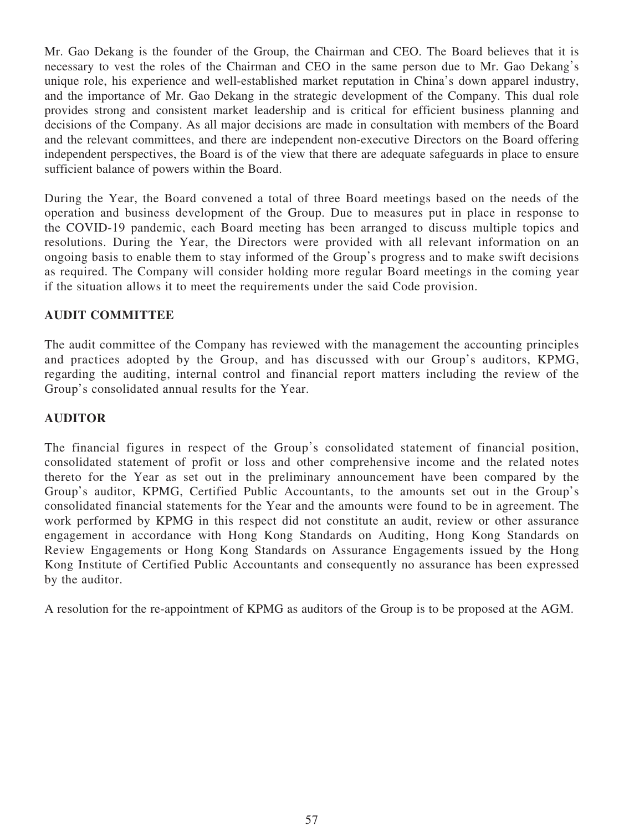Mr. Gao Dekang is the founder of the Group, the Chairman and CEO. The Board believes that it is necessary to vest the roles of the Chairman and CEO in the same person due to Mr. Gao Dekang's unique role, his experience and well-established market reputation in China's down apparel industry, and the importance of Mr. Gao Dekang in the strategic development of the Company. This dual role provides strong and consistent market leadership and is critical for efficient business planning and decisions of the Company. As all major decisions are made in consultation with members of the Board and the relevant committees, and there are independent non-executive Directors on the Board offering independent perspectives, the Board is of the view that there are adequate safeguards in place to ensure sufficient balance of powers within the Board.

During the Year, the Board convened a total of three Board meetings based on the needs of the operation and business development of the Group. Due to measures put in place in response to the COVID-19 pandemic, each Board meeting has been arranged to discuss multiple topics and resolutions. During the Year, the Directors were provided with all relevant information on an ongoing basis to enable them to stay informed of the Group's progress and to make swift decisions as required. The Company will consider holding more regular Board meetings in the coming year if the situation allows it to meet the requirements under the said Code provision.

# **AUDIT COMMITTEE**

The audit committee of the Company has reviewed with the management the accounting principles and practices adopted by the Group, and has discussed with our Group's auditors, KPMG, regarding the auditing, internal control and financial report matters including the review of the Group's consolidated annual results for the Year.

# **AUDITOR**

The financial figures in respect of the Group's consolidated statement of financial position, consolidated statement of profit or loss and other comprehensive income and the related notes thereto for the Year as set out in the preliminary announcement have been compared by the Group's auditor, KPMG, Certified Public Accountants, to the amounts set out in the Group's consolidated financial statements for the Year and the amounts were found to be in agreement. The work performed by KPMG in this respect did not constitute an audit, review or other assurance engagement in accordance with Hong Kong Standards on Auditing, Hong Kong Standards on Review Engagements or Hong Kong Standards on Assurance Engagements issued by the Hong Kong Institute of Certified Public Accountants and consequently no assurance has been expressed by the auditor.

A resolution for the re-appointment of KPMG as auditors of the Group is to be proposed at the AGM.